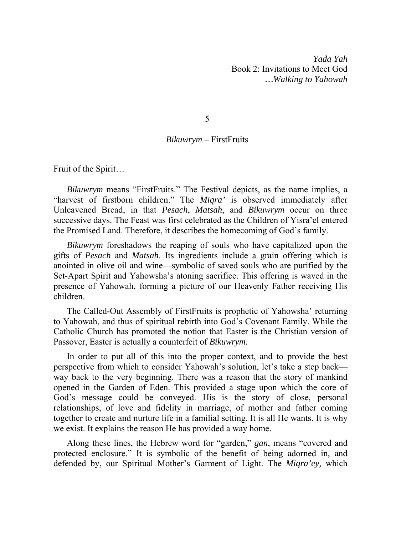*Yada Yah*  Book 2: Invitations to Meet God *…Walking to Yahowah* 

5

# *Bikuwrym* – FirstFruits

Fruit of the Spirit…

*Bikuwrym* means "FirstFruits." The Festival depicts, as the name implies, a "harvest of firstborn children." The *Miqra'* is observed immediately after Unleavened Bread, in that *Pesach*, *Matsah*, and *Bikuwrym* occur on three successive days. The Feast was first celebrated as the Children of Yisra'el entered the Promised Land. Therefore, it describes the homecoming of God's family.

*Bikuwrym* foreshadows the reaping of souls who have capitalized upon the gifts of *Pesach* and *Matsah*. Its ingredients include a grain offering which is anointed in olive oil and wine—symbolic of saved souls who are purified by the Set-Apart Spirit and Yahowsha's atoning sacrifice. This offering is waved in the presence of Yahowah, forming a picture of our Heavenly Father receiving His children.

The Called-Out Assembly of FirstFruits is prophetic of Yahowsha' returning to Yahowah, and thus of spiritual rebirth into God's Covenant Family. While the Catholic Church has promoted the notion that Easter is the Christian version of Passover, Easter is actually a counterfeit of *Bikuwrym*.

In order to put all of this into the proper context, and to provide the best perspective from which to consider Yahowah's solution, let's take a step back way back to the very beginning. There was a reason that the story of mankind opened in the Garden of Eden. This provided a stage upon which the core of God's message could be conveyed. His is the story of close, personal relationships, of love and fidelity in marriage, of mother and father coming together to create and nurture life in a familial setting. It is all He wants. It is why we exist. It explains the reason He has provided a way home.

Along these lines, the Hebrew word for "garden," *gan*, means "covered and protected enclosure." It is symbolic of the benefit of being adorned in, and defended by, our Spiritual Mother's Garment of Light. The *Miqra'ey,* which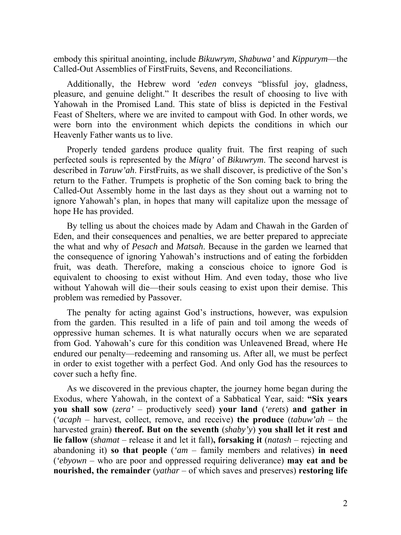embody this spiritual anointing, include *Bikuwrym, Shabuwa'* and *Kippurym*—the Called-Out Assemblies of FirstFruits, Sevens, and Reconciliations.

Additionally, the Hebrew word *'eden* conveys "blissful joy, gladness, pleasure, and genuine delight." It describes the result of choosing to live with Yahowah in the Promised Land. This state of bliss is depicted in the Festival Feast of Shelters, where we are invited to campout with God. In other words, we were born into the environment which depicts the conditions in which our Heavenly Father wants us to live.

Properly tended gardens produce quality fruit. The first reaping of such perfected souls is represented by the *Miqra'* of *Bikuwrym*. The second harvest is described in *Taruw'ah*. FirstFruits, as we shall discover, is predictive of the Son's return to the Father. Trumpets is prophetic of the Son coming back to bring the Called-Out Assembly home in the last days as they shout out a warning not to ignore Yahowah's plan, in hopes that many will capitalize upon the message of hope He has provided.

By telling us about the choices made by Adam and Chawah in the Garden of Eden, and their consequences and penalties, we are better prepared to appreciate the what and why of *Pesach* and *Matsah*. Because in the garden we learned that the consequence of ignoring Yahowah's instructions and of eating the forbidden fruit, was death. Therefore, making a conscious choice to ignore God is equivalent to choosing to exist without Him. And even today, those who live without Yahowah will die—their souls ceasing to exist upon their demise. This problem was remedied by Passover.

The penalty for acting against God's instructions, however, was expulsion from the garden. This resulted in a life of pain and toil among the weeds of oppressive human schemes. It is what naturally occurs when we are separated from God. Yahowah's cure for this condition was Unleavened Bread, where He endured our penalty—redeeming and ransoming us. After all, we must be perfect in order to exist together with a perfect God. And only God has the resources to cover such a hefty fine.

As we discovered in the previous chapter, the journey home began during the Exodus, where Yahowah, in the context of a Sabbatical Year, said: **"Six years you shall sow** (*zera'* – productively seed) **your land** (*'erets*) **and gather in** (*'acaph* – harvest, collect, remove, and receive) **the produce** (*tabuw'ah* – the harvested grain) **thereof. But on the seventh** (*shaby'y*) **you shall let it rest and lie fallow** (*shamat* – release it and let it fall)**, forsaking it** (*natash* – rejecting and abandoning it) **so that people** (*'am* – family members and relatives) **in need**  (*'ebyown* – who are poor and oppressed requiring deliverance) **may eat and be nourished, the remainder** (*yathar* – of which saves and preserves) **restoring life**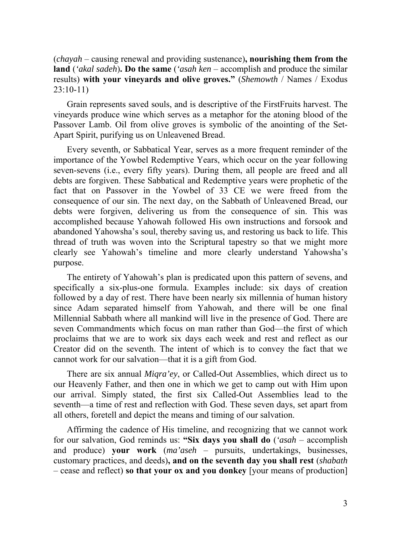(*chayah* – causing renewal and providing sustenance)**, nourishing them from the land** (*'akal sadeh*)**. Do the same** (*'asah ken* – accomplish and produce the similar results) **with your vineyards and olive groves."** (*Shemowth* / Names / Exodus 23:10-11)

Grain represents saved souls, and is descriptive of the FirstFruits harvest. The vineyards produce wine which serves as a metaphor for the atoning blood of the Passover Lamb. Oil from olive groves is symbolic of the anointing of the Set-Apart Spirit, purifying us on Unleavened Bread.

Every seventh, or Sabbatical Year, serves as a more frequent reminder of the importance of the Yowbel Redemptive Years, which occur on the year following seven-sevens (i.e., every fifty years). During them, all people are freed and all debts are forgiven. These Sabbatical and Redemptive years were prophetic of the fact that on Passover in the Yowbel of 33 CE we were freed from the consequence of our sin. The next day, on the Sabbath of Unleavened Bread, our debts were forgiven, delivering us from the consequence of sin. This was accomplished because Yahowah followed His own instructions and forsook and abandoned Yahowsha's soul, thereby saving us, and restoring us back to life. This thread of truth was woven into the Scriptural tapestry so that we might more clearly see Yahowah's timeline and more clearly understand Yahowsha's purpose.

The entirety of Yahowah's plan is predicated upon this pattern of sevens, and specifically a six-plus-one formula. Examples include: six days of creation followed by a day of rest. There have been nearly six millennia of human history since Adam separated himself from Yahowah, and there will be one final Millennial Sabbath where all mankind will live in the presence of God. There are seven Commandments which focus on man rather than God—the first of which proclaims that we are to work six days each week and rest and reflect as our Creator did on the seventh. The intent of which is to convey the fact that we cannot work for our salvation—that it is a gift from God.

There are six annual *Miqra'ey*, or Called-Out Assemblies, which direct us to our Heavenly Father, and then one in which we get to camp out with Him upon our arrival. Simply stated, the first six Called-Out Assemblies lead to the seventh—a time of rest and reflection with God. These seven days, set apart from all others, foretell and depict the means and timing of our salvation.

Affirming the cadence of His timeline, and recognizing that we cannot work for our salvation, God reminds us: **"Six days you shall do** (*'asah* – accomplish and produce) **your work** (*ma'aseh* – pursuits, undertakings, businesses, customary practices, and deeds)**, and on the seventh day you shall rest** (*shabath* – cease and reflect) **so that your ox and you donkey** [your means of production]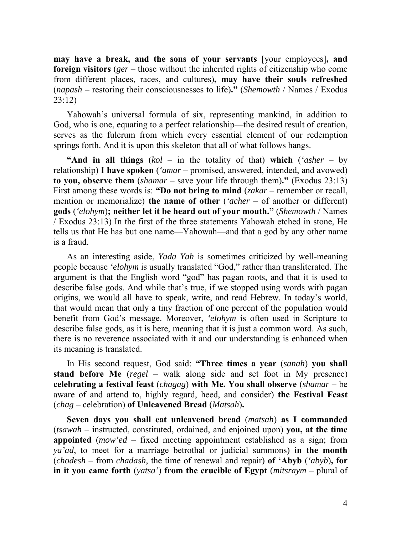**may have a break, and the sons of your servants** [your employees]**, and foreign visitors** (*ger* – those without the inherited rights of citizenship who come from different places, races, and cultures)**, may have their souls refreshed**  (*napash* – restoring their consciousnesses to life)**."** (*Shemowth* / Names / Exodus 23:12)

Yahowah's universal formula of six, representing mankind, in addition to God, who is one, equating to a perfect relationship—the desired result of creation, serves as the fulcrum from which every essential element of our redemption springs forth. And it is upon this skeleton that all of what follows hangs.

**"And in all things** (*kol* – in the totality of that) **which** (*'asher* – by relationship) **I have spoken** (*'amar* – promised, answered, intended, and avowed) **to you, observe them** (*shamar* – save your life through them)**."** (Exodus 23:13) First among these words is: **"Do not bring to mind** (*zakar* – remember or recall, mention or memorialize) **the name of other** (*'acher* – of another or different) **gods** (*'elohym*)**; neither let it be heard out of your mouth."** (*Shemowth* / Names / Exodus 23:13) In the first of the three statements Yahowah etched in stone, He tells us that He has but one name—Yahowah—and that a god by any other name is a fraud.

As an interesting aside, *Yada Yah* is sometimes criticized by well-meaning people because *'elohym* is usually translated "God," rather than transliterated. The argument is that the English word "god" has pagan roots, and that it is used to describe false gods. And while that's true, if we stopped using words with pagan origins, we would all have to speak, write, and read Hebrew. In today's world, that would mean that only a tiny fraction of one percent of the population would benefit from God's message. Moreover, *'elohym* is often used in Scripture to describe false gods, as it is here, meaning that it is just a common word. As such, there is no reverence associated with it and our understanding is enhanced when its meaning is translated.

In His second request, God said: **"Three times a year** (*sanah*) **you shall stand before Me** (*regel* – walk along side and set foot in My presence) **celebrating a festival feast** (*chagag*) **with Me. You shall observe** (*shamar* – be aware of and attend to, highly regard, heed, and consider) **the Festival Feast** (*chag* – celebration) **of Unleavened Bread** (*Matsah*)**.** 

**Seven days you shall eat unleavened bread** (*matsah*) **as I commanded**  (*tsawah* – instructed, constituted, ordained, and enjoined upon) **you, at the time appointed** (*mow'ed* – fixed meeting appointment established as a sign; from *ya'ad*, to meet for a marriage betrothal or judicial summons) **in the month** (*chodesh* – from *chadash*, the time of renewal and repair) **of 'Abyb** (*'abyb*)**, for in it you came forth** (*yatsa'*) **from the crucible of Egypt** (*mitsraym* – plural of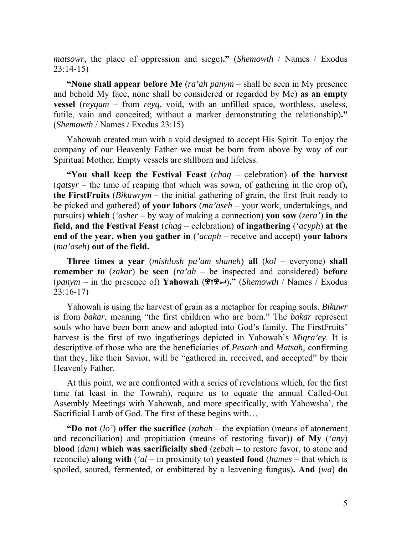*matsowr*, the place of oppression and siege)**."** (*Shemowth* / Names / Exodus 23:14-15)

**"None shall appear before Me** (*ra'ah panym* – shall be seen in My presence and behold My face, none shall be considered or regarded by Me) **as an empty vessel** (*reyqam* – from *reyq*, void, with an unfilled space, worthless, useless, futile, vain and conceited; without a marker demonstrating the relationship)**."**  (*Shemowth* / Names / Exodus 23:15)

Yahowah created man with a void designed to accept His Spirit. To enjoy the company of our Heavenly Father we must be born from above by way of our Spiritual Mother. Empty vessels are stillborn and lifeless.

**"You shall keep the Festival Feast** (*chag* – celebration) **of the harvest**  (*qatsyr* – the time of reaping that which was sown, of gathering in the crop of)**, the FirstFruits** (*Bikuwrym –* the initial gathering of grain, the first fruit ready to be picked and gathered) **of your labors** (*ma'aseh* – your work, undertakings, and pursuits) **which** (*'asher* – by way of making a connection) **you sow** (*zera'*) **in the field, and the Festival Feast** (*chag* – celebration) **of ingathering** (*'acyph*) **at the end of the year, when you gather in** (*'acaph* – receive and accept) **your labors** (*ma'aseh*) **out of the field.** 

**Three times a year** (*mishlosh pa'am shaneh*) **all** (*kol* – everyone) **shall remember to** (*zakar*) **be seen** (*ra'ah* – be inspected and considered) **before** (*panym* – in the presence of) **Yahowah** ()**."** (*Shemowth* / Names / Exodus 23:16-17)

Yahowah is using the harvest of grain as a metaphor for reaping souls. *Bikuwr* is from *bakar*, meaning "the first children who are born." The *bakar* represent souls who have been born anew and adopted into God's family. The FirstFruits' harvest is the first of two ingatherings depicted in Yahowah's *Miqra'ey*. It is descriptive of those who are the beneficiaries of *Pesach* and *Matsah*, confirming that they, like their Savior, will be "gathered in, received, and accepted" by their Heavenly Father.

At this point, we are confronted with a series of revelations which, for the first time (at least in the Towrah), require us to equate the annual Called-Out Assembly Meetings with Yahowah, and more specifically, with Yahowsha', the Sacrificial Lamb of God. The first of these begins with…

**"Do not** (*lo'*) **offer the sacrifice** (*zabah* – the expiation (means of atonement and reconciliation) and propitiation (means of restoring favor)) **of My** (*'any*) **blood** (*dam*) **which was sacrificially shed** (*zebah –* to restore favor, to atone and reconcile) **along with** (*'al* – in proximity to) **yeasted food** (*hames* – that which is spoiled, soured, fermented, or embittered by a leavening fungus)**. And** (*wa*) **do**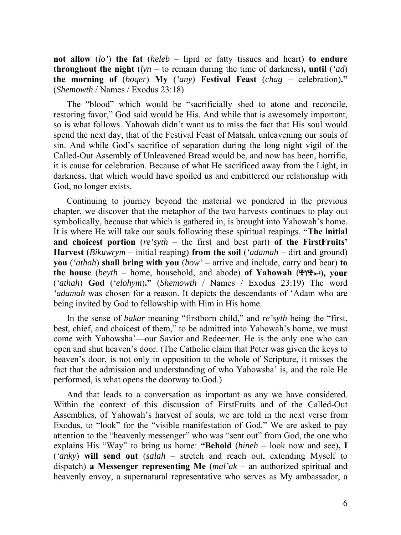**not allow** (*lo'*) **the fat** (*heleb* – lipid or fatty tissues and heart) **to endure throughout the night** (*lyn* – to remain during the time of darkness)**, until** (*'ad*) **the morning of** (*boqer*) **My** (*'any*) **Festival Feast** (*chag* – celebration)**."** (*Shemowth* / Names / Exodus 23:18)

The "blood" which would be "sacrificially shed to atone and reconcile, restoring favor," God said would be His. And while that is awesomely important, so is what follows. Yahowah didn't want us to miss the fact that His soul would spend the next day, that of the Festival Feast of Matsah, unleavening our souls of sin. And while God's sacrifice of separation during the long night vigil of the Called-Out Assembly of Unleavened Bread would be, and now has been, horrific, it is cause for celebration. Because of what He sacrificed away from the Light, in darkness, that which would have spoiled us and embittered our relationship with God, no longer exists.

Continuing to journey beyond the material we pondered in the previous chapter, we discover that the metaphor of the two harvests continues to play out symbolically, because that which is gathered in, is brought into Yahowah's home. It is where He will take our souls following these spiritual reapings. **"The initial and choicest portion** (*re'syth* – the first and best part) **of the FirstFruits' Harvest** (*Bikuwrym* – initial reaping) **from the soil** (*'adamah* – dirt and ground) **you** (*'athah*) **shall bring with you** (*bow'* – arrive and include, carry and bear) **to the house**  $(beyth - home, household, and abode)$  of Yahowah  $(\mathbb{P} \mathbb{P} \mathbb{P})$ , your (*'athah*) **God** (*'elohym*)**."** (*Shemowth* / Names / Exodus 23:19) The word *'adamah* was chosen for a reason. It depicts the descendants of 'Adam who are being invited by God to fellowship with Him in His home.

In the sense of *bakar* meaning "firstborn child," and *re'syth* being the "first, best, chief, and choicest of them," to be admitted into Yahowah's home, we must come with Yahowsha'—our Savior and Redeemer. He is the only one who can open and shut heaven's door. (The Catholic claim that Peter was given the keys to heaven's door, is not only in opposition to the whole of Scripture, it misses the fact that the admission and understanding of who Yahowsha' is, and the role He performed, is what opens the doorway to God.)

And that leads to a conversation as important as any we have considered. Within the context of this discussion of FirstFruits and of the Called-Out Assemblies, of Yahowah's harvest of souls, we are told in the next verse from Exodus, to "look" for the "visible manifestation of God." We are asked to pay attention to the "heavenly messenger" who was "sent out" from God, the one who explains His "Way" to bring us home: **"Behold** (*hineh* – look now and see)**, I**  (*'anky*) **will send out** (*salah* – stretch and reach out, extending Myself to dispatch) **a Messenger representing Me** (*mal'ak* – an authorized spiritual and heavenly envoy, a supernatural representative who serves as My ambassador, a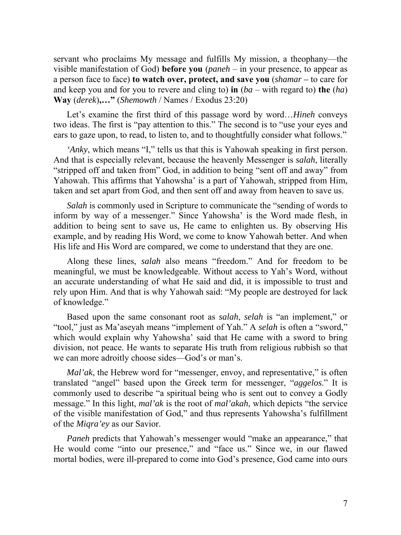servant who proclaims My message and fulfills My mission, a theophany—the visible manifestation of God) **before you** (*paneh* – in your presence, to appear as a person face to face) **to watch over, protect, and save you** (*shamar –* to care for and keep you and for you to revere and cling to) **in** (*ba* – with regard to) **the** (*ha*) **Way** (*derek*)**,…"** (*Shemowth* / Names / Exodus 23:20)

Let's examine the first third of this passage word by word...*Hineh* conveys two ideas. The first is "pay attention to this." The second is to "use your eyes and ears to gaze upon, to read, to listen to, and to thoughtfully consider what follows."

*'Anky*, which means "I," tells us that this is Yahowah speaking in first person. And that is especially relevant, because the heavenly Messenger is *salah*, literally "stripped off and taken from" God, in addition to being "sent off and away" from Yahowah. This affirms that Yahowsha' is a part of Yahowah, stripped from Him, taken and set apart from God, and then sent off and away from heaven to save us.

*Salah* is commonly used in Scripture to communicate the "sending of words to inform by way of a messenger." Since Yahowsha' is the Word made flesh, in addition to being sent to save us, He came to enlighten us. By observing His example, and by reading His Word, we come to know Yahowah better. And when His life and His Word are compared, we come to understand that they are one.

Along these lines, *salah* also means "freedom." And for freedom to be meaningful, we must be knowledgeable. Without access to Yah's Word, without an accurate understanding of what He said and did, it is impossible to trust and rely upon Him. And that is why Yahowah said: "My people are destroyed for lack of knowledge."

Based upon the same consonant root as *salah*, *selah* is "an implement," or "tool," just as Ma'aseyah means "implement of Yah." A *selah* is often a "sword," which would explain why Yahowsha' said that He came with a sword to bring division, not peace. He wants to separate His truth from religious rubbish so that we can more adroitly choose sides—God's or man's.

*Mal'ak*, the Hebrew word for "messenger, envoy, and representative," is often translated "angel" based upon the Greek term for messenger, "*aggelos*." It is commonly used to describe "a spiritual being who is sent out to convey a Godly message." In this light, *mal'ak* is the root of *mal'akah*, which depicts "the service of the visible manifestation of God," and thus represents Yahowsha's fulfillment of the *Miqra'ey* as our Savior.

*Paneh* predicts that Yahowah's messenger would "make an appearance," that He would come "into our presence," and "face us." Since we, in our flawed mortal bodies, were ill-prepared to come into God's presence, God came into ours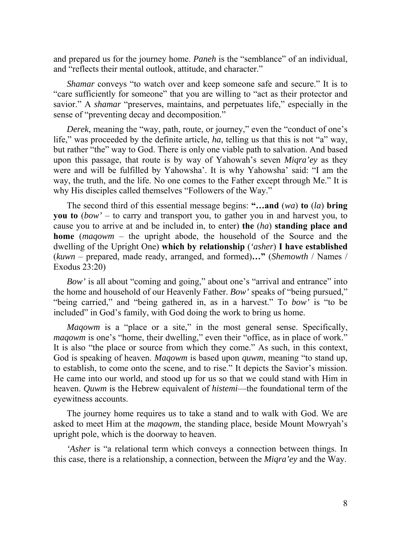and prepared us for the journey home. *Paneh* is the "semblance" of an individual, and "reflects their mental outlook, attitude, and character."

*Shamar* conveys "to watch over and keep someone safe and secure." It is to "care sufficiently for someone" that you are willing to "act as their protector and savior." A *shamar* "preserves, maintains, and perpetuates life," especially in the sense of "preventing decay and decomposition."

*Derek*, meaning the "way, path, route, or journey," even the "conduct of one's life," was proceeded by the definite article, *ha*, telling us that this is not "a" way, but rather "the" way to God. There is only one viable path to salvation. And based upon this passage, that route is by way of Yahowah's seven *Miqra'ey* as they were and will be fulfilled by Yahowsha'. It is why Yahowsha' said: "I am the way, the truth, and the life. No one comes to the Father except through Me." It is why His disciples called themselves "Followers of the Way."

The second third of this essential message begins: **"…and** (*wa*) **to** (*la*) **bring you to** (*bow'* – to carry and transport you, to gather you in and harvest you, to cause you to arrive at and be included in, to enter) **the** (*ha*) **standing place and home** (*maqowm* – the upright abode, the household of the Source and the dwelling of the Upright One) **which by relationship** (*'asher*) **I have established**  (*kuwn* – prepared, made ready, arranged, and formed)**…"** (*Shemowth* / Names / Exodus 23:20)

*Bow'* is all about "coming and going," about one's "arrival and entrance" into the home and household of our Heavenly Father. *Bow'* speaks of "being pursued," "being carried," and "being gathered in, as in a harvest." To *bow'* is "to be included" in God's family, with God doing the work to bring us home.

*Maqowm* is a "place or a site," in the most general sense. Specifically, *maqowm* is one's "home, their dwelling," even their "office, as in place of work." It is also "the place or source from which they come." As such, in this context, God is speaking of heaven. *Maqowm* is based upon *quwm*, meaning "to stand up, to establish, to come onto the scene, and to rise." It depicts the Savior's mission. He came into our world, and stood up for us so that we could stand with Him in heaven. *Quwm* is the Hebrew equivalent of *histemi*—the foundational term of the eyewitness accounts.

The journey home requires us to take a stand and to walk with God. We are asked to meet Him at the *maqowm*, the standing place, beside Mount Mowryah's upright pole, which is the doorway to heaven.

*'Asher* is "a relational term which conveys a connection between things. In this case, there is a relationship, a connection, between the *Miqra'ey* and the Way.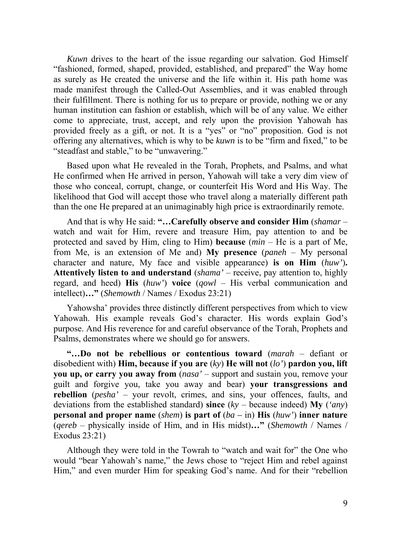*Kuwn* drives to the heart of the issue regarding our salvation. God Himself "fashioned, formed, shaped, provided, established, and prepared" the Way home as surely as He created the universe and the life within it. His path home was made manifest through the Called-Out Assemblies, and it was enabled through their fulfillment. There is nothing for us to prepare or provide, nothing we or any human institution can fashion or establish, which will be of any value. We either come to appreciate, trust, accept, and rely upon the provision Yahowah has provided freely as a gift, or not. It is a "yes" or "no" proposition. God is not offering any alternatives, which is why to be *kuwn* is to be "firm and fixed," to be "steadfast and stable," to be "unwavering."

Based upon what He revealed in the Torah, Prophets, and Psalms, and what He confirmed when He arrived in person, Yahowah will take a very dim view of those who conceal, corrupt, change, or counterfeit His Word and His Way. The likelihood that God will accept those who travel along a materially different path than the one He prepared at an unimaginably high price is extraordinarily remote.

And that is why He said: **"…Carefully observe and consider Him** (*shamar* – watch and wait for Him, revere and treasure Him, pay attention to and be protected and saved by Him, cling to Him) **because** (*min* – He is a part of Me, from Me, is an extension of Me and) **My presence** (*paneh* – My personal character and nature, My face and visible appearance) **is on Him** (*huw'*)**. Attentively listen to and understand** (*shama'* – receive, pay attention to, highly regard, and heed) **His** (*huw'*) **voice** (*qowl* – His verbal communication and intellect)**…"** (*Shemowth* / Names / Exodus 23:21)

Yahowsha' provides three distinctly different perspectives from which to view Yahowah. His example reveals God's character. His words explain God's purpose. And His reverence for and careful observance of the Torah, Prophets and Psalms, demonstrates where we should go for answers.

**"…Do not be rebellious or contentious toward** (*marah* – defiant or disobedient with) **Him, because if you are** (*ky*) **He will not** (*lo'*) **pardon you, lift you up, or carry you away from** (*nasa'* – support and sustain you, remove your guilt and forgive you, take you away and bear) **your transgressions and rebellion** (*pesha'* – your revolt, crimes, and sins, your offences, faults, and deviations from the established standard) **since** (*ky* – because indeed) **My** (*'any*) **personal and proper name** (*shem*) **is part of** (*ba –* in) **His** (*huw'*) **inner nature**  (*qereb* – physically inside of Him, and in His midst)**…"** (*Shemowth* / Names / Exodus 23:21)

Although they were told in the Towrah to "watch and wait for" the One who would "bear Yahowah's name," the Jews chose to "reject Him and rebel against Him," and even murder Him for speaking God's name. And for their "rebellion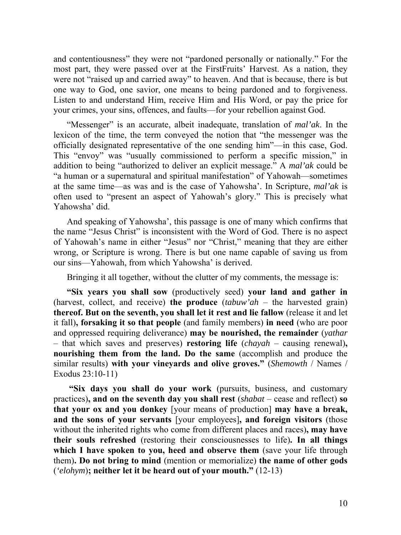and contentiousness" they were not "pardoned personally or nationally." For the most part, they were passed over at the FirstFruits' Harvest. As a nation, they were not "raised up and carried away" to heaven. And that is because, there is but one way to God, one savior, one means to being pardoned and to forgiveness. Listen to and understand Him, receive Him and His Word, or pay the price for your crimes, your sins, offences, and faults—for your rebellion against God.

"Messenger" is an accurate, albeit inadequate, translation of *mal'ak*. In the lexicon of the time, the term conveyed the notion that "the messenger was the officially designated representative of the one sending him"—in this case, God. This "envoy" was "usually commissioned to perform a specific mission," in addition to being "authorized to deliver an explicit message." A *mal'ak* could be "a human or a supernatural and spiritual manifestation" of Yahowah—sometimes at the same time—as was and is the case of Yahowsha'. In Scripture, *mal'ak* is often used to "present an aspect of Yahowah's glory." This is precisely what Yahowsha' did.

And speaking of Yahowsha', this passage is one of many which confirms that the name "Jesus Christ" is inconsistent with the Word of God. There is no aspect of Yahowah's name in either "Jesus" nor "Christ," meaning that they are either wrong, or Scripture is wrong. There is but one name capable of saving us from our sins—Yahowah, from which Yahowsha' is derived.

Bringing it all together, without the clutter of my comments, the message is:

**"Six years you shall sow** (productively seed) **your land and gather in** (harvest, collect, and receive) **the produce** (*tabuw'ah* – the harvested grain) **thereof. But on the seventh, you shall let it rest and lie fallow** (release it and let it fall)**, forsaking it so that people** (and family members) **in need** (who are poor and oppressed requiring deliverance) **may be nourished, the remainder** (*yathar*  – that which saves and preserves) **restoring life** (*chayah* – causing renewal)**, nourishing them from the land. Do the same** (accomplish and produce the similar results) **with your vineyards and olive groves."** (*Shemowth* / Names / Exodus 23:10-11)

**"Six days you shall do your work** (pursuits, business, and customary practices)**, and on the seventh day you shall rest** (*shabat* – cease and reflect) **so that your ox and you donkey** [your means of production] **may have a break, and the sons of your servants** [your employees]**, and foreign visitors** (those without the inherited rights who come from different places and races)**, may have their souls refreshed** (restoring their consciousnesses to life)**. In all things which I have spoken to you, heed and observe them** (save your life through them)**. Do not bring to mind** (mention or memorialize) **the name of other gods**  (*'elohym*)**; neither let it be heard out of your mouth."** (12-13)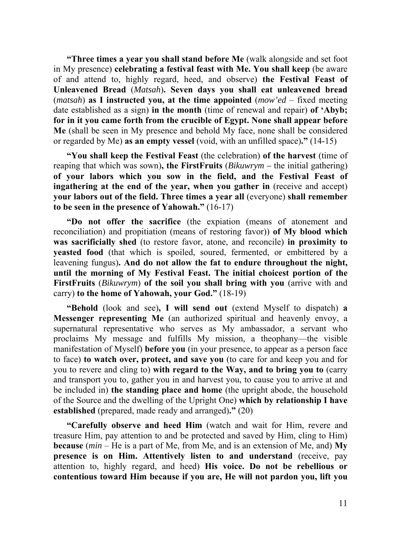**"Three times a year you shall stand before Me** (walk alongside and set foot in My presence) **celebrating a festival feast with Me. You shall keep** (be aware of and attend to, highly regard, heed, and observe) **the Festival Feast of Unleavened Bread** (*Matsah*)**. Seven days you shall eat unleavened bread**  (*matsah*) **as I instructed you, at the time appointed**  $(mow'ed - fixed meeting)$ date established as a sign) **in the month** (time of renewal and repair) **of 'Abyb; for in it you came forth from the crucible of Egypt. None shall appear before Me** (shall be seen in My presence and behold My face, none shall be considered or regarded by Me) **as an empty vessel** (void, with an unfilled space)**."** (14-15)

**"You shall keep the Festival Feast** (the celebration) **of the harvest** (time of reaping that which was sown)**, the FirstFruits** (*Bikuwrym –* the initial gathering) **of your labors which you sow in the field, and the Festival Feast of ingathering at the end of the year, when you gather in** (receive and accept) **your labors out of the field. Three times a year all** (everyone) **shall remember to be seen in the presence of Yahowah."** (16-17)

**"Do not offer the sacrifice** (the expiation (means of atonement and reconciliation) and propitiation (means of restoring favor)) **of My blood which was sacrificially shed** (to restore favor, atone, and reconcile) **in proximity to yeasted food** (that which is spoiled, soured, fermented, or embittered by a leavening fungus)**. And do not allow the fat to endure throughout the night, until the morning of My Festival Feast. The initial choicest portion of the FirstFruits** (*Bikuwrym*) **of the soil you shall bring with you** (arrive with and carry) **to the home of Yahowah, your God."** (18-19)

**"Behold** (look and see)**, I will send out** (extend Myself to dispatch) **a Messenger representing Me** (an authorized spiritual and heavenly envoy, a supernatural representative who serves as My ambassador, a servant who proclaims My message and fulfills My mission, a theophany—the visible manifestation of Myself) **before you** (in your presence, to appear as a person face to face) **to watch over, protect, and save you** (to care for and keep you and for you to revere and cling to) **with regard to the Way, and to bring you to** (carry and transport you to, gather you in and harvest you, to cause you to arrive at and be included in) **the standing place and home** (the upright abode, the household of the Source and the dwelling of the Upright One) **which by relationship I have established** (prepared, made ready and arranged)**."** (20)

**"Carefully observe and heed Him** (watch and wait for Him, revere and treasure Him, pay attention to and be protected and saved by Him, cling to Him) **because** (*min* – He is a part of Me, from Me, and is an extension of Me, and) **My presence is on Him. Attentively listen to and understand** (receive, pay attention to, highly regard, and heed) **His voice. Do not be rebellious or contentious toward Him because if you are, He will not pardon you, lift you**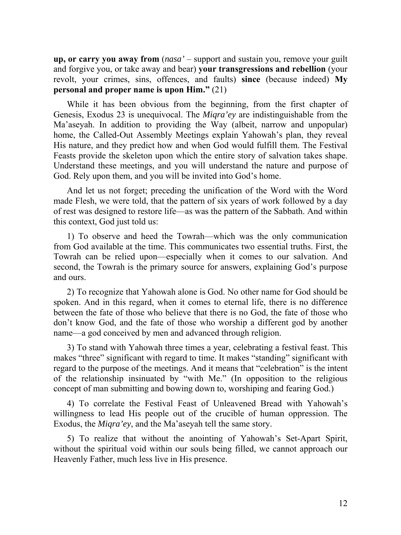**up, or carry you away from** (*nasa'* – support and sustain you, remove your guilt and forgive you, or take away and bear) **your transgressions and rebellion** (your revolt, your crimes, sins, offences, and faults) **since** (because indeed) **My personal and proper name is upon Him."** (21)

While it has been obvious from the beginning, from the first chapter of Genesis, Exodus 23 is unequivocal. The *Miqra'ey* are indistinguishable from the Ma'aseyah. In addition to providing the Way (albeit, narrow and unpopular) home, the Called-Out Assembly Meetings explain Yahowah's plan, they reveal His nature, and they predict how and when God would fulfill them. The Festival Feasts provide the skeleton upon which the entire story of salvation takes shape. Understand these meetings, and you will understand the nature and purpose of God. Rely upon them, and you will be invited into God's home.

And let us not forget; preceding the unification of the Word with the Word made Flesh, we were told, that the pattern of six years of work followed by a day of rest was designed to restore life—as was the pattern of the Sabbath. And within this context, God just told us:

1) To observe and heed the Towrah—which was the only communication from God available at the time. This communicates two essential truths. First, the Towrah can be relied upon—especially when it comes to our salvation. And second, the Towrah is the primary source for answers, explaining God's purpose and ours.

2) To recognize that Yahowah alone is God. No other name for God should be spoken. And in this regard, when it comes to eternal life, there is no difference between the fate of those who believe that there is no God, the fate of those who don't know God, and the fate of those who worship a different god by another name—a god conceived by men and advanced through religion.

3) To stand with Yahowah three times a year, celebrating a festival feast. This makes "three" significant with regard to time. It makes "standing" significant with regard to the purpose of the meetings. And it means that "celebration" is the intent of the relationship insinuated by "with Me." (In opposition to the religious concept of man submitting and bowing down to, worshiping and fearing God.)

4) To correlate the Festival Feast of Unleavened Bread with Yahowah's willingness to lead His people out of the crucible of human oppression. The Exodus, the *Miqra'ey*, and the Ma'aseyah tell the same story.

5) To realize that without the anointing of Yahowah's Set-Apart Spirit, without the spiritual void within our souls being filled, we cannot approach our Heavenly Father, much less live in His presence.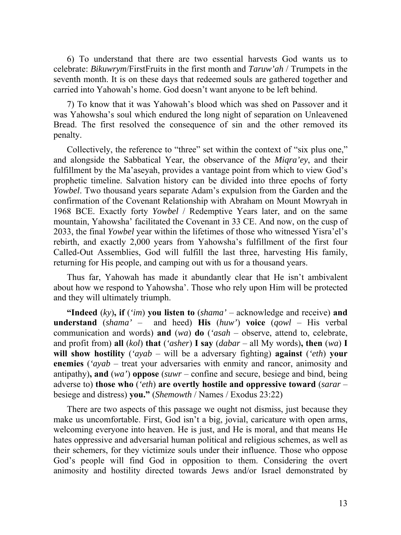6) To understand that there are two essential harvests God wants us to celebrate: *Bikuwrym*/FirstFruits in the first month and *Taruw'ah* / Trumpets in the seventh month. It is on these days that redeemed souls are gathered together and carried into Yahowah's home. God doesn't want anyone to be left behind.

7) To know that it was Yahowah's blood which was shed on Passover and it was Yahowsha's soul which endured the long night of separation on Unleavened Bread. The first resolved the consequence of sin and the other removed its penalty.

Collectively, the reference to "three" set within the context of "six plus one," and alongside the Sabbatical Year, the observance of the *Miqra'ey*, and their fulfillment by the Ma'aseyah, provides a vantage point from which to view God's prophetic timeline. Salvation history can be divided into three epochs of forty *Yowbel*. Two thousand years separate Adam's expulsion from the Garden and the confirmation of the Covenant Relationship with Abraham on Mount Mowryah in 1968 BCE. Exactly forty *Yowbel* / Redemptive Years later, and on the same mountain, Yahowsha' facilitated the Covenant in 33 CE. And now, on the cusp of 2033, the final *Yowbel* year within the lifetimes of those who witnessed Yisra'el's rebirth, and exactly 2,000 years from Yahowsha's fulfillment of the first four Called-Out Assemblies, God will fulfill the last three, harvesting His family, returning for His people, and camping out with us for a thousand years.

Thus far, Yahowah has made it abundantly clear that He isn't ambivalent about how we respond to Yahowsha'. Those who rely upon Him will be protected and they will ultimately triumph.

**"Indeed** (*ky*)**, if** (*'im*) **you listen to** (*shama'* – acknowledge and receive) **and understand** (*shama'* – and heed) **His** (*huw'*) **voice** (*qowl* – His verbal communication and words) **and** (*wa*) **do** (*'asah* – observe, attend to, celebrate, and profit from) **all** (*kol*) **that** (*'asher*) **I say** (*dabar* – all My words)**, then** (*wa*) **I will show hostility** (*'ayab* – will be a adversary fighting) **against** (*'eth*) **your enemies** (*'ayab* – treat your adversaries with enmity and rancor, animosity and antipathy)**, and** (*wa'*) **oppose** (*suwr* – confine and secure, besiege and bind, being adverse to) **those who** (*'eth*) **are overtly hostile and oppressive toward** (*sarar* – besiege and distress) **you."** (*Shemowth* / Names / Exodus 23:22)

There are two aspects of this passage we ought not dismiss, just because they make us uncomfortable. First, God isn't a big, jovial, caricature with open arms, welcoming everyone into heaven. He is just, and He is moral, and that means He hates oppressive and adversarial human political and religious schemes, as well as their schemers, for they victimize souls under their influence. Those who oppose God's people will find God in opposition to them. Considering the overt animosity and hostility directed towards Jews and/or Israel demonstrated by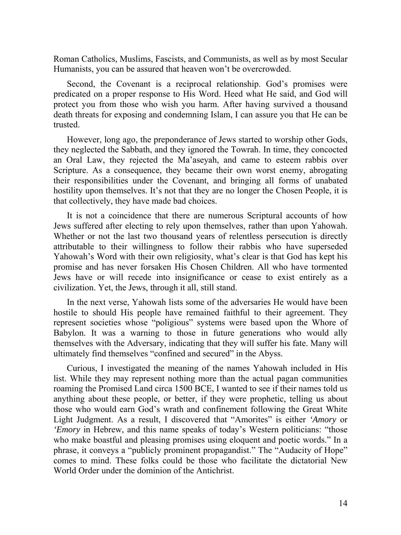Roman Catholics, Muslims, Fascists, and Communists, as well as by most Secular Humanists, you can be assured that heaven won't be overcrowded.

Second, the Covenant is a reciprocal relationship. God's promises were predicated on a proper response to His Word. Heed what He said, and God will protect you from those who wish you harm. After having survived a thousand death threats for exposing and condemning Islam, I can assure you that He can be trusted.

However, long ago, the preponderance of Jews started to worship other Gods, they neglected the Sabbath, and they ignored the Towrah. In time, they concocted an Oral Law, they rejected the Ma'aseyah, and came to esteem rabbis over Scripture. As a consequence, they became their own worst enemy, abrogating their responsibilities under the Covenant, and bringing all forms of unabated hostility upon themselves. It's not that they are no longer the Chosen People, it is that collectively, they have made bad choices.

It is not a coincidence that there are numerous Scriptural accounts of how Jews suffered after electing to rely upon themselves, rather than upon Yahowah. Whether or not the last two thousand years of relentless persecution is directly attributable to their willingness to follow their rabbis who have superseded Yahowah's Word with their own religiosity, what's clear is that God has kept his promise and has never forsaken His Chosen Children. All who have tormented Jews have or will recede into insignificance or cease to exist entirely as a civilization. Yet, the Jews, through it all, still stand.

In the next verse, Yahowah lists some of the adversaries He would have been hostile to should His people have remained faithful to their agreement. They represent societies whose "poligious" systems were based upon the Whore of Babylon. It was a warning to those in future generations who would ally themselves with the Adversary, indicating that they will suffer his fate. Many will ultimately find themselves "confined and secured" in the Abyss.

Curious, I investigated the meaning of the names Yahowah included in His list. While they may represent nothing more than the actual pagan communities roaming the Promised Land circa 1500 BCE, I wanted to see if their names told us anything about these people, or better, if they were prophetic, telling us about those who would earn God's wrath and confinement following the Great White Light Judgment. As a result, I discovered that "Amorites" is either *'Amory* or *'Emory* in Hebrew, and this name speaks of today's Western politicians: "those who make boastful and pleasing promises using eloquent and poetic words." In a phrase, it conveys a "publicly prominent propagandist." The "Audacity of Hope" comes to mind. These folks could be those who facilitate the dictatorial New World Order under the dominion of the Antichrist.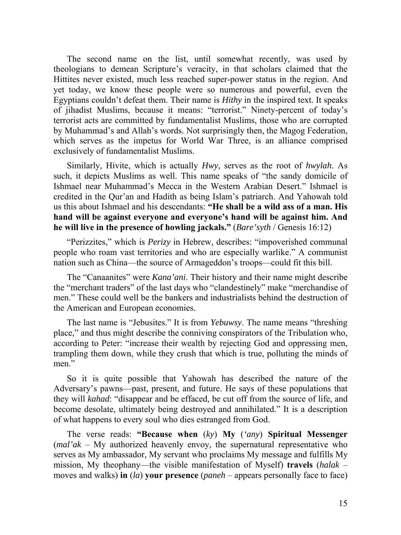The second name on the list, until somewhat recently, was used by theologians to demean Scripture's veracity, in that scholars claimed that the Hittites never existed, much less reached super-power status in the region. And yet today, we know these people were so numerous and powerful, even the Egyptians couldn't defeat them. Their name is *Hithy* in the inspired text. It speaks of jihadist Muslims, because it means: "terrorist." Ninety-percent of today's terrorist acts are committed by fundamentalist Muslims, those who are corrupted by Muhammad's and Allah's words. Not surprisingly then, the Magog Federation, which serves as the impetus for World War Three, is an alliance comprised exclusively of fundamentalist Muslims.

Similarly, Hivite, which is actually *Hwy*, serves as the root of *hwylah*. As such, it depicts Muslims as well. This name speaks of "the sandy domicile of Ishmael near Muhammad's Mecca in the Western Arabian Desert." Ishmael is credited in the Qur'an and Hadith as being Islam's patriarch. And Yahowah told us this about Ishmael and his descendants: **"He shall be a wild ass of a man. His hand will be against everyone and everyone's hand will be against him. And he will live in the presence of howling jackals."** (*Bare'syth* / Genesis 16:12)

"Perizzites," which is *Perizy* in Hebrew, describes: "impoverished communal people who roam vast territories and who are especially warlike." A communist nation such as China—the source of Armageddon's troops—could fit this bill.

The "Canaanites" were *Kana'ani*. Their history and their name might describe the "merchant traders" of the last days who "clandestinely" make "merchandise of men." These could well be the bankers and industrialists behind the destruction of the American and European economies.

The last name is "Jebusites." It is from *Yebuwsy*. The name means "threshing place," and thus might describe the conniving conspirators of the Tribulation who, according to Peter: "increase their wealth by rejecting God and oppressing men, trampling them down, while they crush that which is true, polluting the minds of men."

So it is quite possible that Yahowah has described the nature of the Adversary's pawns—past, present, and future. He says of these populations that they will *kahad*: "disappear and be effaced, be cut off from the source of life, and become desolate, ultimately being destroyed and annihilated." It is a description of what happens to every soul who dies estranged from God.

The verse reads: **"Because when** (*ky*) **My** (*'any*) **Spiritual Messenger** (*mal'ak* – My authorized heavenly envoy, the supernatural representative who serves as My ambassador, My servant who proclaims My message and fulfills My mission, My theophany—the visible manifestation of Myself) **travels** (*halak* – moves and walks) **in** (*la*) **your presence** (*paneh* – appears personally face to face)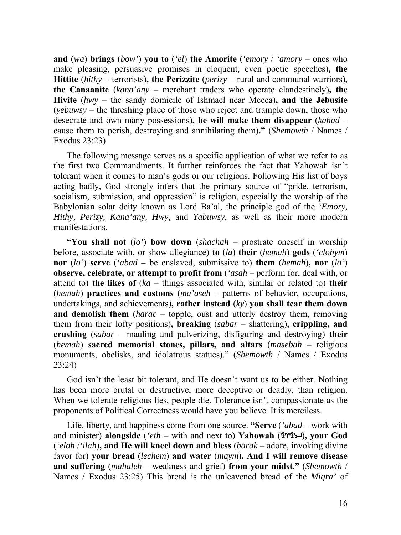**and** (*wa*) **brings** (*bow'*) **you to** (*'el*) **the Amorite** (*'emory* / *'amory* – ones who make pleasing, persuasive promises in eloquent, even poetic speeches)**, the Hittite** (*hithy* – terrorists)**, the Perizzite** (*perizy* – rural and communal warriors)**, the Canaanite** (*kana'any* – merchant traders who operate clandestinely)**, the Hivite** (*hwy* – the sandy domicile of Ishmael near Mecca)**, and the Jebusite** (*yebuwsy* – the threshing place of those who reject and trample down, those who desecrate and own many possessions)**, he will make them disappear** (*kahad* – cause them to perish, destroying and annihilating them)**."** (*Shemowth* / Names / Exodus 23:23)

The following message serves as a specific application of what we refer to as the first two Commandments. It further reinforces the fact that Yahowah isn't tolerant when it comes to man's gods or our religions. Following His list of boys acting badly, God strongly infers that the primary source of "pride, terrorism, socialism, submission, and oppression" is religion, especially the worship of the Babylonian solar deity known as Lord Ba'al, the principle god of the *'Emory, Hithy, Perizy, Kana'any, Hwy,* and *Yabuwsy*, as well as their more modern manifestations.

**"You shall not** (*lo'*) **bow down** (*shachah* – prostrate oneself in worship before, associate with, or show allegiance) **to** (*la*) **their** (*hemah*) **gods** (*'elohym*) **nor** (*lo'*) **serve** (*'abad –* be enslaved, submissive to) **them** (*hemah*)**, nor** (*lo'*) **observe, celebrate, or attempt to profit from** (*'asah* – perform for, deal with, or attend to) **the likes of** (*ka* – things associated with, similar or related to) **their**  (*hemah*) **practices and customs** (*ma'aseh* – patterns of behavior, occupations, undertakings, and achievements)**, rather instead** (*ky*) **you shall tear them down and demolish them** (*harac* – topple, oust and utterly destroy them, removing them from their lofty positions)**, breaking** (*sabar* – shattering)**, crippling, and crushing** (*sabar* – mauling and pulverizing, disfiguring and destroying) **their**  (*hemah*) **sacred memorial stones, pillars, and altars** (*masebah* – religious monuments, obelisks, and idolatrous statues)." (*Shemowth* / Names / Exodus 23:24)

God isn't the least bit tolerant, and He doesn't want us to be either. Nothing has been more brutal or destructive, more deceptive or deadly, than religion. When we tolerate religious lies, people die. Tolerance isn't compassionate as the proponents of Political Correctness would have you believe. It is merciless.

Life, liberty, and happiness come from one source. **"Serve** (*'abad –* work with and minister) **alongside** (*'eth* – with and next to) **Yahowah** ()**, your God**  (*'elah* /*'ilah*)**, and He will kneel down and bless** (*barak* – adore, invoking divine favor for) **your bread** (*lechem*) **and water** (*maym*)**. And I will remove disease and suffering** (*mahaleh* – weakness and grief) **from your midst."** (*Shemowth* / Names / Exodus 23:25) This bread is the unleavened bread of the *Miqra'* of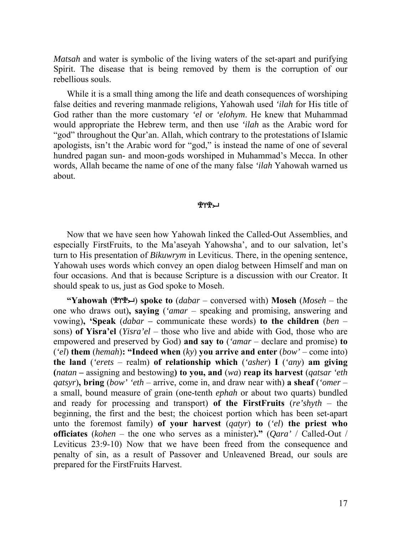*Matsah* and water is symbolic of the living waters of the set-apart and purifying Spirit. The disease that is being removed by them is the corruption of our rebellious souls.

While it is a small thing among the life and death consequences of worshiping false deities and revering manmade religions, Yahowah used *'ilah* for His title of God rather than the more customary *'el* or *'elohym*. He knew that Muhammad would appropriate the Hebrew term, and then use *'ilah* as the Arabic word for "god" throughout the Qur'an. Allah, which contrary to the protestations of Islamic apologists, isn't the Arabic word for "god," is instead the name of one of several hundred pagan sun- and moon-gods worshiped in Muhammad's Mecca. In other words, Allah became the name of one of the many false *'ilah* Yahowah warned us about.

#### ጜሇዀ

Now that we have seen how Yahowah linked the Called-Out Assemblies, and especially FirstFruits, to the Ma'aseyah Yahowsha', and to our salvation, let's turn to His presentation of *Bikuwrym* in Leviticus. There, in the opening sentence, Yahowah uses words which convey an open dialog between Himself and man on four occasions. And that is because Scripture is a discussion with our Creator. It should speak to us, just as God spoke to Moseh.

**"Yahowah (** $\mathbb{R}^n$ **) spoke to**  $(dabar -$  conversed with) **Moseh**  $(Moseh -$  the one who draws out)**, saying** (*'amar* – speaking and promising, answering and vowing)**, 'Speak** (*dabar –* communicate these words) **to the children** (*ben* – sons) **of Yisra'el** (*Yisra'el* – those who live and abide with God, those who are empowered and preserved by God) **and say to** (*'amar* – declare and promise) **to**  (*'el*) **them** (*hemah*)**: "Indeed when** (*ky*) **you arrive and enter** (*bow'* – come into) **the land** (*'erets* – realm) **of relationship which** (*'asher*) **I** (*'any*) **am giving (***natan* **–** assigning and bestowing**) to you, and** (*wa*) **reap its harvest** (*qatsar 'eth qatsyr*)**, bring** (*bow' 'eth* – arrive, come in, and draw near with) **a sheaf** (*'omer* – a small, bound measure of grain (one-tenth *ephah* or about two quarts) bundled and ready for processing and transport) **of the FirstFruits** (*re'shyth* – the beginning, the first and the best; the choicest portion which has been set-apart unto the foremost family) **of your harvest** (*qatyr*) **to** (*'el*) **the priest who officiates** (*kohen* – the one who serves as a minister)**."** (*Qara'* / Called-Out / Leviticus 23:9-10) Now that we have been freed from the consequence and penalty of sin, as a result of Passover and Unleavened Bread, our souls are prepared for the FirstFruits Harvest.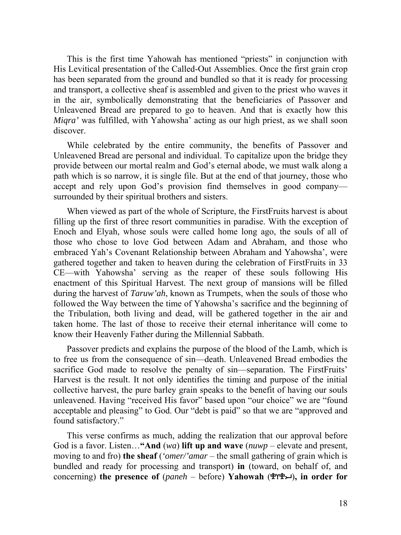This is the first time Yahowah has mentioned "priests" in conjunction with His Levitical presentation of the Called-Out Assemblies. Once the first grain crop has been separated from the ground and bundled so that it is ready for processing and transport, a collective sheaf is assembled and given to the priest who waves it in the air, symbolically demonstrating that the beneficiaries of Passover and Unleavened Bread are prepared to go to heaven. And that is exactly how this *Miqra'* was fulfilled, with Yahowsha' acting as our high priest, as we shall soon discover.

While celebrated by the entire community, the benefits of Passover and Unleavened Bread are personal and individual. To capitalize upon the bridge they provide between our mortal realm and God's eternal abode, we must walk along a path which is so narrow, it is single file. But at the end of that journey, those who accept and rely upon God's provision find themselves in good company surrounded by their spiritual brothers and sisters.

When viewed as part of the whole of Scripture, the FirstFruits harvest is about filling up the first of three resort communities in paradise. With the exception of Enoch and Elyah, whose souls were called home long ago, the souls of all of those who chose to love God between Adam and Abraham, and those who embraced Yah's Covenant Relationship between Abraham and Yahowsha', were gathered together and taken to heaven during the celebration of FirstFruits in 33 CE—with Yahowsha' serving as the reaper of these souls following His enactment of this Spiritual Harvest. The next group of mansions will be filled during the harvest of *Taruw'ah*, known as Trumpets, when the souls of those who followed the Way between the time of Yahowsha's sacrifice and the beginning of the Tribulation, both living and dead, will be gathered together in the air and taken home. The last of those to receive their eternal inheritance will come to know their Heavenly Father during the Millennial Sabbath.

Passover predicts and explains the purpose of the blood of the Lamb, which is to free us from the consequence of sin—death. Unleavened Bread embodies the sacrifice God made to resolve the penalty of sin—separation. The FirstFruits' Harvest is the result. It not only identifies the timing and purpose of the initial collective harvest, the pure barley grain speaks to the benefit of having our souls unleavened. Having "received His favor" based upon "our choice" we are "found acceptable and pleasing" to God. Our "debt is paid" so that we are "approved and found satisfactory."

This verse confirms as much, adding the realization that our approval before God is a favor. Listen…**"And** (*wa*) **lift up and wave** (*nuwp* – elevate and present, moving to and fro) **the sheaf** (*'omer/'amar* – the small gathering of grain which is bundled and ready for processing and transport) **in** (toward, on behalf of, and concerning) **the presence of** (*paneh* – before) **Yahowah** ()**, in order for**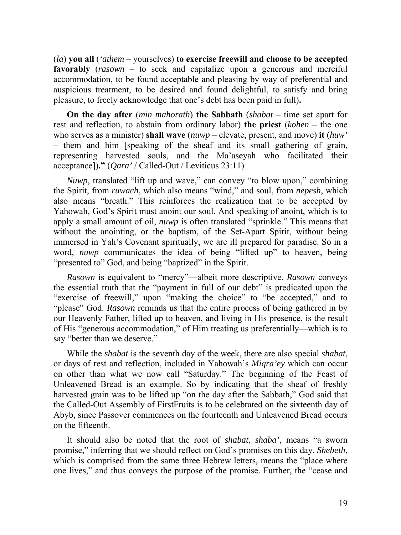(*la*) **you all** (*'athem* – yourselves) **to exercise freewill and choose to be accepted favorably** (*rasown* – to seek and capitalize upon a generous and merciful accommodation, to be found acceptable and pleasing by way of preferential and auspicious treatment, to be desired and found delightful, to satisfy and bring pleasure, to freely acknowledge that one's debt has been paid in full)**.** 

**On the day after** (*min mahorath*) **the Sabbath** (*shabat* – time set apart for rest and reflection, to abstain from ordinary labor) **the priest** (*kohen* – the one who serves as a minister) **shall wave** (*nuwp* – elevate, present, and move) **it** (*huw' –* them and him [speaking of the sheaf and its small gathering of grain, representing harvested souls, and the Ma'aseyah who facilitated their acceptance])**."** (*Qara'* / Called-Out / Leviticus 23:11)

*Nuwp*, translated "lift up and wave," can convey "to blow upon," combining the Spirit, from *ruwach*, which also means "wind," and soul, from *nepesh*, which also means "breath." This reinforces the realization that to be accepted by Yahowah, God's Spirit must anoint our soul. And speaking of anoint, which is to apply a small amount of oil, *nuwp* is often translated "sprinkle." This means that without the anointing, or the baptism, of the Set-Apart Spirit, without being immersed in Yah's Covenant spiritually, we are ill prepared for paradise. So in a word, *nuwp* communicates the idea of being "lifted up" to heaven, being "presented to" God, and being "baptized" in the Spirit.

*Rasown* is equivalent to "mercy"—albeit more descriptive. *Rasown* conveys the essential truth that the "payment in full of our debt" is predicated upon the "exercise of freewill," upon "making the choice" to "be accepted," and to "please" God. *Rasown* reminds us that the entire process of being gathered in by our Heavenly Father, lifted up to heaven, and living in His presence, is the result of His "generous accommodation," of Him treating us preferentially—which is to say "better than we deserve."

While the *shabat* is the seventh day of the week, there are also special *shabat*, or days of rest and reflection, included in Yahowah's *Miqra'ey* which can occur on other than what we now call "Saturday." The beginning of the Feast of Unleavened Bread is an example. So by indicating that the sheaf of freshly harvested grain was to be lifted up "on the day after the Sabbath," God said that the Called-Out Assembly of FirstFruits is to be celebrated on the sixteenth day of Abyb, since Passover commences on the fourteenth and Unleavened Bread occurs on the fifteenth.

It should also be noted that the root of *shabat*, *shaba'*, means "a sworn promise," inferring that we should reflect on God's promises on this day. *Shebeth*, which is comprised from the same three Hebrew letters, means the "place where one lives," and thus conveys the purpose of the promise. Further, the "cease and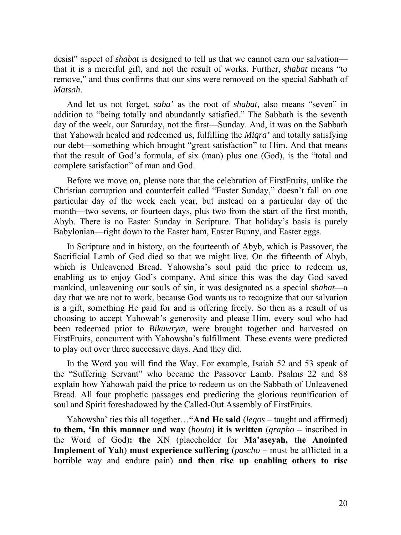desist" aspect of *shabat* is designed to tell us that we cannot earn our salvation that it is a merciful gift, and not the result of works. Further, *shabat* means "to remove," and thus confirms that our sins were removed on the special Sabbath of *Matsah*.

And let us not forget, *saba'* as the root of *shabat*, also means "seven" in addition to "being totally and abundantly satisfied." The Sabbath is the seventh day of the week, our Saturday, not the first—Sunday. And, it was on the Sabbath that Yahowah healed and redeemed us, fulfilling the *Miqra'* and totally satisfying our debt—something which brought "great satisfaction" to Him. And that means that the result of God's formula, of six (man) plus one (God), is the "total and complete satisfaction" of man and God.

Before we move on, please note that the celebration of FirstFruits, unlike the Christian corruption and counterfeit called "Easter Sunday," doesn't fall on one particular day of the week each year, but instead on a particular day of the month—two sevens, or fourteen days, plus two from the start of the first month, Abyb. There is no Easter Sunday in Scripture. That holiday's basis is purely Babylonian—right down to the Easter ham, Easter Bunny, and Easter eggs.

In Scripture and in history, on the fourteenth of Abyb, which is Passover, the Sacrificial Lamb of God died so that we might live. On the fifteenth of Abyb, which is Unleavened Bread, Yahowsha's soul paid the price to redeem us, enabling us to enjoy God's company. And since this was the day God saved mankind, unleavening our souls of sin, it was designated as a special *shabat*—a day that we are not to work, because God wants us to recognize that our salvation is a gift, something He paid for and is offering freely. So then as a result of us choosing to accept Yahowah's generosity and please Him, every soul who had been redeemed prior to *Bikuwrym*, were brought together and harvested on FirstFruits, concurrent with Yahowsha's fulfillment. These events were predicted to play out over three successive days. And they did.

In the Word you will find the Way. For example, Isaiah 52 and 53 speak of the "Suffering Servant" who became the Passover Lamb. Psalms 22 and 88 explain how Yahowah paid the price to redeem us on the Sabbath of Unleavened Bread. All four prophetic passages end predicting the glorious reunification of soul and Spirit foreshadowed by the Called-Out Assembly of FirstFruits.

Yahowsha' ties this all together…**"And He said** (*legos* – taught and affirmed) **to them, 'In this manner and way** (*houto*) **it is written** (*grapho –* inscribed in the Word of God)**: the** ΧΝ (placeholder for **Ma'aseyah, the Anointed Implement of Yah**) **must experience suffering** (*pascho* – must be afflicted in a horrible way and endure pain) **and then rise up enabling others to rise**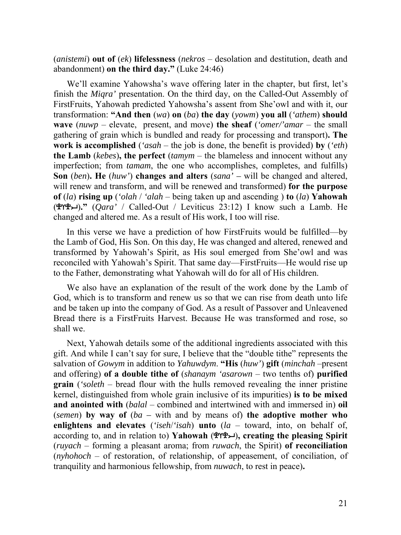(*anistemi*) **out of** (*ek*) **lifelessness** (*nekros* – desolation and destitution, death and abandonment) **on the third day."** (Luke 24:46)

We'll examine Yahowsha's wave offering later in the chapter, but first, let's finish the *Miqra'* presentation. On the third day, on the Called-Out Assembly of FirstFruits, Yahowah predicted Yahowsha's assent from She'owl and with it, our transformation: **"And then** (*wa*) **on** (*ba*) **the day** (*yowm*) **you all** (*'athem*) **should wave** (*nuwp* – elevate, present, and move) **the sheaf** (*'omer/'amar* – the small gathering of grain which is bundled and ready for processing and transport)**. The work is accomplished** (*'asah* – the job is done, the benefit is provided) **by** (*'eth*) **the Lamb** (*kebes*)**, the perfect** (*tamym* – the blameless and innocent without any imperfection; from *tamam*, the one who accomplishes, completes, and fulfills) **Son** (*ben*)**. He** (*huw'*) **changes and alters** (*sana' –* will be changed and altered, will renew and transform, and will be renewed and transformed) **for the purpose of** (*la*) **rising up** (*'olah* / *'alah* – being taken up and ascending ) **to** (*la*) **Yahowah**  ()**."** (*Qara'* / Called-Out / Leviticus 23:12) I know such a Lamb. He changed and altered me. As a result of His work, I too will rise.

In this verse we have a prediction of how FirstFruits would be fulfilled—by the Lamb of God, His Son. On this day, He was changed and altered, renewed and transformed by Yahowah's Spirit, as His soul emerged from She'owl and was reconciled with Yahowah's Spirit. That same day—FirstFruits—He would rise up to the Father, demonstrating what Yahowah will do for all of His children.

We also have an explanation of the result of the work done by the Lamb of God, which is to transform and renew us so that we can rise from death unto life and be taken up into the company of God. As a result of Passover and Unleavened Bread there is a FirstFruits Harvest. Because He was transformed and rose, so shall we.

Next, Yahowah details some of the additional ingredients associated with this gift. And while I can't say for sure, I believe that the "double tithe" represents the salvation of *Gowym* in addition to *Yahuwdym*. **"His** (*huw'*) **gift** (*minchah* –present and offering) **of a double tithe of** (*shanaym 'asarown* – two tenths of) **purified grain** (*'soleth* – bread flour with the hulls removed revealing the inner pristine kernel, distinguished from whole grain inclusive of its impurities) **is to be mixed and anointed with** (*balal* – combined and intertwined with and immersed in) **oil** (*semen*) **by way of** (*ba –* with and by means of) **the adoptive mother who enlightens and elevates** (*'iseh*/*'isah*) **unto** (*la* – toward, into, on behalf of, according to, and in relation to) **Yahowah** ()**, creating the pleasing Spirit**  (*ruyach* – forming a pleasant aroma; from *ruwach*, the Spirit) **of reconciliation**  (*nyhohoch* – of restoration, of relationship, of appeasement, of conciliation, of tranquility and harmonious fellowship, from *nuwach*, to rest in peace)**.**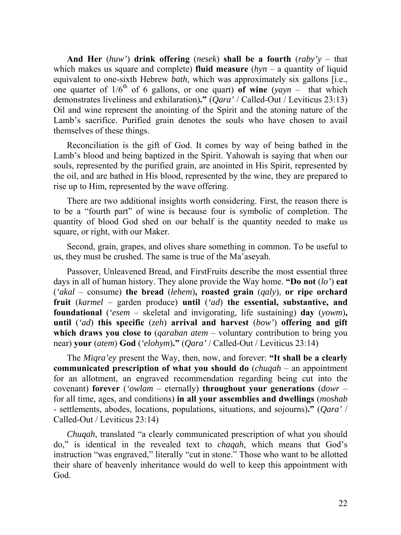**And Her** (*huw'*) **drink offering** (*nesek*) **shall be a fourth** (*raby'y* – that which makes us square and complete) **fluid measure** (*hyn* – a quantity of liquid equivalent to one-sixth Hebrew *bath*, which was approximately six gallons [i.e., one quarter of  $1/6^{th}$  of 6 gallons, or one quart) of wine  $(yayn - that$  which demonstrates liveliness and exhilaration)**."** (*Qara'* / Called-Out / Leviticus 23:13) Oil and wine represent the anointing of the Spirit and the atoning nature of the Lamb's sacrifice. Purified grain denotes the souls who have chosen to avail themselves of these things.

Reconciliation is the gift of God. It comes by way of being bathed in the Lamb's blood and being baptized in the Spirit. Yahowah is saying that when our souls, represented by the purified grain, are anointed in His Spirit, represented by the oil, and are bathed in His blood, represented by the wine, they are prepared to rise up to Him, represented by the wave offering.

There are two additional insights worth considering. First, the reason there is to be a "fourth part" of wine is because four is symbolic of completion. The quantity of blood God shed on our behalf is the quantity needed to make us square, or right, with our Maker.

Second, grain, grapes, and olives share something in common. To be useful to us, they must be crushed. The same is true of the Ma'aseyah.

Passover, Unleavened Bread, and FirstFruits describe the most essential three days in all of human history. They alone provide the Way home. **"Do not** (*lo'*) **eat** (*'akal* – consume) **the bread** (*lehem*)**, roasted grain** (*qaly*), **or ripe orchard fruit** (*karmel* – garden produce) **until** (*'ad*) **the essential, substantive, and foundational** (*'esem* – skeletal and invigorating, life sustaining) **day** (*yowm*)**, until** (*'ad*) **this specific** (*zeh*) **arrival and harvest** (*bow'*) **offering and gift which draws you close to** (*qaraban atem* – voluntary contribution to bring you near) **your** (*atem*) **God** (*'elohym*)**."** (*Qara'* / Called-Out / Leviticus 23:14)

The *Miqra'ey* present the Way, then, now, and forever: **"It shall be a clearly communicated prescription of what you should do** (*chuqah* – an appointment for an allotment, an engraved recommendation regarding being cut into the covenant) **forever** (*'owlam* – eternally) **throughout your generations** (*dowr* – for all time, ages, and conditions) **in all your assemblies and dwellings** (*moshab* - settlements, abodes, locations, populations, situations, and sojourns)**."** (*Qara'* / Called-Out / Leviticus 23:14)

*Chuqah*, translated "a clearly communicated prescription of what you should do," is identical in the revealed text to *chaqah*, which means that God's instruction "was engraved," literally "cut in stone." Those who want to be allotted their share of heavenly inheritance would do well to keep this appointment with God.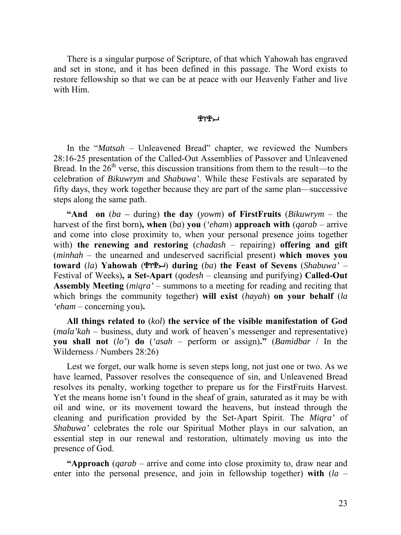There is a singular purpose of Scripture, of that which Yahowah has engraved and set in stone, and it has been defined in this passage. The Word exists to restore fellowship so that we can be at peace with our Heavenly Father and live with Him.

# ቔ፞Υቘ፞

In the "*Matsah* – Unleavened Bread" chapter, we reviewed the Numbers 28:16-25 presentation of the Called-Out Assemblies of Passover and Unleavened Bread. In the  $26<sup>th</sup>$  verse, this discussion transitions from them to the result—to the celebration of *Bikuwrym* and *Shabuwa'*. While these Festivals are separated by fifty days, they work together because they are part of the same plan—successive steps along the same path.

**"And on** (*ba –* during) **the day** (*yowm*) **of FirstFruits** (*Bikuwrym* – the harvest of the first born)**, when** (*ba*) **you** (*'eham*) **approach with** (*qarab* – arrive and come into close proximity to, when your personal presence joins together with) **the renewing and restoring** (*chadash* – repairing) **offering and gift** (*minhah* – the unearned and undeserved sacrificial present) **which moves you toward** (*la*) **Yahowah** () **during** (*ba*) **the Feast of Sevens** (*Shabuwa'* – Festival of Weeks)**, a Set-Apart** (*qodesh* – cleansing and purifying) **Called-Out Assembly Meeting** (*miqra'* – summons to a meeting for reading and reciting that which brings the community together) **will exist** (*hayah*) **on your behalf** (*la 'eham* – concerning you)**.** 

**All things related to** (*kol*) **the service of the visible manifestation of God** (*mala'kah* – business, duty and work of heaven's messenger and representative) **you shall not** (*lo'*) **do** (*'asah* – perform or assign)**."** (*Bamidbar* / In the Wilderness / Numbers 28:26)

Lest we forget, our walk home is seven steps long, not just one or two. As we have learned, Passover resolves the consequence of sin, and Unleavened Bread resolves its penalty, working together to prepare us for the FirstFruits Harvest. Yet the means home isn't found in the sheaf of grain, saturated as it may be with oil and wine, or its movement toward the heavens, but instead through the cleaning and purification provided by the Set-Apart Spirit. The *Miqra'* of *Shabuwa'* celebrates the role our Spiritual Mother plays in our salvation, an essential step in our renewal and restoration, ultimately moving us into the presence of God.

**"Approach** (*qarab* – arrive and come into close proximity to, draw near and enter into the personal presence, and join in fellowship together) **with** (*la* –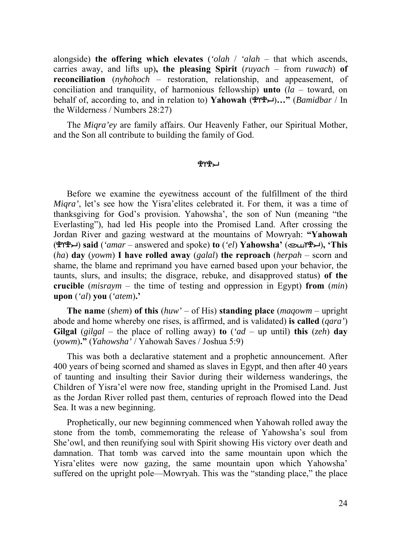alongside) **the offering which elevates** (*'olah* / *'alah* – that which ascends, carries away, and lifts up)**, the pleasing Spirit** (*ruyach* – from *ruwach*) **of reconciliation** (*nyhohoch* – restoration, relationship, and appeasement, of conciliation and tranquility, of harmonious fellowship) **unto** (*la* – toward, on behalf of, according to, and in relation to) **Yahowah**  $(\mathcal{H} \mathcal{H} \mathcal{H})...$  *(Bamidbar* / In the Wilderness / Numbers 28:27)

The *Miqra'ey* are family affairs. Our Heavenly Father, our Spiritual Mother, and the Son all contribute to building the family of God.

## ቔለኤግ

Before we examine the eyewitness account of the fulfillment of the third *Miqra'*, let's see how the Yisra'elites celebrated it. For them, it was a time of thanksgiving for God's provision. Yahowsha', the son of Nun (meaning "the Everlasting"), had led His people into the Promised Land. After crossing the Jordan River and gazing westward at the mountains of Mowryah: **"Yahowah**  () **said** (*'amar* – answered and spoke) **to** (*'el*) **Yahowsha'** ()**, 'This**  (*ha*) **day** (*yowm*) **I have rolled away** (*galal*) **the reproach** (*herpah* – scorn and shame, the blame and reprimand you have earned based upon your behavior, the taunts, slurs, and insults; the disgrace, rebuke, and disapproved status) **of the crucible** (*misraym* – the time of testing and oppression in Egypt) **from** (*min*) **upon** (*'al*) **you** (*'atem*)**.'** 

**The name** (*shem*) **of this** (*huw'* – of His) **standing place** (*maqowm* – upright abode and home whereby one rises, is affirmed, and is validated) **is called** (*qara'*) **Gilgal** (*gilgal* – the place of rolling away) **to**  $({}^{\circ}ad -$  up until) **this** (*zeh*) day (*yowm*)**."** (*Yahowsha'* / Yahowah Saves / Joshua 5:9)

This was both a declarative statement and a prophetic announcement. After 400 years of being scorned and shamed as slaves in Egypt, and then after 40 years of taunting and insulting their Savior during their wilderness wanderings, the Children of Yisra'el were now free, standing upright in the Promised Land. Just as the Jordan River rolled past them, centuries of reproach flowed into the Dead Sea. It was a new beginning.

Prophetically, our new beginning commenced when Yahowah rolled away the stone from the tomb, commemorating the release of Yahowsha's soul from She'owl, and then reunifying soul with Spirit showing His victory over death and damnation. That tomb was carved into the same mountain upon which the Yisra'elites were now gazing, the same mountain upon which Yahowsha' suffered on the upright pole—Mowryah. This was the "standing place," the place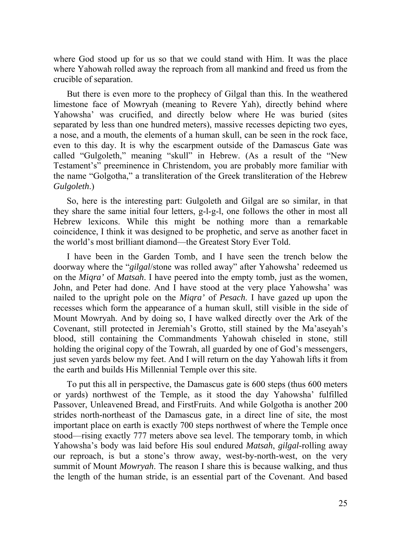where God stood up for us so that we could stand with Him. It was the place where Yahowah rolled away the reproach from all mankind and freed us from the crucible of separation.

But there is even more to the prophecy of Gilgal than this. In the weathered limestone face of Mowryah (meaning to Revere Yah), directly behind where Yahowsha' was crucified, and directly below where He was buried (sites separated by less than one hundred meters), massive recesses depicting two eyes, a nose, and a mouth, the elements of a human skull, can be seen in the rock face, even to this day. It is why the escarpment outside of the Damascus Gate was called "Gulgoleth," meaning "skull" in Hebrew. (As a result of the "New Testament's" preeminence in Christendom, you are probably more familiar with the name "Golgotha," a transliteration of the Greek transliteration of the Hebrew *Gulgoleth*.)

So, here is the interesting part: Gulgoleth and Gilgal are so similar, in that they share the same initial four letters, g-l-g-l, one follows the other in most all Hebrew lexicons. While this might be nothing more than a remarkable coincidence, I think it was designed to be prophetic, and serve as another facet in the world's most brilliant diamond—the Greatest Story Ever Told.

I have been in the Garden Tomb, and I have seen the trench below the doorway where the "*gilgal*/stone was rolled away" after Yahowsha' redeemed us on the *Miqra'* of *Matsah*. I have peered into the empty tomb, just as the women, John, and Peter had done. And I have stood at the very place Yahowsha' was nailed to the upright pole on the *Miqra'* of *Pesach*. I have gazed up upon the recesses which form the appearance of a human skull, still visible in the side of Mount Mowryah. And by doing so, I have walked directly over the Ark of the Covenant, still protected in Jeremiah's Grotto, still stained by the Ma'aseyah's blood, still containing the Commandments Yahowah chiseled in stone, still holding the original copy of the Towrah, all guarded by one of God's messengers, just seven yards below my feet. And I will return on the day Yahowah lifts it from the earth and builds His Millennial Temple over this site.

To put this all in perspective, the Damascus gate is 600 steps (thus 600 meters or yards) northwest of the Temple, as it stood the day Yahowsha' fulfilled Passover, Unleavened Bread, and FirstFruits. And while Golgotha is another 200 strides north-northeast of the Damascus gate, in a direct line of site, the most important place on earth is exactly 700 steps northwest of where the Temple once stood—rising exactly 777 meters above sea level. The temporary tomb, in which Yahowsha's body was laid before His soul endured *Matsah*, *gilgal*-rolling away our reproach, is but a stone's throw away, west-by-north-west, on the very summit of Mount *Mowryah*. The reason I share this is because walking, and thus the length of the human stride, is an essential part of the Covenant. And based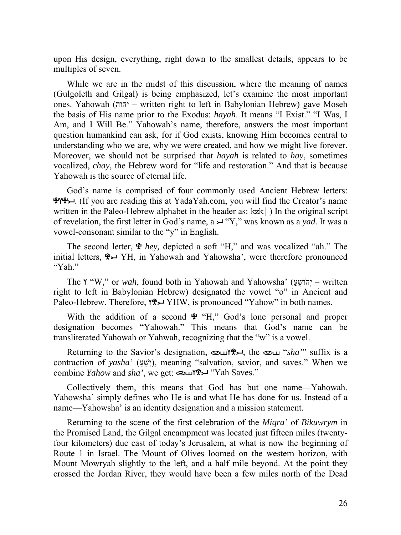upon His design, everything, right down to the smallest details, appears to be multiples of seven.

While we are in the midst of this discussion, where the meaning of names (Gulgoleth and Gilgal) is being emphasized, let's examine the most important ones. Yahowah (יהוה – written right to left in Babylonian Hebrew) gave Moseh the basis of His name prior to the Exodus: *hayah*. It means "I Exist." "I Was, I Am, and I Will Be." Yahowah's name, therefore, answers the most important question humankind can ask, for if God exists, knowing Him becomes central to understanding who we are, why we were created, and how we might live forever. Moreover, we should not be surprised that *hayah* is related to *hay*, sometimes vocalized, *chay*, the Hebrew word for "life and restoration." And that is because Yahowah is the source of eternal life.

God's name is comprised of four commonly used Ancient Hebrew letters:  $\mathcal{H} \rightarrow$ . (If you are reading this at YadaYah.com, you will find the Creator's name written in the Paleo-Hebrew alphabet in the header as:  $kzk$ ) In the original script of revelation, the first letter in God's name, a → "Y," was known as a *yad*. It was a vowel-consonant similar to the "y" in English.

The second letter, *hey,* depicted a soft "H," and was vocalized "ah." The initial letters, YH, in Yahowah and Yahowsha', were therefore pronounced "Yah."

The **Y** "W," or *wah*, found both in Yahowah and Yahowsha' (יהושעַ – written right to left in Babylonian Hebrew) designated the vowel "o" in Ancient and Paleo-Hebrew. Therefore,  $Y^* \rightarrow Y^*$  YHW, is pronounced "Yahow" in both names.

With the addition of a second  $\mathcal{L}$  "H," God's lone personal and proper designation becomes "Yahowah." This means that God's name can be transliterated Yahowah or Yahwah, recognizing that the "w" is a vowel.

Returning to the Savior's designation, וואר the *Savior's* designation, וואר the *Sha'''* suffix is a contraction of *yasha'* (יָשָׁ"), meaning "salvation, savior, and saves." When we combine *Yahow* and *sha'*, we get: וואר "Yah Saves."

Collectively them, this means that God has but one name—Yahowah. Yahowsha' simply defines who He is and what He has done for us. Instead of a name—Yahowsha' is an identity designation and a mission statement.

Returning to the scene of the first celebration of the *Miqra'* of *Bikuwrym* in the Promised Land, the Gilgal encampment was located just fifteen miles (twentyfour kilometers) due east of today's Jerusalem, at what is now the beginning of Route 1 in Israel. The Mount of Olives loomed on the western horizon, with Mount Mowryah slightly to the left, and a half mile beyond. At the point they crossed the Jordan River, they would have been a few miles north of the Dead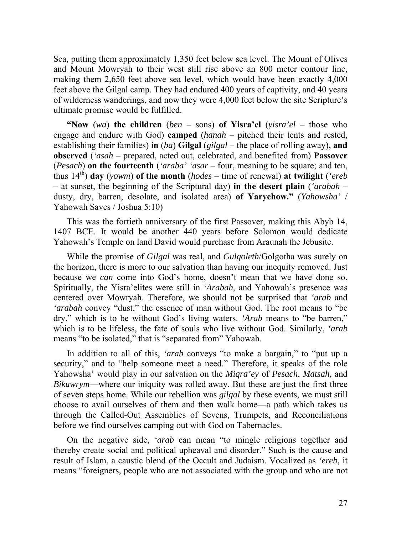Sea, putting them approximately 1,350 feet below sea level. The Mount of Olives and Mount Mowryah to their west still rise above an 800 meter contour line, making them 2,650 feet above sea level, which would have been exactly 4,000 feet above the Gilgal camp. They had endured 400 years of captivity, and 40 years of wilderness wanderings, and now they were 4,000 feet below the site Scripture's ultimate promise would be fulfilled.

**"Now** (*wa*) **the children** (*ben* – sons) **of Yisra'el** (*yisra'el* – those who engage and endure with God) **camped** (*hanah* – pitched their tents and rested, establishing their families) **in** (*ba*) **Gilgal** (*gilgal* – the place of rolling away)**, and observed** (*'asah* – prepared, acted out, celebrated, and benefited from) **Passover**  (*Pesach*) **on the fourteenth** (*'araba' 'asar* – four, meaning to be square; and ten, thus  $14^{th}$ ) **day** (*yowm*) **of the month** (*hodes* – time of renewal) **at twilight** (*'ereb* – at sunset, the beginning of the Scriptural day) **in the desert plain** (*'arabah –*  dusty, dry, barren, desolate, and isolated area) **of Yarychow."** (*Yahowsha'* / Yahowah Saves / Joshua 5:10)

This was the fortieth anniversary of the first Passover, making this Abyb 14, 1407 BCE. It would be another 440 years before Solomon would dedicate Yahowah's Temple on land David would purchase from Araunah the Jebusite.

While the promise of *Gilgal* was real, and *Gulgoleth*/Golgotha was surely on the horizon, there is more to our salvation than having our inequity removed. Just because we *can* come into God's home, doesn't mean that we have done so. Spiritually, the Yisra'elites were still in *'Arabah*, and Yahowah's presence was centered over Mowryah. Therefore, we should not be surprised that *'arab* and *'arabah* convey "dust," the essence of man without God. The root means to "be dry," which is to be without God's living waters. *'Arab* means to "be barren," which is to be lifeless, the fate of souls who live without God. Similarly, *'arab* means "to be isolated," that is "separated from" Yahowah.

In addition to all of this, *'arab* conveys "to make a bargain," to "put up a security," and to "help someone meet a need." Therefore, it speaks of the role Yahowsha' would play in our salvation on the *Miqra'ey* of *Pesach*, *Matsah*, and *Bikuwrym*—where our iniquity was rolled away. But these are just the first three of seven steps home. While our rebellion was *gilgal* by these events, we must still choose to avail ourselves of them and then walk home—a path which takes us through the Called-Out Assemblies of Sevens, Trumpets, and Reconciliations before we find ourselves camping out with God on Tabernacles.

On the negative side, *'arab* can mean "to mingle religions together and thereby create social and political upheaval and disorder." Such is the cause and result of Islam, a caustic blend of the Occult and Judaism. Vocalized as *'ereb*, it means "foreigners, people who are not associated with the group and who are not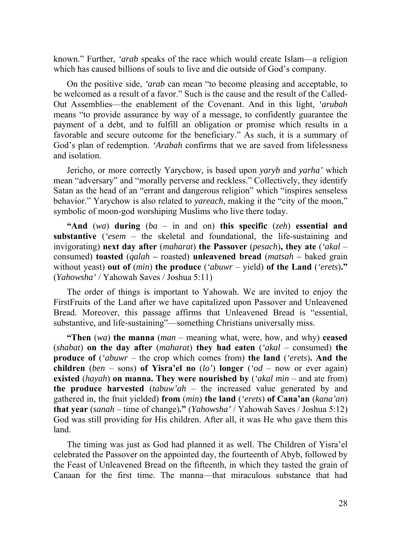known." Further, *'arab* speaks of the race which would create Islam—a religion which has caused billions of souls to live and die outside of God's company.

On the positive side, *'arab* can mean "to become pleasing and acceptable, to be welcomed as a result of a favor." Such is the cause and the result of the Called-Out Assemblies—the enablement of the Covenant. And in this light, *'arubah* means "to provide assurance by way of a message, to confidently guarantee the payment of a debt, and to fulfill an obligation or promise which results in a favorable and secure outcome for the beneficiary." As such, it is a summary of God's plan of redemption. *'Arabah* confirms that we are saved from lifelessness and isolation.

Jericho, or more correctly Yarychow, is based upon *yaryb* and *yarha'* which mean "adversary" and "morally perverse and reckless." Collectively, they identify Satan as the head of an "errant and dangerous religion" which "inspires senseless behavior." Yarychow is also related to *yareach*, making it the "city of the moon," symbolic of moon-god worshiping Muslims who live there today.

**"And** (*wa*) **during** (*ba* – in and on) **this specific** (*zeh*) **essential and substantive** (*'esem* – the skeletal and foundational, the life-sustaining and invigorating) **next day after** (*maharat*) **the Passover** (*pesach*)**, they ate** (*'akal* – consumed) **toasted** (*qalah –* roasted) **unleavened bread** (*matsah –* baked grain without yeast) **out of** (*min*) **the produce** (*'abuwr* – yield) **of the Land** (*'erets*)**."**  (*Yahowsha'* / Yahowah Saves / Joshua 5:11)

The order of things is important to Yahowah. We are invited to enjoy the FirstFruits of the Land after we have capitalized upon Passover and Unleavened Bread. Moreover, this passage affirms that Unleavened Bread is "essential, substantive, and life-sustaining"—something Christians universally miss.

**"Then** (*wa*) **the manna** (*man* – meaning what, were, how, and why) **ceased**  (*shabat*) **on the day after** (*maharat*) **they had eaten** (*'akal* – consumed) **the produce of** (*'abuwr* – the crop which comes from) **the land** (*'erets*)**. And the children** (*ben* – sons) **of Yisra'el no** (*lo'*) **longer** (*'od* – now or ever again) **existed** (*hayah*) **on manna. They were nourished by** (*'akal min* – and ate from) **the produce harvested** (*tabuw'ah* – the increased value generated by and gathered in, the fruit yielded) **from** (*min*) **the land** (*'erets*) **of Cana'an** (*kana'an*) **that year** (*sanah* – time of change)**."** (*Yahowsha'* / Yahowah Saves / Joshua 5:12) God was still providing for His children. After all, it was He who gave them this land.

The timing was just as God had planned it as well. The Children of Yisra'el celebrated the Passover on the appointed day, the fourteenth of Abyb, followed by the Feast of Unleavened Bread on the fifteenth, in which they tasted the grain of Canaan for the first time. The manna—that miraculous substance that had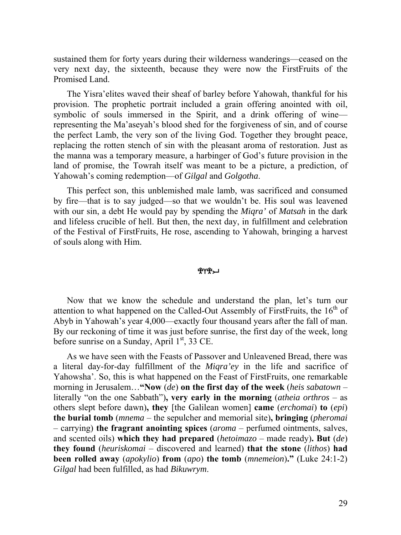sustained them for forty years during their wilderness wanderings—ceased on the very next day, the sixteenth, because they were now the FirstFruits of the Promised Land.

The Yisra'elites waved their sheaf of barley before Yahowah, thankful for his provision. The prophetic portrait included a grain offering anointed with oil, symbolic of souls immersed in the Spirit, and a drink offering of wine representing the Ma'aseyah's blood shed for the forgiveness of sin, and of course the perfect Lamb, the very son of the living God. Together they brought peace, replacing the rotten stench of sin with the pleasant aroma of restoration. Just as the manna was a temporary measure, a harbinger of God's future provision in the land of promise, the Towrah itself was meant to be a picture, a prediction, of Yahowah's coming redemption—of *Gilgal* and *Golgotha*.

This perfect son, this unblemished male lamb, was sacrificed and consumed by fire—that is to say judged—so that we wouldn't be. His soul was leavened with our sin, a debt He would pay by spending the *Miqra'* of *Matsah* in the dark and lifeless crucible of hell. But then, the next day, in fulfillment and celebration of the Festival of FirstFruits, He rose, ascending to Yahowah, bringing a harvest of souls along with Him.

### ቔ፞ለሕግ

Now that we know the schedule and understand the plan, let's turn our attention to what happened on the Called-Out Assembly of First Fruits, the  $16<sup>th</sup>$  of Abyb in Yahowah's year 4,000—exactly four thousand years after the fall of man. By our reckoning of time it was just before sunrise, the first day of the week, long before sunrise on a Sunday, April  $1<sup>st</sup>$ , 33 CE.

As we have seen with the Feasts of Passover and Unleavened Bread, there was a literal day-for-day fulfillment of the *Miqra'ey* in the life and sacrifice of Yahowsha'. So, this is what happened on the Feast of FirstFruits, one remarkable morning in Jerusalem…**"Now** (*de*) **on the first day of the week** (*heis sabatown* – literally "on the one Sabbath")**, very early in the morning** (*atheia orthros* – as others slept before dawn)**, they** [the Galilean women] **came** (*erchomai*) **to** (*epi*) **the burial tomb** (*mnema* – the sepulcher and memorial site)**, bringing** (*pheromai* – carrying) **the fragrant anointing spices** (*aroma* – perfumed ointments, salves, and scented oils) **which they had prepared** (*hetoimazo* – made ready)**. But** (*de*) **they found** (*heuriskomai* – discovered and learned) **that the stone** (*lithos*) **had been rolled away** (*apokylio*) **from** (*apo*) **the tomb** (*mnemeion*)**."** (Luke 24:1-2) *Gilgal* had been fulfilled, as had *Bikuwrym*.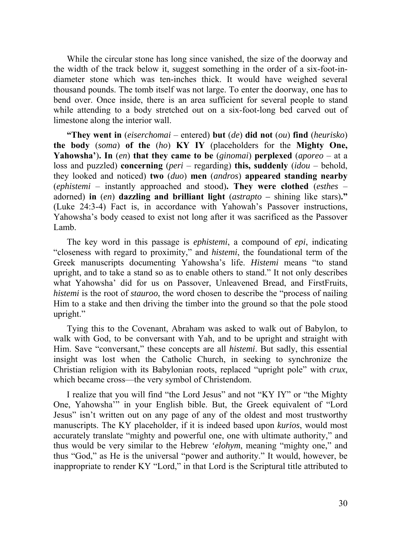While the circular stone has long since vanished, the size of the doorway and the width of the track below it, suggest something in the order of a six-foot-indiameter stone which was ten-inches thick. It would have weighed several thousand pounds. The tomb itself was not large. To enter the doorway, one has to bend over. Once inside, there is an area sufficient for several people to stand while attending to a body stretched out on a six-foot-long bed carved out of limestone along the interior wall.

**"They went in** (*eiserchomai* – entered) **but** (*de*) **did not** (*ou*) **find** (*heurisko*) **the body** (*soma*) **of the** (*ho*) **ΚΥ ΙΥ** (placeholders for the **Mighty One, Yahowsha'**)**. In** (*en*) **that they came to be** (*ginomai*) **perplexed** (*aporeo* – at a loss and puzzled) **concerning** (*peri* – regarding) **this, suddenly** (*idou* – behold, they looked and noticed) **two** (*duo*) **men** (*andros*) **appeared standing nearby**  (*ephistemi* – instantly approached and stood)**. They were clothed** (*esthes* – adorned) **in** (*en*) **dazzling and brilliant light** (*astrapto –* shining like stars)**."** (Luke 24:3-4) Fact is, in accordance with Yahowah's Passover instructions, Yahowsha's body ceased to exist not long after it was sacrificed as the Passover Lamb.

The key word in this passage is *ephistemi*, a compound of *epi*, indicating "closeness with regard to proximity," and *histemi*, the foundational term of the Greek manuscripts documenting Yahowsha's life. *Histemi* means "to stand upright, and to take a stand so as to enable others to stand." It not only describes what Yahowsha' did for us on Passover, Unleavened Bread, and FirstFruits, *histemi* is the root of *stauroo*, the word chosen to describe the "process of nailing Him to a stake and then driving the timber into the ground so that the pole stood upright."

Tying this to the Covenant, Abraham was asked to walk out of Babylon, to walk with God, to be conversant with Yah, and to be upright and straight with Him. Save "conversant," these concepts are all *histemi*. But sadly, this essential insight was lost when the Catholic Church, in seeking to synchronize the Christian religion with its Babylonian roots, replaced "upright pole" with *crux*, which became cross—the very symbol of Christendom.

I realize that you will find "the Lord Jesus" and not "KY IY" or "the Mighty One, Yahowsha'" in your English bible. But, the Greek equivalent of "Lord Jesus" isn't written out on any page of any of the oldest and most trustworthy manuscripts. The KY placeholder, if it is indeed based upon *kurios*, would most accurately translate "mighty and powerful one, one with ultimate authority," and thus would be very similar to the Hebrew *'elohym*, meaning "mighty one," and thus "God," as He is the universal "power and authority." It would, however, be inappropriate to render KY "Lord," in that Lord is the Scriptural title attributed to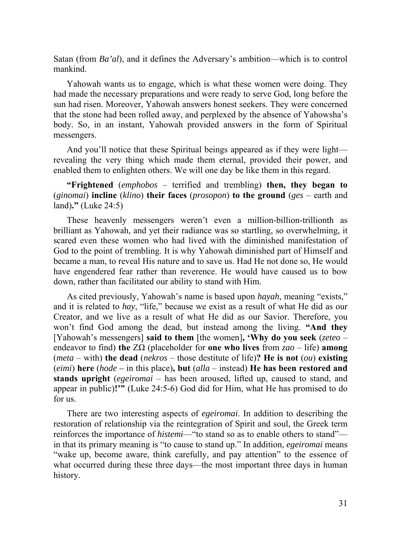Satan (from *Ba'al*), and it defines the Adversary's ambition—which is to control mankind.

Yahowah wants us to engage, which is what these women were doing. They had made the necessary preparations and were ready to serve God, long before the sun had risen. Moreover, Yahowah answers honest seekers. They were concerned that the stone had been rolled away, and perplexed by the absence of Yahowsha's body. So, in an instant, Yahowah provided answers in the form of Spiritual messengers.

And you'll notice that these Spiritual beings appeared as if they were light revealing the very thing which made them eternal, provided their power, and enabled them to enlighten others. We will one day be like them in this regard.

**"Frightened** (*emphobos* – terrified and trembling) **then, they began to**  (*ginomai*) **incline** (*klino*) **their faces** (*prosopon*) **to the ground** (*ges* – earth and land)**."** (Luke 24:5)

These heavenly messengers weren't even a million-billion-trillionth as brilliant as Yahowah, and yet their radiance was so startling, so overwhelming, it scared even these women who had lived with the diminished manifestation of God to the point of trembling. It is why Yahowah diminished part of Himself and became a man, to reveal His nature and to save us. Had He not done so, He would have engendered fear rather than reverence. He would have caused us to bow down, rather than facilitated our ability to stand with Him.

As cited previously, Yahowah's name is based upon *hayah*, meaning "exists," and it is related to *hay*, "life," because we exist as a result of what He did as our Creator, and we live as a result of what He did as our Savior. Therefore, you won't find God among the dead, but instead among the living. **"And they** [Yahowah's messengers] **said to them** [the women]**, 'Why do you seek** (*zeteo* – endeavor to find) **the** ZΩ (placeholder for **one who lives** from *zao* – life) **among**  (*meta* – with) **the dead** (*nekros* – those destitute of life)**? He is not** (*ou*) **existing** (*eimi*) **here** (*hode –* in this place)**, but** (*alla* – instead) **He has been restored and stands upright** (*egeiromai* – has been aroused, lifted up, caused to stand, and appear in public)**!'"** (Luke 24:5-6) God did for Him, what He has promised to do for us.

There are two interesting aspects of *egeiromai*. In addition to describing the restoration of relationship via the reintegration of Spirit and soul, the Greek term reinforces the importance of *histemi*—"to stand so as to enable others to stand" in that its primary meaning is "to cause to stand up." In addition, *egeiromai* means "wake up, become aware, think carefully, and pay attention" to the essence of what occurred during these three days—the most important three days in human history.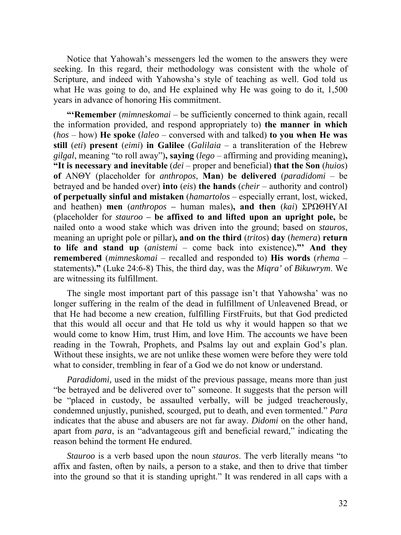Notice that Yahowah's messengers led the women to the answers they were seeking. In this regard, their methodology was consistent with the whole of Scripture, and indeed with Yahowsha's style of teaching as well. God told us what He was going to do, and He explained why He was going to do it, 1,500 years in advance of honoring His commitment.

**"'Remember** (*mimneskomai* – be sufficiently concerned to think again, recall the information provided, and respond appropriately to) **the manner in which**  (*hos* – how) **He spoke** (*laleo* – conversed with and talked) **to you when He was still** (*eti*) **present** (*eimi*) **in Galilee** (*Galilaia* – a transliteration of the Hebrew *gilgal*, meaning "to roll away")**, saying** (*lego* – affirming and providing meaning)**, "It is necessary and inevitable** (*dei* – proper and beneficial) **that the Son** (*huios*) **of** ΑΝΘΥ (placeholder for *anthropos*, **Man**) **be delivered** (*paradidomi* – be betrayed and be handed over) **into** (*eis*) **the hands** (*cheir* – authority and control) **of perpetually sinful and mistaken** (*hamartolos* – especially errant, lost, wicked, and heathen) **men** (*anthropos –* human males)**, and then** (*kai*) ΣΡΩΘΗΥΑΙ (placeholder for *stauroo –* **be affixed to and lifted upon an upright pole,** be nailed onto a wood stake which was driven into the ground; based on *stauros*, meaning an upright pole or pillar)**, and on the third** (*tritos*) **day** (*hemera*) **return to life and stand up** (*anistemi* – come back into existence)**."' And they remembered** (*mimneskomai* – recalled and responded to) **His words** (*rhema* – statements)**."** (Luke 24:6-8) This, the third day, was the *Miqra'* of *Bikuwrym*. We are witnessing its fulfillment.

The single most important part of this passage isn't that Yahowsha' was no longer suffering in the realm of the dead in fulfillment of Unleavened Bread, or that He had become a new creation, fulfilling FirstFruits, but that God predicted that this would all occur and that He told us why it would happen so that we would come to know Him, trust Him, and love Him. The accounts we have been reading in the Towrah, Prophets, and Psalms lay out and explain God's plan. Without these insights, we are not unlike these women were before they were told what to consider, trembling in fear of a God we do not know or understand.

*Paradidomi*, used in the midst of the previous passage, means more than just "be betrayed and be delivered over to" someone. It suggests that the person will be "placed in custody, be assaulted verbally, will be judged treacherously, condemned unjustly, punished, scourged, put to death, and even tormented." *Para* indicates that the abuse and abusers are not far away. *Didomi* on the other hand, apart from *para*, is an "advantageous gift and beneficial reward," indicating the reason behind the torment He endured.

*Stauroo* is a verb based upon the noun *stauros*. The verb literally means "to affix and fasten, often by nails, a person to a stake, and then to drive that timber into the ground so that it is standing upright." It was rendered in all caps with a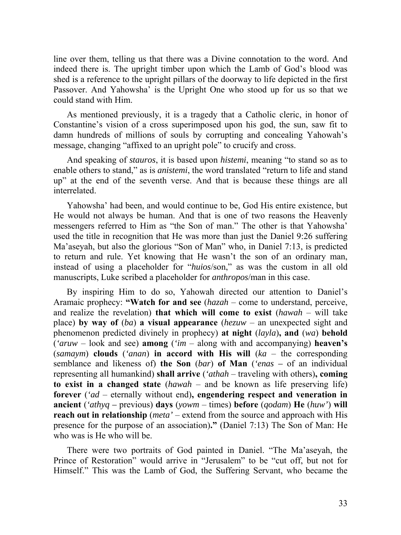line over them, telling us that there was a Divine connotation to the word. And indeed there is. The upright timber upon which the Lamb of God's blood was shed is a reference to the upright pillars of the doorway to life depicted in the first Passover. And Yahowsha' is the Upright One who stood up for us so that we could stand with Him.

As mentioned previously, it is a tragedy that a Catholic cleric, in honor of Constantine's vision of a cross superimposed upon his god, the sun, saw fit to damn hundreds of millions of souls by corrupting and concealing Yahowah's message, changing "affixed to an upright pole" to crucify and cross.

And speaking of *stauros*, it is based upon *histemi*, meaning "to stand so as to enable others to stand," as is *anistemi*, the word translated "return to life and stand up" at the end of the seventh verse. And that is because these things are all interrelated.

Yahowsha' had been, and would continue to be, God His entire existence, but He would not always be human. And that is one of two reasons the Heavenly messengers referred to Him as "the Son of man." The other is that Yahowsha' used the title in recognition that He was more than just the Daniel 9:26 suffering Ma'aseyah, but also the glorious "Son of Man" who, in Daniel 7:13, is predicted to return and rule. Yet knowing that He wasn't the son of an ordinary man, instead of using a placeholder for "*huios*/son," as was the custom in all old manuscripts, Luke scribed a placeholder for *anthropos*/man in this case.

By inspiring Him to do so, Yahowah directed our attention to Daniel's Aramaic prophecy: **"Watch for and see** (*hazah* – come to understand, perceive, and realize the revelation) **that which will come to exist** (*hawah* – will take place) **by way of** (*ba*) **a visual appearance** (*hezuw* – an unexpected sight and phenomenon predicted divinely in prophecy) **at night** (*layla*)**, and** (*wa*) **behold** (*'aruw* – look and see) **among** (*'im* – along with and accompanying) **heaven's** (*samaym*) **clouds** (*'anan*) **in accord with His will** (*ka* – the corresponding semblance and likeness of) **the Son** (*bar*) **of Man** (*'enas –* of an individual representing all humankind) **shall arrive** (*'athah* – traveling with others)**, coming to exist in a changed state** (*hawah* – and be known as life preserving life) **forever** (*'ad* – eternally without end)**, engendering respect and veneration in ancient** (*'athyq –* previous) **days** (*yowm* – times) **before** (*qodam*) **He** (*huw'*) **will reach out in relationship** (*meta'* – extend from the source and approach with His presence for the purpose of an association)**."** (Daniel 7:13) The Son of Man: He who was is He who will be.

There were two portraits of God painted in Daniel. "The Ma'aseyah, the Prince of Restoration" would arrive in "Jerusalem" to be "cut off, but not for Himself." This was the Lamb of God, the Suffering Servant, who became the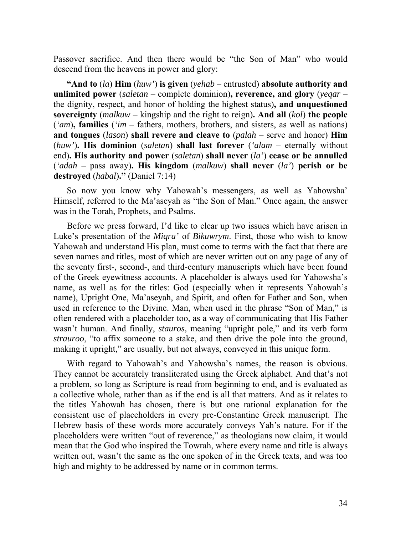Passover sacrifice. And then there would be "the Son of Man" who would descend from the heavens in power and glory:

**"And to** (*la*) **Him** (*huw'*) **is given** (*yehab* – entrusted) **absolute authority and unlimited power** (*saletan* – complete dominion)**, reverence, and glory** (*yeqar* – the dignity, respect, and honor of holding the highest status)**, and unquestioned sovereignty** (*malkuw* – kingship and the right to reign)**. And all** (*kol*) **the people** (*'am*)**, families** (*'im* – fathers, mothers, brothers, and sisters, as well as nations) **and tongues** (*lason*) **shall revere and cleave to** (*palah* – serve and honor) **Him** (*huw'*)**. His dominion** (*saletan*) **shall last forever** (*'alam* – eternally without end)**. His authority and power** (*saletan*) **shall never** (*la'*) **cease or be annulled** (*'adah* – pass away)**. His kingdom** (*malkuw*) **shall never** (*la'*) **perish or be destroyed** (*habal*)**."** (Daniel 7:14)

So now you know why Yahowah's messengers, as well as Yahowsha' Himself, referred to the Ma'aseyah as "the Son of Man." Once again, the answer was in the Torah, Prophets, and Psalms.

Before we press forward, I'd like to clear up two issues which have arisen in Luke's presentation of the *Miqra'* of *Bikuwrym*. First, those who wish to know Yahowah and understand His plan, must come to terms with the fact that there are seven names and titles, most of which are never written out on any page of any of the seventy first-, second-, and third-century manuscripts which have been found of the Greek eyewitness accounts. A placeholder is always used for Yahowsha's name, as well as for the titles: God (especially when it represents Yahowah's name), Upright One, Ma'aseyah, and Spirit, and often for Father and Son, when used in reference to the Divine. Man, when used in the phrase "Son of Man," is often rendered with a placeholder too, as a way of communicating that His Father wasn't human. And finally, *stauros,* meaning "upright pole," and its verb form *strauroo*, "to affix someone to a stake, and then drive the pole into the ground, making it upright," are usually, but not always, conveyed in this unique form.

With regard to Yahowah's and Yahowsha's names, the reason is obvious. They cannot be accurately transliterated using the Greek alphabet. And that's not a problem, so long as Scripture is read from beginning to end, and is evaluated as a collective whole, rather than as if the end is all that matters. And as it relates to the titles Yahowah has chosen, there is but one rational explanation for the consistent use of placeholders in every pre-Constantine Greek manuscript. The Hebrew basis of these words more accurately conveys Yah's nature. For if the placeholders were written "out of reverence," as theologians now claim, it would mean that the God who inspired the Towrah, where every name and title is always written out, wasn't the same as the one spoken of in the Greek texts, and was too high and mighty to be addressed by name or in common terms.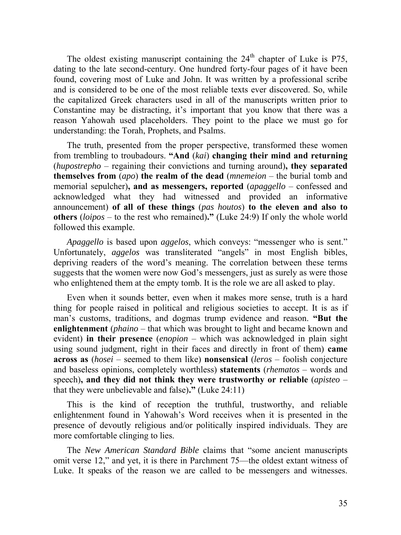The oldest existing manuscript containing the  $24<sup>th</sup>$  chapter of Luke is P75, dating to the late second-century. One hundred forty-four pages of it have been found, covering most of Luke and John. It was written by a professional scribe and is considered to be one of the most reliable texts ever discovered. So, while the capitalized Greek characters used in all of the manuscripts written prior to Constantine may be distracting, it's important that you know that there was a reason Yahowah used placeholders. They point to the place we must go for understanding: the Torah, Prophets, and Psalms.

The truth, presented from the proper perspective, transformed these women from trembling to troubadours. **"And** (*kai*) **changing their mind and returning** (*hupostrepho* – regaining their convictions and turning around)**, they separated themselves from** (*apo*) **the realm of the dead** (*mnemeion* – the burial tomb and memorial sepulcher)**, and as messengers, reported** (*apaggello* – confessed and acknowledged what they had witnessed and provided an informative announcement) **of all of these things** (*pas houtos*) **to the eleven and also to others** (*loipos* – to the rest who remained)**."** (Luke 24:9) If only the whole world followed this example.

*Apaggello* is based upon *aggelos*, which conveys: "messenger who is sent." Unfortunately, *aggelos* was transliterated "angels" in most English bibles, depriving readers of the word's meaning. The correlation between these terms suggests that the women were now God's messengers, just as surely as were those who enlightened them at the empty tomb. It is the role we are all asked to play.

Even when it sounds better, even when it makes more sense, truth is a hard thing for people raised in political and religious societies to accept. It is as if man's customs, traditions, and dogmas trump evidence and reason. **"But the enlightenment** (*phaino* – that which was brought to light and became known and evident) **in their presence** (*enopion* – which was acknowledged in plain sight using sound judgment, right in their faces and directly in front of them) **came across as** (*hosei* – seemed to them like) **nonsensical** (*leros* – foolish conjecture and baseless opinions, completely worthless) **statements** (*rhematos* – words and speech)**, and they did not think they were trustworthy or reliable** (*apisteo* – that they were unbelievable and false)**."** (Luke 24:11)

This is the kind of reception the truthful, trustworthy, and reliable enlightenment found in Yahowah's Word receives when it is presented in the presence of devoutly religious and/or politically inspired individuals. They are more comfortable clinging to lies.

The *New American Standard Bible* claims that "some ancient manuscripts omit verse 12," and yet, it is there in Parchment 75—the oldest extant witness of Luke. It speaks of the reason we are called to be messengers and witnesses.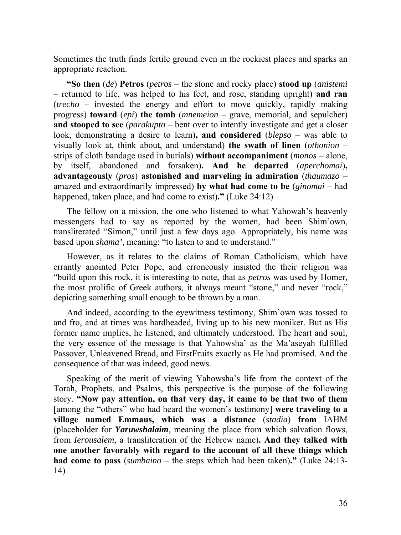Sometimes the truth finds fertile ground even in the rockiest places and sparks an appropriate reaction.

**"So then** (*de*) **Petros** (*petros* – the stone and rocky place) **stood up** (*anistemi* – returned to life, was helped to his feet, and rose, standing upright) **and ran** (*trecho* – invested the energy and effort to move quickly, rapidly making progress) **toward** (*epi*) **the tomb** (*mnemeion* – grave, memorial, and sepulcher) **and stooped to see** (*parakupto* – bent over to intently investigate and get a closer look, demonstrating a desire to learn)**, and considered** (*blepso* – was able to visually look at, think about, and understand) **the swath of linen** (*othonion* – strips of cloth bandage used in burials) **without accompaniment** (*monos* – alone, by itself, abandoned and forsaken)**. And he departed** (*aperchomai*)**, advantageously** (*pros*) **astonished and marveling in admiration** (*thaumazo* – amazed and extraordinarily impressed) **by what had come to be** (*ginomai* – had happened, taken place, and had come to exist)**."** (Luke 24:12)

The fellow on a mission, the one who listened to what Yahowah's heavenly messengers had to say as reported by the women, had been Shim'own, transliterated "Simon," until just a few days ago. Appropriately, his name was based upon *shama'*, meaning: "to listen to and to understand."

However, as it relates to the claims of Roman Catholicism, which have errantly anointed Peter Pope, and erroneously insisted the their religion was "build upon this rock, it is interesting to note, that as *petros* was used by Homer, the most prolific of Greek authors, it always meant "stone," and never "rock," depicting something small enough to be thrown by a man.

And indeed, according to the eyewitness testimony, Shim'own was tossed to and fro, and at times was hardheaded, living up to his new moniker. But as His former name implies, he listened, and ultimately understood. The heart and soul, the very essence of the message is that Yahowsha' as the Ma'aseyah fulfilled Passover, Unleavened Bread, and FirstFruits exactly as He had promised. And the consequence of that was indeed, good news.

Speaking of the merit of viewing Yahowsha's life from the context of the Torah, Prophets, and Psalms, this perspective is the purpose of the following story. **"Now pay attention, on that very day, it came to be that two of them**  [among the "others" who had heard the women's testimony] **were traveling to a village named Emmaus, which was a distance** (*stadia*) **from** ΙΛΗΜ (placeholder for *Yaruwshalaim*, meaning the place from which salvation flows, from *Ierousalem,* a transliteration of the Hebrew name)**. And they talked with one another favorably with regard to the account of all these things which had come to pass** (*sumbaino* – the steps which had been taken)**."** (Luke 24:13- 14)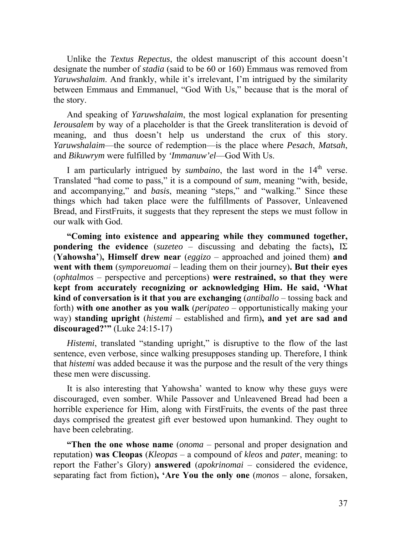Unlike the *Textus Repectus*, the oldest manuscript of this account doesn't designate the number of *stadia* (said to be 60 or 160) Emmaus was removed from *Yaruwshalaim*. And frankly, while it's irrelevant, I'm intrigued by the similarity between Emmaus and Emmanuel, "God With Us," because that is the moral of the story.

And speaking of *Yaruwshalaim*, the most logical explanation for presenting *Ierousalem* by way of a placeholder is that the Greek transliteration is devoid of meaning, and thus doesn't help us understand the crux of this story. *Yaruwshalaim*—the source of redemption—is the place where *Pesach*, *Matsah*, and *Bikuwrym* were fulfilled by *'Immanuw'el*—God With Us.

I am particularly intrigued by *sumbaino*, the last word in the 14<sup>th</sup> verse. Translated "had come to pass," it is a compound of *sum*, meaning "with, beside, and accompanying," and *basis*, meaning "steps," and "walking." Since these things which had taken place were the fulfillments of Passover, Unleavened Bread, and FirstFruits, it suggests that they represent the steps we must follow in our walk with God.

**"Coming into existence and appearing while they communed together, pondering the evidence** (*suzeteo* – discussing and debating the facts),  $[\Sigma]$ (**Yahowsha'**)**, Himself drew near** (*eggizo* – approached and joined them) **and went with them** (*symporeuomai* – leading them on their journey)**. But their eyes**  (*ophtalmos* – perspective and perceptions) **were restrained, so that they were kept from accurately recognizing or acknowledging Him. He said, 'What kind of conversation is it that you are exchanging** (*antiballo* – tossing back and forth) **with one another as you walk** (*peripateo* – opportunistically making your way) **standing upright** (*histemi* – established and firm)**, and yet are sad and discouraged?'"** (Luke 24:15-17)

*Histemi*, translated "standing upright," is disruptive to the flow of the last sentence, even verbose, since walking presupposes standing up. Therefore, I think that *histemi* was added because it was the purpose and the result of the very things these men were discussing.

It is also interesting that Yahowsha' wanted to know why these guys were discouraged, even somber. While Passover and Unleavened Bread had been a horrible experience for Him, along with FirstFruits, the events of the past three days comprised the greatest gift ever bestowed upon humankind. They ought to have been celebrating.

**"Then the one whose name** (*onoma* – personal and proper designation and reputation) **was Cleopas** (*Kleopas* – a compound of *kleos* and *pater*, meaning: to report the Father's Glory) **answered** (*apokrinomai* – considered the evidence, separating fact from fiction)**, 'Are You the only one** (*monos* – alone, forsaken,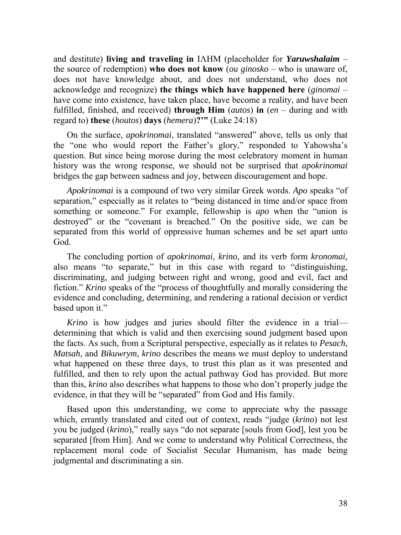and destitute) **living and traveling in** ΙΛΗΜ (placeholder for *Yaruwshalaim* – the source of redemption) **who does not know** (*ou ginosko* – who is unaware of, does not have knowledge about, and does not understand, who does not acknowledge and recognize) **the things which have happened here** (*ginomai* – have come into existence, have taken place, have become a reality, and have been fulfilled, finished, and received) **through Him** (*autos*) **in** (*en* – during and with regard to) **these** (*houtos*) **days** (*hemera*)**?'"** (Luke 24:18)

On the surface, *apokrinomai*, translated "answered" above, tells us only that the "one who would report the Father's glory," responded to Yahowsha's question. But since being morose during the most celebratory moment in human history was the wrong response, we should not be surprised that *apokrinomai* bridges the gap between sadness and joy, between discouragement and hope.

*Apokrinomai* is a compound of two very similar Greek words. *Apo* speaks "of separation," especially as it relates to "being distanced in time and/or space from something or someone." For example, fellowship is *apo* when the "union is destroyed" or the "covenant is breached." On the positive side, we can be separated from this world of oppressive human schemes and be set apart unto God.

The concluding portion of *apokrinomai*, *krino,* and its verb form *kronomai,* also means "to separate," but in this case with regard to "distinguishing, discriminating, and judging between right and wrong, good and evil, fact and fiction." *Krino* speaks of the "process of thoughtfully and morally considering the evidence and concluding, determining, and rendering a rational decision or verdict based upon it."

*Krino* is how judges and juries should filter the evidence in a trial determining that which is valid and then exercising sound judgment based upon the facts. As such, from a Scriptural perspective, especially as it relates to *Pesach*, *Matsah*, and *Bikuwrym*, *krino* describes the means we must deploy to understand what happened on these three days, to trust this plan as it was presented and fulfilled, and then to rely upon the actual pathway God has provided. But more than this, *krino* also describes what happens to those who don't properly judge the evidence, in that they will be "separated" from God and His family.

Based upon this understanding, we come to appreciate why the passage which, errantly translated and cited out of context, reads "judge (*krino*) not lest you be judged (*krino*)," really says "do not separate [souls from God], lest you be separated [from Him]. And we come to understand why Political Correctness, the replacement moral code of Socialist Secular Humanism, has made being judgmental and discriminating a sin.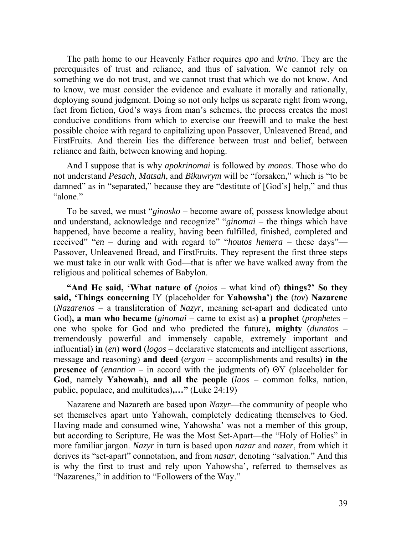The path home to our Heavenly Father requires *apo* and *krino*. They are the prerequisites of trust and reliance, and thus of salvation. We cannot rely on something we do not trust, and we cannot trust that which we do not know. And to know, we must consider the evidence and evaluate it morally and rationally, deploying sound judgment. Doing so not only helps us separate right from wrong, fact from fiction, God's ways from man's schemes, the process creates the most conducive conditions from which to exercise our freewill and to make the best possible choice with regard to capitalizing upon Passover, Unleavened Bread, and FirstFruits. And therein lies the difference between trust and belief, between reliance and faith, between knowing and hoping.

And I suppose that is why *apokrinomai* is followed by *monos*. Those who do not understand *Pesach*, *Matsah*, and *Bikuwrym* will be "forsaken," which is "to be damned" as in "separated," because they are "destitute of [God's] help," and thus "alone."

To be saved, we must "*ginosko* – become aware of, possess knowledge about and understand, acknowledge and recognize" "*ginomai* – the things which have happened, have become a reality, having been fulfilled, finished, completed and received" "*en* – during and with regard to" "*houtos hemera* – these days"— Passover, Unleavened Bread, and FirstFruits. They represent the first three steps we must take in our walk with God—that is after we have walked away from the religious and political schemes of Babylon.

**"And He said, 'What nature of** (*poios* – what kind of) **things?' So they said, 'Things concerning** ΙΥ (placeholder for **Yahowsha'**) **the** (*tov*) **Nazarene** (*Nazarenos* – a transliteration of *Nazyr*, meaning set-apart and dedicated unto God)**, a man who became** (*ginomai* – came to exist as) **a prophet** (*prophetes* – one who spoke for God and who predicted the future)**, mighty** (*dunatos* – tremendously powerful and immensely capable, extremely important and influential) **in** (*en*) **word** (*logos* – declarative statements and intelligent assertions, message and reasoning) **and deed** (*ergon* – accomplishments and results) **in the presence of** (*enantion* – in accord with the judgments of) ΘΥ (placeholder for **God**, namely **Yahowah**)**, and all the people** (*laos* – common folks, nation, public, populace, and multitudes)**,…"** (Luke 24:19)

Nazarene and Nazareth are based upon *Nazyr*—the community of people who set themselves apart unto Yahowah, completely dedicating themselves to God. Having made and consumed wine, Yahowsha' was not a member of this group, but according to Scripture, He was the Most Set-Apart—the "Holy of Holies" in more familiar jargon. *Nazyr* in turn is based upon *nazar* and *nazer*, from which it derives its "set-apart" connotation, and from *nasar*, denoting "salvation." And this is why the first to trust and rely upon Yahowsha', referred to themselves as "Nazarenes," in addition to "Followers of the Way."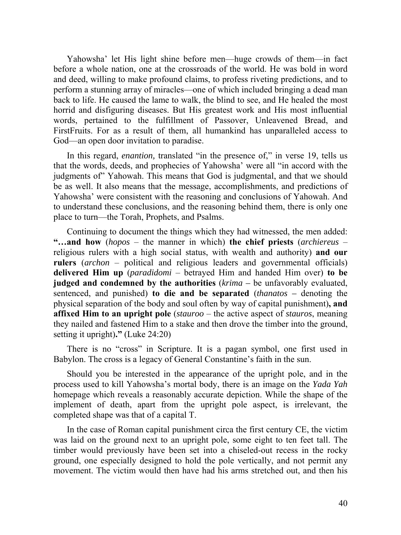Yahowsha' let His light shine before men—huge crowds of them—in fact before a whole nation, one at the crossroads of the world. He was bold in word and deed, willing to make profound claims, to profess riveting predictions, and to perform a stunning array of miracles—one of which included bringing a dead man back to life. He caused the lame to walk, the blind to see, and He healed the most horrid and disfiguring diseases. But His greatest work and His most influential words, pertained to the fulfillment of Passover, Unleavened Bread, and FirstFruits. For as a result of them, all humankind has unparalleled access to God—an open door invitation to paradise.

In this regard, *enantion,* translated "in the presence of," in verse 19, tells us that the words, deeds, and prophecies of Yahowsha' were all "in accord with the judgments of" Yahowah. This means that God is judgmental, and that we should be as well. It also means that the message, accomplishments, and predictions of Yahowsha' were consistent with the reasoning and conclusions of Yahowah. And to understand these conclusions, and the reasoning behind them, there is only one place to turn—the Torah, Prophets, and Psalms.

Continuing to document the things which they had witnessed, the men added: **"…and how** (*hopos* – the manner in which) **the chief priests** (*archiereus* – religious rulers with a high social status, with wealth and authority) **and our rulers** (*archon* – political and religious leaders and governmental officials) **delivered Him up** (*paradidomi* – betrayed Him and handed Him over) **to be judged and condemned by the authorities** (*krima –* be unfavorably evaluated, sentenced, and punished) **to die and be separated** (*thanatos –* denoting the physical separation of the body and soul often by way of capital punishment)**, and affixed Him to an upright pole** (*stauroo* – the active aspect of *stauros*, meaning they nailed and fastened Him to a stake and then drove the timber into the ground, setting it upright)**."** (Luke 24:20)

There is no "cross" in Scripture. It is a pagan symbol, one first used in Babylon. The cross is a legacy of General Constantine's faith in the sun.

Should you be interested in the appearance of the upright pole, and in the process used to kill Yahowsha's mortal body, there is an image on the *Yada Yah* homepage which reveals a reasonably accurate depiction. While the shape of the implement of death, apart from the upright pole aspect, is irrelevant, the completed shape was that of a capital T.

In the case of Roman capital punishment circa the first century CE, the victim was laid on the ground next to an upright pole, some eight to ten feet tall. The timber would previously have been set into a chiseled-out recess in the rocky ground, one especially designed to hold the pole vertically, and not permit any movement. The victim would then have had his arms stretched out, and then his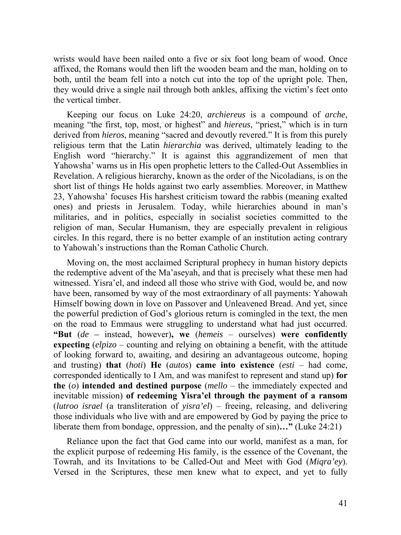wrists would have been nailed onto a five or six foot long beam of wood. Once affixed, the Romans would then lift the wooden beam and the man, holding on to both, until the beam fell into a notch cut into the top of the upright pole. Then, they would drive a single nail through both ankles, affixing the victim's feet onto the vertical timber.

Keeping our focus on Luke 24:20, *archiereus* is a compound of *arche*, meaning "the first, top, most, or highest" and *hiereus*, "priest," which is in turn derived from *hieros*, meaning "sacred and devoutly revered." It is from this purely religious term that the Latin *hierarchia* was derived, ultimately leading to the English word "hierarchy." It is against this aggrandizement of men that Yahowsha' warns us in His open prophetic letters to the Called-Out Assemblies in Revelation. A religious hierarchy, known as the order of the Nicoladians, is on the short list of things He holds against two early assemblies. Moreover, in Matthew 23, Yahowsha' focuses His harshest criticism toward the rabbis (meaning exalted ones) and priests in Jerusalem. Today, while hierarchies abound in man's militaries, and in politics, especially in socialist societies committed to the religion of man, Secular Humanism, they are especially prevalent in religious circles. In this regard, there is no better example of an institution acting contrary to Yahowah's instructions than the Roman Catholic Church.

Moving on, the most acclaimed Scriptural prophecy in human history depicts the redemptive advent of the Ma'aseyah, and that is precisely what these men had witnessed. Yisra'el, and indeed all those who strive with God, would be, and now have been, ransomed by way of the most extraordinary of all payments: Yahowah Himself bowing down in love on Passover and Unleavened Bread. And yet, since the powerful prediction of God's glorious return is comingled in the text, the men on the road to Emmaus were struggling to understand what had just occurred. **"But** (*de –* instead, however)**, we** (*hemeis* – ourselves) **were confidently expecting** (*elpizo* – counting and relying on obtaining a benefit, with the attitude of looking forward to, awaiting, and desiring an advantageous outcome, hoping and trusting) **that** (*hoti*) **He** (*autos*) **came into existence** (*esti* – had come, corresponded identically to I Am, and was manifest to represent and stand up) **for the** (*o*) **intended and destined purpose** (*mello* – the immediately expected and inevitable mission) **of redeeming Yisra'el through the payment of a ransom**  (*lutroo israel* (a transliteration of *yisra'el*) – freeing, releasing, and delivering those individuals who live with and are empowered by God by paying the price to liberate them from bondage, oppression, and the penalty of sin)**…"** (Luke 24:21)

Reliance upon the fact that God came into our world, manifest as a man, for the explicit purpose of redeeming His family, is the essence of the Covenant, the Towrah, and its Invitations to be Called-Out and Meet with God (*Miqra'ey*). Versed in the Scriptures, these men knew what to expect, and yet to fully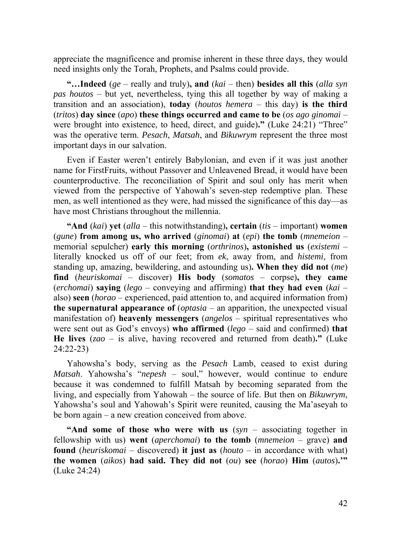appreciate the magnificence and promise inherent in these three days, they would need insights only the Torah, Prophets, and Psalms could provide.

**"…Indeed** (*ge* – really and truly)**, and** (*kai* – then) **besides all this** (*alla syn pas houtos* – but yet, nevertheless, tying this all together by way of making a transition and an association), **today** (*houtos hemera* – this day) **is the third**  (*tritos*) **day since** (*apo*) **these things occurred and came to be** (*os ago ginomai* – were brought into existence, to heed, direct, and guide)**."** (Luke 24:21) "Three" was the operative term. *Pesach*, *Matsah*, and *Bikuwrym* represent the three most important days in our salvation.

Even if Easter weren't entirely Babylonian, and even if it was just another name for FirstFruits, without Passover and Unleavened Bread, it would have been counterproductive. The reconciliation of Spirit and soul only has merit when viewed from the perspective of Yahowah's seven-step redemptive plan. These men, as well intentioned as they were, had missed the significance of this day—as have most Christians throughout the millennia.

**"And** (*kai*) **yet** (*alla* – this notwithstanding)**, certain** (*tis* – important) **women**  (*gune*) **from among us, who arrived** (*ginomai*) **at** (*epi*) **the tomb** (*mnemeion* – memorial sepulcher) **early this morning** (*orthrinos*)**, astonished us** (*existemi* – literally knocked us off of our feet; from *ek*, away from, and *histemi*, from standing up, amazing, bewildering, and astounding us)**. When they did not** (*me*) **find** (*heuriskomai* – discover) **His body** (*somatos* – corpse)**, they came**  (*erchomai*) **saying** (*lego* – conveying and affirming) **that they had even** (*kai* – also) **seen** (*horao* – experienced, paid attention to, and acquired information from) **the supernatural appearance of** (*optasia* – an apparition, the unexpected visual manifestation of) **heavenly messengers** (*angelos* – spiritual representatives who were sent out as God's envoys) **who affirmed** (*lego* – said and confirmed) **that He lives** (*zao* – is alive, having recovered and returned from death)**."** (Luke 24:22-23)

Yahowsha's body, serving as the *Pesach* Lamb, ceased to exist during *Matsah*. Yahowsha's "*nepesh* – soul," however, would continue to endure because it was condemned to fulfill Matsah by becoming separated from the living, and especially from Yahowah – the source of life. But then on *Bikuwrym*, Yahowsha's soul and Yahowah's Spirit were reunited, causing the Ma'aseyah to be born again – a new creation conceived from above.

**"And some of those who were with us** (*syn* – associating together in fellowship with us) **went** (*aperchomai*) **to the tomb** (*mnemeion* – grave) **and found** (*heuriskomai* – discovered) **it just as** (*houto* – in accordance with what) **the women** (*aikos*) **had said. They did not** (*ou*) **see** (*horao*) **Him** (*autos*)**.'"**  (Luke 24:24)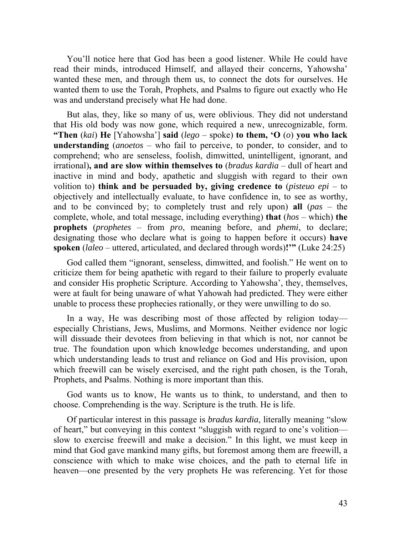You'll notice here that God has been a good listener. While He could have read their minds, introduced Himself, and allayed their concerns, Yahowsha' wanted these men, and through them us, to connect the dots for ourselves. He wanted them to use the Torah, Prophets, and Psalms to figure out exactly who He was and understand precisely what He had done.

But alas, they, like so many of us, were oblivious. They did not understand that His old body was now gone, which required a new, unrecognizable, form. **"Then** (*kai*) **He** [Yahowsha'] **said** (*lego* – spoke) **to them, 'O** (*o*) **you who lack understanding** (*anoetos* – who fail to perceive, to ponder, to consider, and to comprehend; who are senseless, foolish, dimwitted, unintelligent, ignorant, and irrational)**, and are slow within themselves to** (*bradus kardia* – dull of heart and inactive in mind and body, apathetic and sluggish with regard to their own volition to) **think and be persuaded by, giving credence to** (*pisteuo epi* – to objectively and intellectually evaluate, to have confidence in, to see as worthy, and to be convinced by; to completely trust and rely upon) **all** (*pas* – the complete, whole, and total message, including everything) **that** (*hos* – which) **the prophets** (*prophetes* – from *pro*, meaning before, and *phemi*, to declare; designating those who declare what is going to happen before it occurs) **have spoken** (*laleo* – uttered, articulated, and declared through words)**!'"** (Luke 24:25)

God called them "ignorant, senseless, dimwitted, and foolish." He went on to criticize them for being apathetic with regard to their failure to properly evaluate and consider His prophetic Scripture. According to Yahowsha', they, themselves, were at fault for being unaware of what Yahowah had predicted. They were either unable to process these prophecies rationally, or they were unwilling to do so.

In a way, He was describing most of those affected by religion today especially Christians, Jews, Muslims, and Mormons. Neither evidence nor logic will dissuade their devotees from believing in that which is not, nor cannot be true. The foundation upon which knowledge becomes understanding, and upon which understanding leads to trust and reliance on God and His provision, upon which freewill can be wisely exercised, and the right path chosen, is the Torah, Prophets, and Psalms. Nothing is more important than this.

God wants us to know, He wants us to think, to understand, and then to choose. Comprehending is the way. Scripture is the truth. He is life.

Of particular interest in this passage is *bradus kardia*, literally meaning "slow of heart," but conveying in this context "sluggish with regard to one's volition slow to exercise freewill and make a decision." In this light, we must keep in mind that God gave mankind many gifts, but foremost among them are freewill, a conscience with which to make wise choices, and the path to eternal life in heaven—one presented by the very prophets He was referencing. Yet for those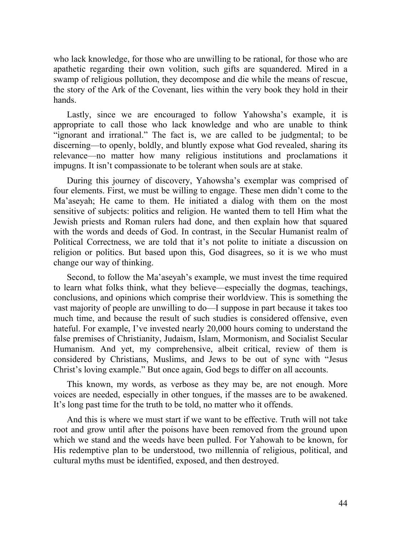who lack knowledge, for those who are unwilling to be rational, for those who are apathetic regarding their own volition, such gifts are squandered. Mired in a swamp of religious pollution, they decompose and die while the means of rescue, the story of the Ark of the Covenant, lies within the very book they hold in their hands.

Lastly, since we are encouraged to follow Yahowsha's example, it is appropriate to call those who lack knowledge and who are unable to think "ignorant and irrational." The fact is, we are called to be judgmental; to be discerning—to openly, boldly, and bluntly expose what God revealed, sharing its relevance—no matter how many religious institutions and proclamations it impugns. It isn't compassionate to be tolerant when souls are at stake.

During this journey of discovery, Yahowsha's exemplar was comprised of four elements. First, we must be willing to engage. These men didn't come to the Ma'aseyah; He came to them. He initiated a dialog with them on the most sensitive of subjects: politics and religion. He wanted them to tell Him what the Jewish priests and Roman rulers had done, and then explain how that squared with the words and deeds of God. In contrast, in the Secular Humanist realm of Political Correctness, we are told that it's not polite to initiate a discussion on religion or politics. But based upon this, God disagrees, so it is we who must change our way of thinking.

Second, to follow the Ma'aseyah's example, we must invest the time required to learn what folks think, what they believe—especially the dogmas, teachings, conclusions, and opinions which comprise their worldview. This is something the vast majority of people are unwilling to do—I suppose in part because it takes too much time, and because the result of such studies is considered offensive, even hateful. For example, I've invested nearly 20,000 hours coming to understand the false premises of Christianity, Judaism, Islam, Mormonism, and Socialist Secular Humanism. And yet, my comprehensive, albeit critical, review of them is considered by Christians, Muslims, and Jews to be out of sync with "Jesus Christ's loving example." But once again, God begs to differ on all accounts.

This known, my words, as verbose as they may be, are not enough. More voices are needed, especially in other tongues, if the masses are to be awakened. It's long past time for the truth to be told, no matter who it offends.

And this is where we must start if we want to be effective. Truth will not take root and grow until after the poisons have been removed from the ground upon which we stand and the weeds have been pulled. For Yahowah to be known, for His redemptive plan to be understood, two millennia of religious, political, and cultural myths must be identified, exposed, and then destroyed.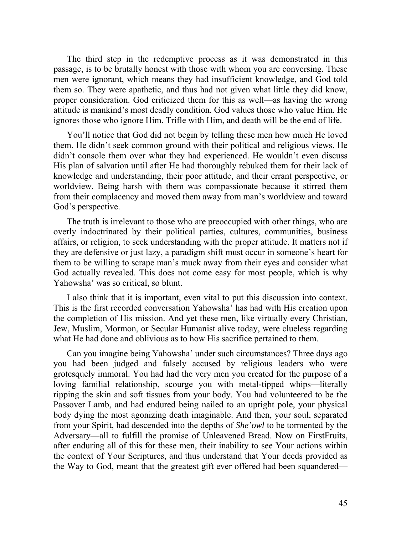The third step in the redemptive process as it was demonstrated in this passage, is to be brutally honest with those with whom you are conversing. These men were ignorant, which means they had insufficient knowledge, and God told them so. They were apathetic, and thus had not given what little they did know, proper consideration. God criticized them for this as well—as having the wrong attitude is mankind's most deadly condition. God values those who value Him. He ignores those who ignore Him. Trifle with Him, and death will be the end of life.

You'll notice that God did not begin by telling these men how much He loved them. He didn't seek common ground with their political and religious views. He didn't console them over what they had experienced. He wouldn't even discuss His plan of salvation until after He had thoroughly rebuked them for their lack of knowledge and understanding, their poor attitude, and their errant perspective, or worldview. Being harsh with them was compassionate because it stirred them from their complacency and moved them away from man's worldview and toward God's perspective.

The truth is irrelevant to those who are preoccupied with other things, who are overly indoctrinated by their political parties, cultures, communities, business affairs, or religion, to seek understanding with the proper attitude. It matters not if they are defensive or just lazy, a paradigm shift must occur in someone's heart for them to be willing to scrape man's muck away from their eyes and consider what God actually revealed. This does not come easy for most people, which is why Yahowsha' was so critical, so blunt.

I also think that it is important, even vital to put this discussion into context. This is the first recorded conversation Yahowsha' has had with His creation upon the completion of His mission. And yet these men, like virtually every Christian, Jew, Muslim, Mormon, or Secular Humanist alive today, were clueless regarding what He had done and oblivious as to how His sacrifice pertained to them.

Can you imagine being Yahowsha' under such circumstances? Three days ago you had been judged and falsely accused by religious leaders who were grotesquely immoral. You had had the very men you created for the purpose of a loving familial relationship, scourge you with metal-tipped whips—literally ripping the skin and soft tissues from your body. You had volunteered to be the Passover Lamb, and had endured being nailed to an upright pole, your physical body dying the most agonizing death imaginable. And then, your soul, separated from your Spirit, had descended into the depths of *She'owl* to be tormented by the Adversary—all to fulfill the promise of Unleavened Bread. Now on FirstFruits, after enduring all of this for these men, their inability to see Your actions within the context of Your Scriptures, and thus understand that Your deeds provided as the Way to God, meant that the greatest gift ever offered had been squandered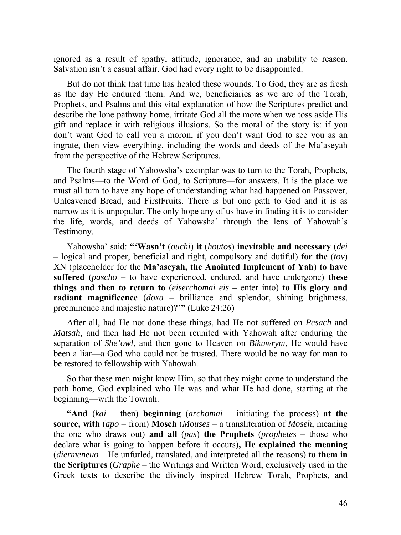ignored as a result of apathy, attitude, ignorance, and an inability to reason. Salvation isn't a casual affair. God had every right to be disappointed.

But do not think that time has healed these wounds. To God, they are as fresh as the day He endured them. And we, beneficiaries as we are of the Torah, Prophets, and Psalms and this vital explanation of how the Scriptures predict and describe the lone pathway home, irritate God all the more when we toss aside His gift and replace it with religious illusions. So the moral of the story is: if you don't want God to call you a moron, if you don't want God to see you as an ingrate, then view everything, including the words and deeds of the Ma'aseyah from the perspective of the Hebrew Scriptures.

The fourth stage of Yahowsha's exemplar was to turn to the Torah, Prophets, and Psalms—to the Word of God, to Scripture—for answers. It is the place we must all turn to have any hope of understanding what had happened on Passover, Unleavened Bread, and FirstFruits. There is but one path to God and it is as narrow as it is unpopular. The only hope any of us have in finding it is to consider the life, words, and deeds of Yahowsha' through the lens of Yahowah's Testimony.

Yahowsha' said: **"'Wasn't** (*ouchi*) **it** (*houtos*) **inevitable and necessary** (*dei*  – logical and proper, beneficial and right, compulsory and dutiful) **for the** (*tov*) ΧΝ (placeholder for the **Ma'aseyah, the Anointed Implement of Yah**) **to have suffered** (*pascho* – to have experienced, endured, and have undergone) **these things and then to return to** (*eiserchomai eis –* enter into) **to His glory and radiant magnificence** (*doxa* – brilliance and splendor, shining brightness, preeminence and majestic nature)**?'"** (Luke 24:26)

After all, had He not done these things, had He not suffered on *Pesach* and *Matsah*, and then had He not been reunited with Yahowah after enduring the separation of *She'owl*, and then gone to Heaven on *Bikuwrym*, He would have been a liar—a God who could not be trusted. There would be no way for man to be restored to fellowship with Yahowah.

So that these men might know Him, so that they might come to understand the path home, God explained who He was and what He had done, starting at the beginning—with the Towrah.

**"And** (*kai* – then) **beginning** (*archomai* – initiating the process) **at the source, with** (*apo* – from) **Moseh** (*Mouses* – a transliteration of *Moseh*, meaning the one who draws out) **and all** (*pas*) **the Prophets** (*prophetes* – those who declare what is going to happen before it occurs)**, He explained the meaning** (*diermeneuo* – He unfurled, translated, and interpreted all the reasons) **to them in the Scriptures** (*Graphe* – the Writings and Written Word, exclusively used in the Greek texts to describe the divinely inspired Hebrew Torah, Prophets, and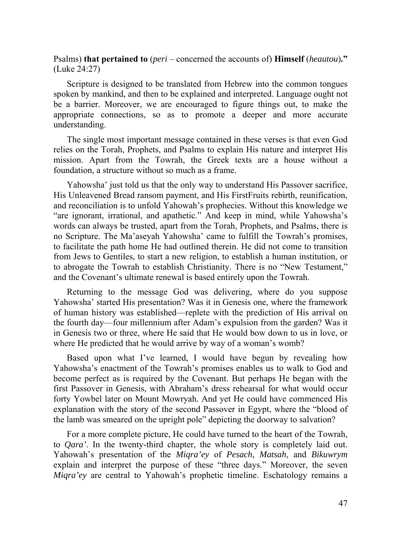Psalms) **that pertained to** (*peri* – concerned the accounts of) **Himself** (*heautou*)**."** (Luke 24:27)

Scripture is designed to be translated from Hebrew into the common tongues spoken by mankind, and then to be explained and interpreted. Language ought not be a barrier. Moreover, we are encouraged to figure things out, to make the appropriate connections, so as to promote a deeper and more accurate understanding.

The single most important message contained in these verses is that even God relies on the Torah, Prophets, and Psalms to explain His nature and interpret His mission. Apart from the Towrah, the Greek texts are a house without a foundation, a structure without so much as a frame.

Yahowsha' just told us that the only way to understand His Passover sacrifice, His Unleavened Bread ransom payment, and His FirstFruits rebirth, reunification, and reconciliation is to unfold Yahowah's prophecies. Without this knowledge we "are ignorant, irrational, and apathetic." And keep in mind, while Yahowsha's words can always be trusted, apart from the Torah, Prophets, and Psalms, there is no Scripture. The Ma'aseyah Yahowsha' came to fulfill the Towrah's promises, to facilitate the path home He had outlined therein. He did not come to transition from Jews to Gentiles, to start a new religion, to establish a human institution, or to abrogate the Towrah to establish Christianity. There is no "New Testament," and the Covenant's ultimate renewal is based entirely upon the Towrah.

Returning to the message God was delivering, where do you suppose Yahowsha' started His presentation? Was it in Genesis one, where the framework of human history was established—replete with the prediction of His arrival on the fourth day—four millennium after Adam's expulsion from the garden? Was it in Genesis two or three, where He said that He would bow down to us in love, or where He predicted that he would arrive by way of a woman's womb?

Based upon what I've learned, I would have begun by revealing how Yahowsha's enactment of the Towrah's promises enables us to walk to God and become perfect as is required by the Covenant. But perhaps He began with the first Passover in Genesis, with Abraham's dress rehearsal for what would occur forty Yowbel later on Mount Mowryah. And yet He could have commenced His explanation with the story of the second Passover in Egypt, where the "blood of the lamb was smeared on the upright pole" depicting the doorway to salvation?

For a more complete picture, He could have turned to the heart of the Towrah, to *Qara'*. In the twenty-third chapter, the whole story is completely laid out. Yahowah's presentation of the *Miqra'ey* of *Pesach*, *Matsah*, and *Bikuwrym* explain and interpret the purpose of these "three days." Moreover, the seven *Miqra'ey* are central to Yahowah's prophetic timeline. Eschatology remains a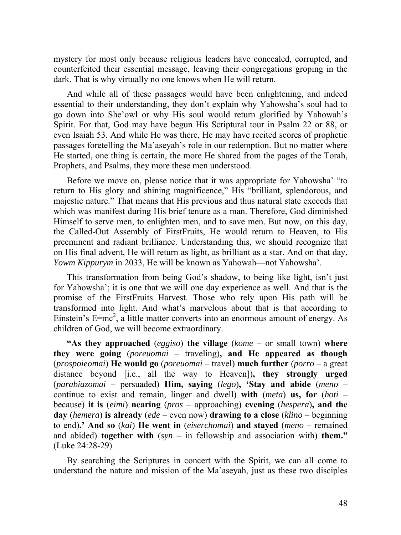mystery for most only because religious leaders have concealed, corrupted, and counterfeited their essential message, leaving their congregations groping in the dark. That is why virtually no one knows when He will return.

And while all of these passages would have been enlightening, and indeed essential to their understanding, they don't explain why Yahowsha's soul had to go down into She'owl or why His soul would return glorified by Yahowah's Spirit. For that, God may have begun His Scriptural tour in Psalm 22 or 88, or even Isaiah 53. And while He was there, He may have recited scores of prophetic passages foretelling the Ma'aseyah's role in our redemption. But no matter where He started, one thing is certain, the more He shared from the pages of the Torah, Prophets, and Psalms, they more these men understood.

Before we move on, please notice that it was appropriate for Yahowsha' "to return to His glory and shining magnificence," His "brilliant, splendorous, and majestic nature." That means that His previous and thus natural state exceeds that which was manifest during His brief tenure as a man. Therefore, God diminished Himself to serve men, to enlighten men, and to save men. But now, on this day, the Called-Out Assembly of FirstFruits, He would return to Heaven, to His preeminent and radiant brilliance. Understanding this, we should recognize that on His final advent, He will return as light, as brilliant as a star. And on that day, *Yowm Kippurym* in 2033, He will be known as Yahowah—not Yahowsha'.

This transformation from being God's shadow, to being like light, isn't just for Yahowsha'; it is one that we will one day experience as well. And that is the promise of the FirstFruits Harvest. Those who rely upon His path will be transformed into light. And what's marvelous about that is that according to Einstein's  $E=mc^2$ , a little matter converts into an enormous amount of energy. As children of God, we will become extraordinary.

**"As they approached** (*eggiso*) **the village** (*kome* – or small town) **where they were going** (*poreuomai* – traveling)**, and He appeared as though**  (*prospoieomai*) **He would go** (*poreuomai* – travel) **much further** (*porro* – a great distance beyond [i.e., all the way to Heaven])**, they strongly urged**  (*parabiazomai* – persuaded) **Him, saying** (*lego*)**, 'Stay and abide** (*meno* – continue to exist and remain, linger and dwell) **with** (*meta*) **us, for** (*hoti* – because) **it is** (*eimi*) **nearing** (*pros* – approaching) **evening** (*hespera*)**, and the day** (*hemera*) **is already** (*ede* – even now) **drawing to a close** (*klino* – beginning to end)**.' And so** (*kai*) **He went in** (*eiserchomai*) **and stayed** (*meno* – remained and abided) **together with** (*syn* – in fellowship and association with) **them."**  (Luke 24:28-29)

By searching the Scriptures in concert with the Spirit, we can all come to understand the nature and mission of the Ma'aseyah, just as these two disciples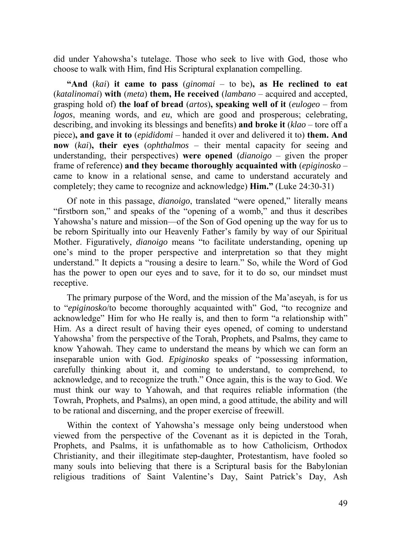did under Yahowsha's tutelage. Those who seek to live with God, those who choose to walk with Him, find His Scriptural explanation compelling.

**"And** (*kai*) **it came to pass** (*ginomai* – to be)**, as He reclined to eat**  (*katalinomai*) **with** (*meta*) **them, He received** (*lambano* – acquired and accepted, grasping hold of) **the loaf of bread** (*artos*)**, speaking well of it** (*eulogeo* – from *logos*, meaning words, and *eu*, which are good and prosperous; celebrating, describing, and invoking its blessings and benefits) **and broke it** (*klao* – tore off a piece)**, and gave it to** (*epididomi* – handed it over and delivered it to) **them. And now** (*kai*)**, their eyes** (*ophthalmos* – their mental capacity for seeing and understanding, their perspectives) **were opened** (*dianoigo* – given the proper frame of reference) **and they became thoroughly acquainted with** (*epiginosko* – came to know in a relational sense, and came to understand accurately and completely; they came to recognize and acknowledge) **Him."** (Luke 24:30-31)

Of note in this passage, *dianoigo*, translated "were opened," literally means "firstborn son," and speaks of the "opening of a womb," and thus it describes Yahowsha's nature and mission—of the Son of God opening up the way for us to be reborn Spiritually into our Heavenly Father's family by way of our Spiritual Mother. Figuratively, *dianoigo* means "to facilitate understanding, opening up one's mind to the proper perspective and interpretation so that they might understand." It depicts a "rousing a desire to learn." So, while the Word of God has the power to open our eyes and to save, for it to do so, our mindset must receptive.

The primary purpose of the Word, and the mission of the Ma'aseyah, is for us to "*epiginosko*/to become thoroughly acquainted with" God, "to recognize and acknowledge" Him for who He really is, and then to form "a relationship with" Him. As a direct result of having their eyes opened, of coming to understand Yahowsha' from the perspective of the Torah, Prophets, and Psalms, they came to know Yahowah. They came to understand the means by which we can form an inseparable union with God. *Epiginosko* speaks of "possessing information, carefully thinking about it, and coming to understand, to comprehend, to acknowledge, and to recognize the truth." Once again, this is the way to God. We must think our way to Yahowah, and that requires reliable information (the Towrah, Prophets, and Psalms), an open mind, a good attitude, the ability and will to be rational and discerning, and the proper exercise of freewill.

Within the context of Yahowsha's message only being understood when viewed from the perspective of the Covenant as it is depicted in the Torah, Prophets, and Psalms, it is unfathomable as to how Catholicism, Orthodox Christianity, and their illegitimate step-daughter, Protestantism, have fooled so many souls into believing that there is a Scriptural basis for the Babylonian religious traditions of Saint Valentine's Day, Saint Patrick's Day, Ash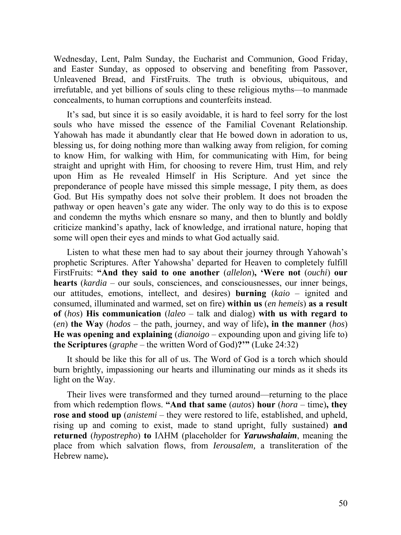Wednesday, Lent, Palm Sunday, the Eucharist and Communion, Good Friday, and Easter Sunday, as opposed to observing and benefiting from Passover, Unleavened Bread, and FirstFruits. The truth is obvious, ubiquitous, and irrefutable, and yet billions of souls cling to these religious myths—to manmade concealments, to human corruptions and counterfeits instead.

It's sad, but since it is so easily avoidable, it is hard to feel sorry for the lost souls who have missed the essence of the Familial Covenant Relationship. Yahowah has made it abundantly clear that He bowed down in adoration to us, blessing us, for doing nothing more than walking away from religion, for coming to know Him, for walking with Him, for communicating with Him, for being straight and upright with Him, for choosing to revere Him, trust Him, and rely upon Him as He revealed Himself in His Scripture. And yet since the preponderance of people have missed this simple message, I pity them, as does God. But His sympathy does not solve their problem. It does not broaden the pathway or open heaven's gate any wider. The only way to do this is to expose and condemn the myths which ensnare so many, and then to bluntly and boldly criticize mankind's apathy, lack of knowledge, and irrational nature, hoping that some will open their eyes and minds to what God actually said.

Listen to what these men had to say about their journey through Yahowah's prophetic Scriptures. After Yahowsha' departed for Heaven to completely fulfill FirstFruits: **"And they said to one another** (*allelon*)**, 'Were not** (*ouchi*) **our hearts** (*kardia* – our souls, consciences, and consciousnesses, our inner beings, our attitudes, emotions, intellect, and desires) **burning** (*kaio* – ignited and consumed, illuminated and warmed, set on fire) **within us** (*en hemeis*) **as a result of** (*hos*) **His communication** (*laleo* – talk and dialog) **with us with regard to** (*en*) **the Way** (*hodos* – the path, journey, and way of life)**, in the manner** (*hos*) **He was opening and explaining** (*dianoigo* – expounding upon and giving life to) **the Scriptures** (*graphe* – the written Word of God)**?'"** (Luke 24:32)

It should be like this for all of us. The Word of God is a torch which should burn brightly, impassioning our hearts and illuminating our minds as it sheds its light on the Way.

Their lives were transformed and they turned around—returning to the place from which redemption flows. **"And that same** (*autos*) **hour** (*hora* – time)**, they rose and stood up** (*anistemi* – they were restored to life, established, and upheld, rising up and coming to exist, made to stand upright, fully sustained) **and returned** (*hypostrepho*) **to** ΙΛΗΜ (placeholder for *Yaruwshalaim*, meaning the place from which salvation flows, from *Ierousalem,* a transliteration of the Hebrew name)**.**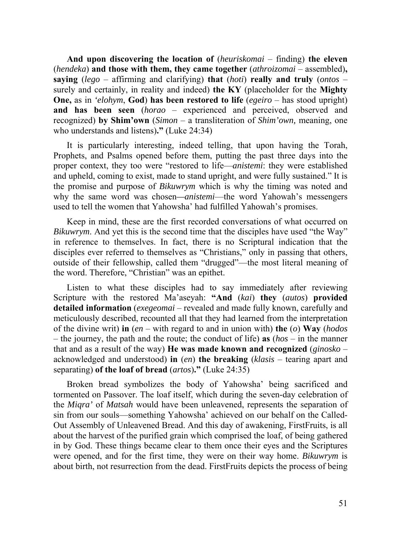**And upon discovering the location of** (*heuriskomai* – finding) **the eleven** (*hendeka*) **and those with them, they came together** (*athroizomai* – assembled)**, saying** (*lego* – affirming and clarifying) **that** (*hoti*) **really and truly** (*ontos* – surely and certainly, in reality and indeed) **the ΚΥ** (placeholder for the **Mighty One,** as in *'elohym*, **God**) **has been restored to life** (*egeiro* – has stood upright) **and has been seen** (*horao* – experienced and perceived, observed and recognized) **by Shim'own** (*Simon* – a transliteration of *Shim'own,* meaning, one who understands and listens)**."** (Luke 24:34)

It is particularly interesting, indeed telling, that upon having the Torah, Prophets, and Psalms opened before them, putting the past three days into the proper context, they too were "restored to life—*anistemi*: they were established and upheld, coming to exist, made to stand upright, and were fully sustained." It is the promise and purpose of *Bikuwrym* which is why the timing was noted and why the same word was chosen*—anistemi*—the word Yahowah's messengers used to tell the women that Yahowsha' had fulfilled Yahowah's promises.

Keep in mind, these are the first recorded conversations of what occurred on *Bikuwrym*. And yet this is the second time that the disciples have used "the Way" in reference to themselves. In fact, there is no Scriptural indication that the disciples ever referred to themselves as "Christians," only in passing that others, outside of their fellowship, called them "drugged"—the most literal meaning of the word. Therefore, "Christian" was an epithet.

Listen to what these disciples had to say immediately after reviewing Scripture with the restored Ma'aseyah: **"And** (*kai*) **they** (*autos*) **provided detailed information** (*exegeomai* – revealed and made fully known, carefully and meticulously described, recounted all that they had learned from the interpretation of the divine writ) **in** (*en* – with regard to and in union with) **the** (*o*) **Way** (*hodos* – the journey, the path and the route; the conduct of life) **as** (*hos* – in the manner that and as a result of the way) **He was made known and recognized** (*ginosko* – acknowledged and understood) **in** (*en*) **the breaking** (*klasis* – tearing apart and separating) **of the loaf of bread** (*artos*)**."** (Luke 24:35)

Broken bread symbolizes the body of Yahowsha' being sacrificed and tormented on Passover. The loaf itself, which during the seven-day celebration of the *Miqra'* of *Matsah* would have been unleavened, represents the separation of sin from our souls—something Yahowsha' achieved on our behalf on the Called-Out Assembly of Unleavened Bread. And this day of awakening, FirstFruits, is all about the harvest of the purified grain which comprised the loaf, of being gathered in by God. These things became clear to them once their eyes and the Scriptures were opened, and for the first time, they were on their way home. *Bikuwrym* is about birth, not resurrection from the dead. FirstFruits depicts the process of being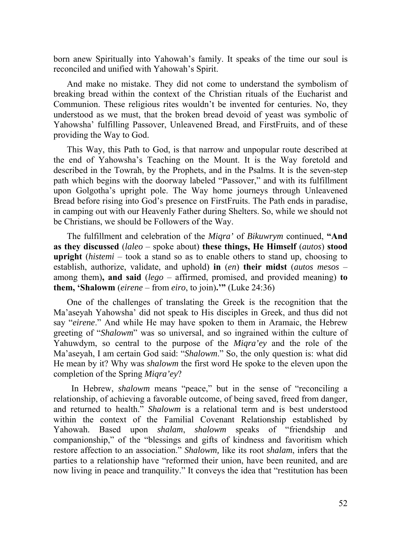born anew Spiritually into Yahowah's family. It speaks of the time our soul is reconciled and unified with Yahowah's Spirit.

And make no mistake. They did not come to understand the symbolism of breaking bread within the context of the Christian rituals of the Eucharist and Communion. These religious rites wouldn't be invented for centuries. No, they understood as we must, that the broken bread devoid of yeast was symbolic of Yahowsha' fulfilling Passover, Unleavened Bread, and FirstFruits, and of these providing the Way to God.

This Way, this Path to God, is that narrow and unpopular route described at the end of Yahowsha's Teaching on the Mount. It is the Way foretold and described in the Towrah, by the Prophets, and in the Psalms. It is the seven-step path which begins with the doorway labeled "Passover," and with its fulfillment upon Golgotha's upright pole. The Way home journeys through Unleavened Bread before rising into God's presence on FirstFruits. The Path ends in paradise, in camping out with our Heavenly Father during Shelters. So, while we should not be Christians, we should be Followers of the Way.

The fulfillment and celebration of the *Miqra'* of *Bikuwrym* continued, **"And as they discussed** (*laleo* – spoke about) **these things, He Himself** (*autos*) **stood upright** (*histemi* – took a stand so as to enable others to stand up, choosing to establish, authorize, validate, and uphold) **in** (*en*) **their midst** (*autos mesos* – among them)**, and said** (*lego* – affirmed, promised, and provided meaning) **to them, 'Shalowm** (*eirene* – from *eiro*, to join)**.'"** (Luke 24:36)

One of the challenges of translating the Greek is the recognition that the Ma'aseyah Yahowsha' did not speak to His disciples in Greek, and thus did not say "*eirene*." And while He may have spoken to them in Aramaic, the Hebrew greeting of "*Shalowm*" was so universal, and so ingrained within the culture of Yahuwdym, so central to the purpose of the *Miqra'ey* and the role of the Ma'aseyah, I am certain God said: "*Shalowm*." So, the only question is: what did He mean by it? Why was *shalowm* the first word He spoke to the eleven upon the completion of the Spring *Miqra'ey*?

 In Hebrew, *shalowm* means "peace," but in the sense of "reconciling a relationship, of achieving a favorable outcome, of being saved, freed from danger, and returned to health." *Shalowm* is a relational term and is best understood within the context of the Familial Covenant Relationship established by Yahowah. Based upon *shalam*, *shalowm* speaks of "friendship and companionship," of the "blessings and gifts of kindness and favoritism which restore affection to an association." *Shalowm,* like its root *shalam*, infers that the parties to a relationship have "reformed their union, have been reunited, and are now living in peace and tranquility." It conveys the idea that "restitution has been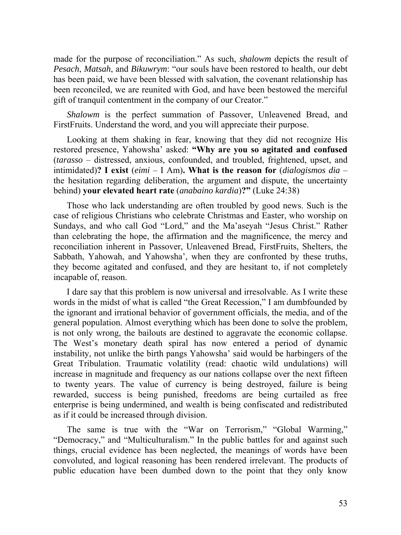made for the purpose of reconciliation." As such, *shalowm* depicts the result of *Pesach*, *Matsah*, and *Bikuwrym*: "our souls have been restored to health, our debt has been paid, we have been blessed with salvation, the covenant relationship has been reconciled, we are reunited with God, and have been bestowed the merciful gift of tranquil contentment in the company of our Creator."

*Shalowm* is the perfect summation of Passover, Unleavened Bread, and FirstFruits. Understand the word, and you will appreciate their purpose.

Looking at them shaking in fear, knowing that they did not recognize His restored presence, Yahowsha' asked: **"Why are you so agitated and confused**  (*tarasso* – distressed, anxious, confounded, and troubled, frightened, upset, and intimidated)**? I exist** (*eimi* – I Am)**. What is the reason for** (*dialogismos dia* – the hesitation regarding deliberation, the argument and dispute, the uncertainty behind) **your elevated heart rate** (*anabaino kardia*)**?"** (Luke 24:38)

Those who lack understanding are often troubled by good news. Such is the case of religious Christians who celebrate Christmas and Easter, who worship on Sundays, and who call God "Lord," and the Ma'aseyah "Jesus Christ." Rather than celebrating the hope, the affirmation and the magnificence, the mercy and reconciliation inherent in Passover, Unleavened Bread, FirstFruits, Shelters, the Sabbath, Yahowah, and Yahowsha', when they are confronted by these truths, they become agitated and confused, and they are hesitant to, if not completely incapable of, reason.

I dare say that this problem is now universal and irresolvable. As I write these words in the midst of what is called "the Great Recession," I am dumbfounded by the ignorant and irrational behavior of government officials, the media, and of the general population. Almost everything which has been done to solve the problem, is not only wrong, the bailouts are destined to aggravate the economic collapse. The West's monetary death spiral has now entered a period of dynamic instability, not unlike the birth pangs Yahowsha' said would be harbingers of the Great Tribulation. Traumatic volatility (read: chaotic wild undulations) will increase in magnitude and frequency as our nations collapse over the next fifteen to twenty years. The value of currency is being destroyed, failure is being rewarded, success is being punished, freedoms are being curtailed as free enterprise is being undermined, and wealth is being confiscated and redistributed as if it could be increased through division.

The same is true with the "War on Terrorism," "Global Warming," "Democracy," and "Multiculturalism." In the public battles for and against such things, crucial evidence has been neglected, the meanings of words have been convoluted, and logical reasoning has been rendered irrelevant. The products of public education have been dumbed down to the point that they only know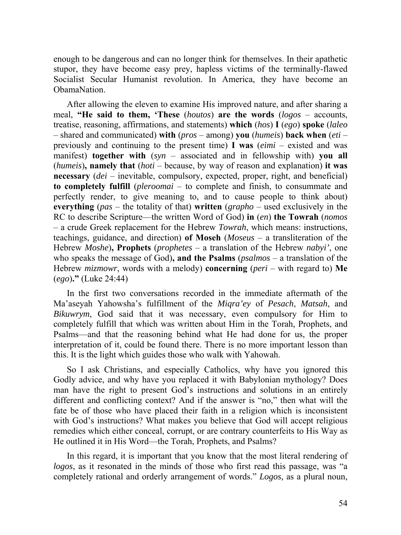enough to be dangerous and can no longer think for themselves. In their apathetic stupor, they have become easy prey, hapless victims of the terminally-flawed Socialist Secular Humanist revolution. In America, they have become an **ObamaNation** 

After allowing the eleven to examine His improved nature, and after sharing a meal, **"He said to them, 'These** (*houtos*) **are the words** (*logos* – accounts, treatise, reasoning, affirmations, and statements) **which** (*hos*) **I** (*ego*) **spoke** (*laleo* – shared and communicated) **with** (*pros* – among) **you** (*humeis*) **back when** (*eti* – previously and continuing to the present time) **I was** (*eimi* – existed and was manifest) **together with** (*syn* – associated and in fellowship with) **you all** (*humeis*)**, namely that** (*hoti* – because, by way of reason and explanation) **it was necessary** (*dei* – inevitable, compulsory, expected, proper, right, and beneficial) **to completely fulfill** (*pleroomai* – to complete and finish, to consummate and perfectly render, to give meaning to, and to cause people to think about) **everything** (*pas* – the totality of that) **written** (*grapho* – used exclusively in the RC to describe Scripture—the written Word of God) **in** (*en*) **the Towrah** (*nomos* – a crude Greek replacement for the Hebrew *Towrah*, which means: instructions, teachings, guidance, and direction) **of Moseh** (*Moseus* – a transliteration of the Hebrew *Moshe*)**, Prophets** (*prophetes* – a translation of the Hebrew *nabyi'*, one who speaks the message of God)**, and the Psalms** (*psalmos* – a translation of the Hebrew *mizmowr*, words with a melody) **concerning** (*peri* – with regard to) **Me** (*ego*)**."** (Luke 24:44)

In the first two conversations recorded in the immediate aftermath of the Ma'aseyah Yahowsha's fulfillment of the *Miqra'ey* of *Pesach*, *Matsah*, and *Bikuwrym*, God said that it was necessary, even compulsory for Him to completely fulfill that which was written about Him in the Torah, Prophets, and Psalms—and that the reasoning behind what He had done for us, the proper interpretation of it, could be found there. There is no more important lesson than this. It is the light which guides those who walk with Yahowah.

So I ask Christians, and especially Catholics, why have you ignored this Godly advice, and why have you replaced it with Babylonian mythology? Does man have the right to present God's instructions and solutions in an entirely different and conflicting context? And if the answer is "no," then what will the fate be of those who have placed their faith in a religion which is inconsistent with God's instructions? What makes you believe that God will accept religious remedies which either conceal, corrupt, or are contrary counterfeits to His Way as He outlined it in His Word—the Torah, Prophets, and Psalms?

In this regard, it is important that you know that the most literal rendering of *logos*, as it resonated in the minds of those who first read this passage, was "a completely rational and orderly arrangement of words." *Logos,* as a plural noun,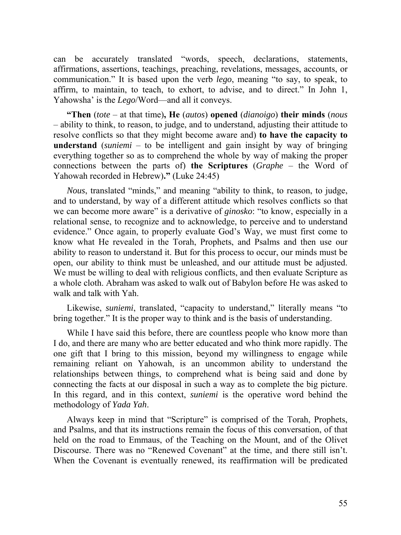can be accurately translated "words, speech, declarations, statements, affirmations, assertions, teachings, preaching, revelations, messages, accounts, or communication." It is based upon the verb *lego*, meaning "to say, to speak, to affirm, to maintain, to teach, to exhort, to advise, and to direct." In John 1, Yahowsha' is the *Lego*/Word—and all it conveys.

**"Then** (*tote* – at that time)**, He** (*autos*) **opened** (*dianoigo*) **their minds** (*nous* – ability to think, to reason, to judge, and to understand, adjusting their attitude to resolve conflicts so that they might become aware and) **to have the capacity to understand** (*suniemi* – to be intelligent and gain insight by way of bringing everything together so as to comprehend the whole by way of making the proper connections between the parts of) **the Scriptures** (*Graphe* – the Word of Yahowah recorded in Hebrew)**."** (Luke 24:45)

*Nous*, translated "minds," and meaning "ability to think, to reason, to judge, and to understand, by way of a different attitude which resolves conflicts so that we can become more aware" is a derivative of *ginosko*: "to know, especially in a relational sense, to recognize and to acknowledge, to perceive and to understand evidence." Once again, to properly evaluate God's Way, we must first come to know what He revealed in the Torah, Prophets, and Psalms and then use our ability to reason to understand it. But for this process to occur, our minds must be open, our ability to think must be unleashed, and our attitude must be adjusted. We must be willing to deal with religious conflicts, and then evaluate Scripture as a whole cloth. Abraham was asked to walk out of Babylon before He was asked to walk and talk with Yah.

Likewise, *suniemi*, translated, "capacity to understand," literally means "to bring together." It is the proper way to think and is the basis of understanding.

While I have said this before, there are countless people who know more than I do, and there are many who are better educated and who think more rapidly. The one gift that I bring to this mission, beyond my willingness to engage while remaining reliant on Yahowah, is an uncommon ability to understand the relationships between things, to comprehend what is being said and done by connecting the facts at our disposal in such a way as to complete the big picture. In this regard, and in this context, *suniemi* is the operative word behind the methodology of *Yada Yah*.

Always keep in mind that "Scripture" is comprised of the Torah, Prophets, and Psalms, and that its instructions remain the focus of this conversation, of that held on the road to Emmaus, of the Teaching on the Mount, and of the Olivet Discourse. There was no "Renewed Covenant" at the time, and there still isn't. When the Covenant is eventually renewed, its reaffirmation will be predicated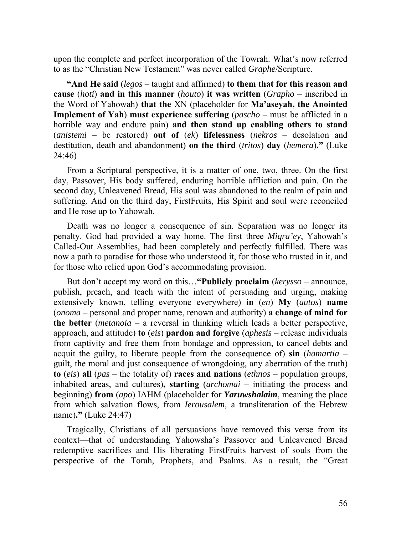upon the complete and perfect incorporation of the Towrah. What's now referred to as the "Christian New Testament" was never called *Graphe*/Scripture.

**"And He said** (*legos* – taught and affirmed) **to them that for this reason and cause** (*hoti*) **and in this manner** (*houto*) **it was written** (*Grapho* – inscribed in the Word of Yahowah) **that the** ΧΝ (placeholder for **Ma'aseyah, the Anointed Implement of Yah**) **must experience suffering** (*pascho* – must be afflicted in a horrible way and endure pain) **and then stand up enabling others to stand** (*anistemi –* be restored) **out of** (*ek*) **lifelessness** (*nekros* – desolation and destitution, death and abandonment) **on the third** (*tritos*) **day** (*hemera*)**."** (Luke 24:46)

From a Scriptural perspective, it is a matter of one, two, three. On the first day, Passover, His body suffered, enduring horrible affliction and pain. On the second day, Unleavened Bread, His soul was abandoned to the realm of pain and suffering. And on the third day, FirstFruits, His Spirit and soul were reconciled and He rose up to Yahowah.

Death was no longer a consequence of sin. Separation was no longer its penalty. God had provided a way home. The first three *Miqra'ey*, Yahowah's Called-Out Assemblies, had been completely and perfectly fulfilled. There was now a path to paradise for those who understood it, for those who trusted in it, and for those who relied upon God's accommodating provision.

But don't accept my word on this…**"Publicly proclaim** (*kerysso* – announce, publish, preach, and teach with the intent of persuading and urging, making extensively known, telling everyone everywhere) **in** (*en*) **My** (*autos*) **name** (*onoma* – personal and proper name, renown and authority) **a change of mind for the better** (*metanoia* – a reversal in thinking which leads a better perspective, approach, and attitude) **to** (*eis*) **pardon and forgive** (*aphesis* – release individuals from captivity and free them from bondage and oppression, to cancel debts and acquit the guilty, to liberate people from the consequence of) **sin** (*hamartia* – guilt, the moral and just consequence of wrongdoing, any aberration of the truth) **to** (*eis*) **all** (*pas* – the totality of) **races and nations** (*ethnos* – population groups, inhabited areas, and cultures)**, starting** (*archomai* – initiating the process and beginning) **from** (*apo*) ΙΛΗΜ (placeholder for *Yaruwshalaim*, meaning the place from which salvation flows, from *Ierousalem,* a transliteration of the Hebrew name)**."** (Luke 24:47)

Tragically, Christians of all persuasions have removed this verse from its context—that of understanding Yahowsha's Passover and Unleavened Bread redemptive sacrifices and His liberating FirstFruits harvest of souls from the perspective of the Torah, Prophets, and Psalms. As a result, the "Great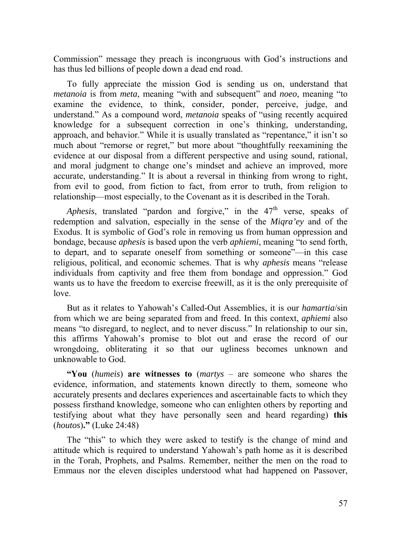Commission" message they preach is incongruous with God's instructions and has thus led billions of people down a dead end road.

To fully appreciate the mission God is sending us on, understand that *metanoia* is from *meta*, meaning "with and subsequent" and *noeo*, meaning "to examine the evidence, to think, consider, ponder, perceive, judge, and understand." As a compound word, *metanoia* speaks of "using recently acquired knowledge for a subsequent correction in one's thinking, understanding, approach, and behavior." While it is usually translated as "repentance," it isn't so much about "remorse or regret," but more about "thoughtfully reexamining the evidence at our disposal from a different perspective and using sound, rational, and moral judgment to change one's mindset and achieve an improved, more accurate, understanding." It is about a reversal in thinking from wrong to right, from evil to good, from fiction to fact, from error to truth, from religion to relationship—most especially, to the Covenant as it is described in the Torah.

*Aphesis*, translated "pardon and forgive," in the 47<sup>th</sup> verse, speaks of redemption and salvation, especially in the sense of the *Miqra'ey* and of the Exodus. It is symbolic of God's role in removing us from human oppression and bondage, because *aphesis* is based upon the verb *aphiemi*, meaning "to send forth, to depart, and to separate oneself from something or someone"—in this case religious, political, and economic schemes. That is why *aphesis* means "release individuals from captivity and free them from bondage and oppression." God wants us to have the freedom to exercise freewill, as it is the only prerequisite of love.

But as it relates to Yahowah's Called-Out Assemblies, it is our *hamartia*/sin from which we are being separated from and freed. In this context, *aphiemi* also means "to disregard, to neglect, and to never discuss." In relationship to our sin, this affirms Yahowah's promise to blot out and erase the record of our wrongdoing, obliterating it so that our ugliness becomes unknown and unknowable to God.

**"You** (*humeis*) **are witnesses to** (*martys* – are someone who shares the evidence, information, and statements known directly to them, someone who accurately presents and declares experiences and ascertainable facts to which they possess firsthand knowledge, someone who can enlighten others by reporting and testifying about what they have personally seen and heard regarding) **this** (*houtos*)**."** (Luke 24:48)

The "this" to which they were asked to testify is the change of mind and attitude which is required to understand Yahowah's path home as it is described in the Torah, Prophets, and Psalms. Remember, neither the men on the road to Emmaus nor the eleven disciples understood what had happened on Passover,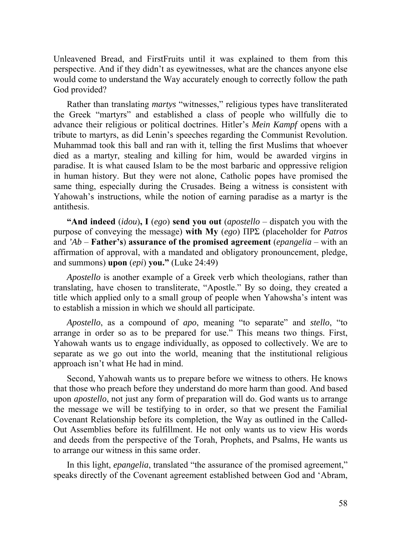Unleavened Bread, and FirstFruits until it was explained to them from this perspective. And if they didn't as eyewitnesses, what are the chances anyone else would come to understand the Way accurately enough to correctly follow the path God provided?

Rather than translating *martys* "witnesses," religious types have transliterated the Greek "martyrs" and established a class of people who willfully die to advance their religious or political doctrines. Hitler's *Mein Kampf* opens with a tribute to martyrs, as did Lenin's speeches regarding the Communist Revolution. Muhammad took this ball and ran with it, telling the first Muslims that whoever died as a martyr, stealing and killing for him, would be awarded virgins in paradise. It is what caused Islam to be the most barbaric and oppressive religion in human history. But they were not alone, Catholic popes have promised the same thing, especially during the Crusades. Being a witness is consistent with Yahowah's instructions, while the notion of earning paradise as a martyr is the antithesis.

**"And indeed** (*idou*)**, I** (*ego*) **send you out** (*apostello* – dispatch you with the purpose of conveying the message) **with My** (*ego*) ΠΡΣ (placeholder for *Patros* and *'Ab* – **Father's**) **assurance of the promised agreement** (*epangelia* – with an affirmation of approval, with a mandated and obligatory pronouncement, pledge, and summons) **upon** (*epi*) **you."** (Luke 24:49)

*Apostello* is another example of a Greek verb which theologians, rather than translating, have chosen to transliterate, "Apostle." By so doing, they created a title which applied only to a small group of people when Yahowsha's intent was to establish a mission in which we should all participate.

*Apostello*, as a compound of *apo*, meaning "to separate" and *stello*, "to arrange in order so as to be prepared for use." This means two things. First, Yahowah wants us to engage individually, as opposed to collectively. We are to separate as we go out into the world, meaning that the institutional religious approach isn't what He had in mind.

Second, Yahowah wants us to prepare before we witness to others. He knows that those who preach before they understand do more harm than good. And based upon *apostello*, not just any form of preparation will do. God wants us to arrange the message we will be testifying to in order, so that we present the Familial Covenant Relationship before its completion, the Way as outlined in the Called-Out Assemblies before its fulfillment. He not only wants us to view His words and deeds from the perspective of the Torah, Prophets, and Psalms, He wants us to arrange our witness in this same order.

In this light, *epangelia*, translated "the assurance of the promised agreement," speaks directly of the Covenant agreement established between God and 'Abram,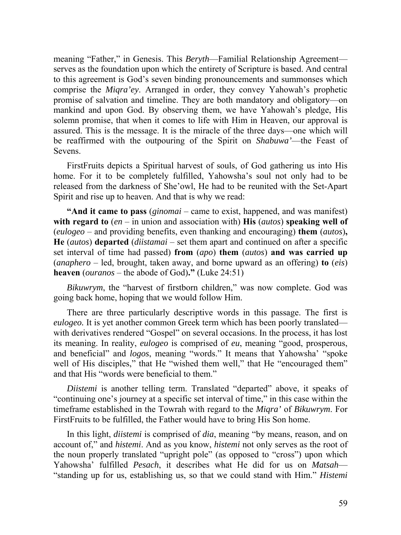meaning "Father," in Genesis. This *Beryth*—Familial Relationship Agreement serves as the foundation upon which the entirety of Scripture is based. And central to this agreement is God's seven binding pronouncements and summonses which comprise the *Miqra'ey*. Arranged in order, they convey Yahowah's prophetic promise of salvation and timeline. They are both mandatory and obligatory—on mankind and upon God. By observing them, we have Yahowah's pledge, His solemn promise, that when it comes to life with Him in Heaven, our approval is assured. This is the message. It is the miracle of the three days—one which will be reaffirmed with the outpouring of the Spirit on *Shabuwa'*—the Feast of Sevens.

FirstFruits depicts a Spiritual harvest of souls, of God gathering us into His home. For it to be completely fulfilled, Yahowsha's soul not only had to be released from the darkness of She'owl, He had to be reunited with the Set-Apart Spirit and rise up to heaven. And that is why we read:

**"And it came to pass** (*ginomai* – came to exist, happened, and was manifest) **with regard to** (*en* – in union and association with) **His** (*autos*) **speaking well of** (*eulogeo* – and providing benefits, even thanking and encouraging) **them** (*autos*)**, He** (*autos*) **departed** (*diistamai* – set them apart and continued on after a specific set interval of time had passed) **from** (*apo*) **them** (*autos*) **and was carried up** (*anaphero* – led, brought, taken away, and borne upward as an offering) **to** (*eis*) **heaven** (*ouranos* – the abode of God)**."** (Luke 24:51)

*Bikuwrym*, the "harvest of firstborn children," was now complete. God was going back home, hoping that we would follow Him.

There are three particularly descriptive words in this passage. The first is *eulogeo.* It is yet another common Greek term which has been poorly translated with derivatives rendered "Gospel" on several occasions. In the process, it has lost its meaning. In reality, *eulogeo* is comprised of *eu*, meaning "good, prosperous, and beneficial" and *logos*, meaning "words." It means that Yahowsha' "spoke well of His disciples," that He "wished them well," that He "encouraged them" and that His "words were beneficial to them."

*Diistemi* is another telling term. Translated "departed" above, it speaks of "continuing one's journey at a specific set interval of time," in this case within the timeframe established in the Towrah with regard to the *Miqra'* of *Bikuwrym*. For FirstFruits to be fulfilled, the Father would have to bring His Son home.

In this light, *diistemi* is comprised of *dia*, meaning "by means, reason, and on account of," and *histemi*. And as you know, *histemi* not only serves as the root of the noun properly translated "upright pole" (as opposed to "cross") upon which Yahowsha' fulfilled *Pesach*, it describes what He did for us on *Matsah*— "standing up for us, establishing us, so that we could stand with Him." *Histemi*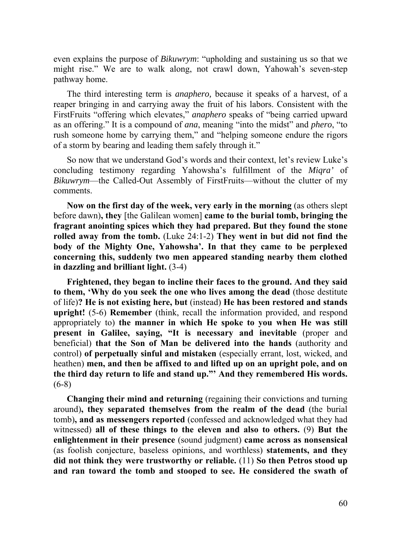even explains the purpose of *Bikuwrym*: "upholding and sustaining us so that we might rise." We are to walk along, not crawl down, Yahowah's seven-step pathway home.

The third interesting term is *anaphero,* because it speaks of a harvest, of a reaper bringing in and carrying away the fruit of his labors. Consistent with the FirstFruits "offering which elevates," *anaphero* speaks of "being carried upward as an offering." It is a compound of *ana*, meaning "into the midst" and *phero*, "to rush someone home by carrying them," and "helping someone endure the rigors of a storm by bearing and leading them safely through it."

So now that we understand God's words and their context, let's review Luke's concluding testimony regarding Yahowsha's fulfillment of the *Miqra'* of *Bikuwrym*—the Called-Out Assembly of FirstFruits—without the clutter of my comments.

**Now on the first day of the week, very early in the morning** (as others slept before dawn)**, they** [the Galilean women] **came to the burial tomb, bringing the fragrant anointing spices which they had prepared. But they found the stone rolled away from the tomb.** (Luke 24:1-2) **They went in but did not find the body of the Mighty One, Yahowsha'. In that they came to be perplexed concerning this, suddenly two men appeared standing nearby them clothed in dazzling and brilliant light.** (3-4)

**Frightened, they began to incline their faces to the ground. And they said to them, 'Why do you seek the one who lives among the dead** (those destitute of life)**? He is not existing here, but** (instead) **He has been restored and stands upright!** (5-6) **Remember** (think, recall the information provided, and respond appropriately to) **the manner in which He spoke to you when He was still present in Galilee, saying, "It is necessary and inevitable** (proper and beneficial) **that the Son of Man be delivered into the hands** (authority and control) **of perpetually sinful and mistaken** (especially errant, lost, wicked, and heathen) **men, and then be affixed to and lifted up on an upright pole, and on the third day return to life and stand up."' And they remembered His words.**  $(6-8)$ 

**Changing their mind and returning** (regaining their convictions and turning around)**, they separated themselves from the realm of the dead** (the burial tomb)**, and as messengers reported** (confessed and acknowledged what they had witnessed) **all of these things to the eleven and also to others.** (9) **But the enlightenment in their presence** (sound judgment) **came across as nonsensical** (as foolish conjecture, baseless opinions, and worthless) **statements, and they did not think they were trustworthy or reliable.** (11) **So then Petros stood up and ran toward the tomb and stooped to see. He considered the swath of**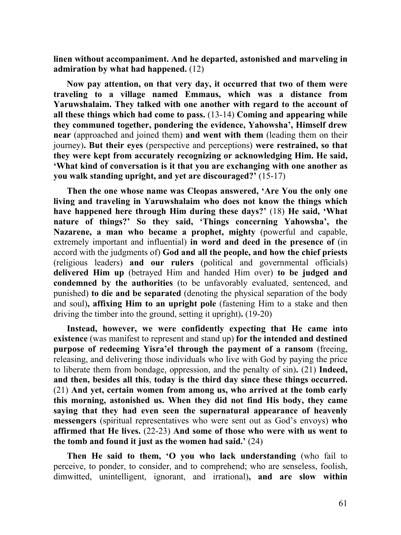**linen without accompaniment. And he departed, astonished and marveling in admiration by what had happened.** (12)

**Now pay attention, on that very day, it occurred that two of them were traveling to a village named Emmaus, which was a distance from Yaruwshalaim. They talked with one another with regard to the account of all these things which had come to pass.** (13-14) **Coming and appearing while they communed together, pondering the evidence, Yahowsha', Himself drew near** (approached and joined them) **and went with them** (leading them on their journey)**. But their eyes** (perspective and perceptions) **were restrained, so that they were kept from accurately recognizing or acknowledging Him. He said, 'What kind of conversation is it that you are exchanging with one another as you walk standing upright, and yet are discouraged?'** (15-17)

**Then the one whose name was Cleopas answered, 'Are You the only one living and traveling in Yaruwshalaim who does not know the things which have happened here through Him during these days?'** (18) **He said, 'What nature of things?' So they said, 'Things concerning Yahowsha', the Nazarene, a man who became a prophet, mighty** (powerful and capable, extremely important and influential) **in word and deed in the presence of** (in accord with the judgments of) **God and all the people, and how the chief priests**  (religious leaders) **and our rulers** (political and governmental officials) **delivered Him up** (betrayed Him and handed Him over) **to be judged and condemned by the authorities** (to be unfavorably evaluated, sentenced, and punished) **to die and be separated** (denoting the physical separation of the body and soul)**, affixing Him to an upright pole** (fastening Him to a stake and then driving the timber into the ground, setting it upright)**.** (19-20)

**Instead, however, we were confidently expecting that He came into existence** (was manifest to represent and stand up) **for the intended and destined purpose of redeeming Yisra'el through the payment of a ransom** (freeing, releasing, and delivering those individuals who live with God by paying the price to liberate them from bondage, oppression, and the penalty of sin)**.** (21) **Indeed, and then, besides all this**, **today is the third day since these things occurred.**  (21) **And yet, certain women from among us, who arrived at the tomb early this morning, astonished us. When they did not find His body, they came saying that they had even seen the supernatural appearance of heavenly messengers** (spiritual representatives who were sent out as God's envoys) **who affirmed that He lives.** (22-23) **And some of those who were with us went to the tomb and found it just as the women had said.'** (24)

**Then He said to them, 'O you who lack understanding** (who fail to perceive, to ponder, to consider, and to comprehend; who are senseless, foolish, dimwitted, unintelligent, ignorant, and irrational)**, and are slow within**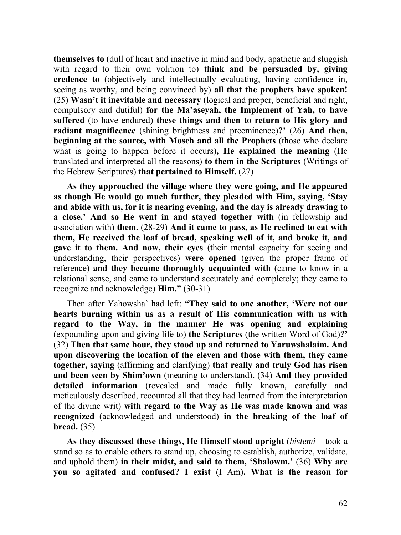**themselves to** (dull of heart and inactive in mind and body, apathetic and sluggish with regard to their own volition to) **think and be persuaded by, giving credence to** (objectively and intellectually evaluating, having confidence in, seeing as worthy, and being convinced by) **all that the prophets have spoken!**  (25) **Wasn't it inevitable and necessary** (logical and proper, beneficial and right, compulsory and dutiful) **for the Ma'aseyah, the Implement of Yah, to have suffered** (to have endured) **these things and then to return to His glory and radiant magnificence** (shining brightness and preeminence)**?'** (26) **And then, beginning at the source, with Moseh and all the Prophets** (those who declare what is going to happen before it occurs)**, He explained the meaning** (He translated and interpreted all the reasons) **to them in the Scriptures** (Writings of the Hebrew Scriptures) **that pertained to Himself.** (27)

**As they approached the village where they were going, and He appeared as though He would go much further, they pleaded with Him, saying, 'Stay and abide with us, for it is nearing evening, and the day is already drawing to a close.' And so He went in and stayed together with** (in fellowship and association with) **them.** (28-29) **And it came to pass, as He reclined to eat with them, He received the loaf of bread, speaking well of it, and broke it, and gave it to them. And now, their eyes** (their mental capacity for seeing and understanding, their perspectives) **were opened** (given the proper frame of reference) **and they became thoroughly acquainted with** (came to know in a relational sense, and came to understand accurately and completely; they came to recognize and acknowledge) **Him."** (30-31)

Then after Yahowsha' had left: **"They said to one another, 'Were not our hearts burning within us as a result of His communication with us with regard to the Way, in the manner He was opening and explaining** (expounding upon and giving life to) **the Scriptures** (the written Word of God)**?'** (32) **Then that same hour, they stood up and returned to Yaruwshalaim. And upon discovering the location of the eleven and those with them, they came together, saying** (affirming and clarifying) **that really and truly God has risen and been seen by Shim'own** (meaning to understand)**.** (34) **And they provided detailed information** (revealed and made fully known, carefully and meticulously described, recounted all that they had learned from the interpretation of the divine writ) **with regard to the Way as He was made known and was recognized** (acknowledged and understood) **in the breaking of the loaf of bread.** (35)

**As they discussed these things, He Himself stood upright** (*histemi* – took a stand so as to enable others to stand up, choosing to establish, authorize, validate, and uphold them) **in their midst, and said to them, 'Shalowm.'** (36) **Why are you so agitated and confused? I exist** (I Am)**. What is the reason for**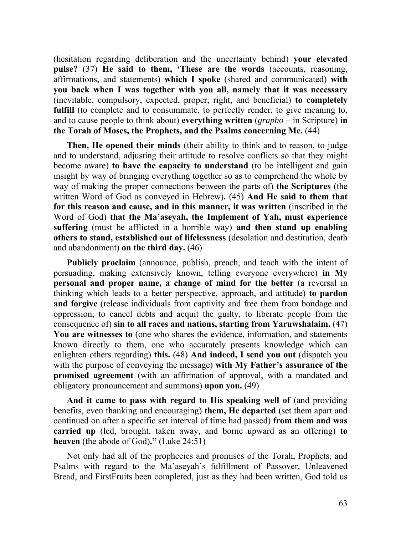(hesitation regarding deliberation and the uncertainty behind) **your elevated pulse?** (37) **He said to them, 'These are the words** (accounts, reasoning, affirmations, and statements) **which I spoke** (shared and communicated) **with you back when I was together with you all, namely that it was necessary** (inevitable, compulsory, expected, proper, right, and beneficial) **to completely fulfill** (to complete and to consummate, to perfectly render, to give meaning to, and to cause people to think about) **everything written** (*grapho* – in Scripture) **in the Torah of Moses, the Prophets, and the Psalms concerning Me.** (44)

**Then, He opened their minds** (their ability to think and to reason, to judge and to understand, adjusting their attitude to resolve conflicts so that they might become aware) **to have the capacity to understand** (to be intelligent and gain insight by way of bringing everything together so as to comprehend the whole by way of making the proper connections between the parts of) **the Scriptures** (the written Word of God as conveyed in Hebrew)**.** (45) **And He said to them that for this reason and cause, and in this manner, it was written** (inscribed in the Word of God) **that the Ma'aseyah, the Implement of Yah, must experience suffering** (must be afflicted in a horrible way) **and then stand up enabling others to stand, established out of lifelessness** (desolation and destitution, death and abandonment) **on the third day.** (46)

**Publicly proclaim** (announce, publish, preach, and teach with the intent of persuading, making extensively known, telling everyone everywhere) **in My personal and proper name, a change of mind for the better** (a reversal in thinking which leads to a better perspective, approach, and attitude) **to pardon and forgive** (release individuals from captivity and free them from bondage and oppression, to cancel debts and acquit the guilty, to liberate people from the consequence of) **sin to all races and nations, starting from Yaruwshalaim.** (47) **You are witnesses to** (one who shares the evidence, information, and statements known directly to them, one who accurately presents knowledge which can enlighten others regarding) **this.** (48) **And indeed, I send you out** (dispatch you with the purpose of conveying the message) **with My Father's assurance of the promised agreement** (with an affirmation of approval, with a mandated and obligatory pronouncement and summons) **upon you.** (49)

**And it came to pass with regard to His speaking well of** (and providing benefits, even thanking and encouraging) **them, He departed** (set them apart and continued on after a specific set interval of time had passed) **from them and was carried up** (led, brought, taken away, and borne upward as an offering) **to heaven** (the abode of God)**."** (Luke 24:51)

Not only had all of the prophecies and promises of the Torah, Prophets, and Psalms with regard to the Ma'aseyah's fulfillment of Passover, Unleavened Bread, and FirstFruits been completed, just as they had been written, God told us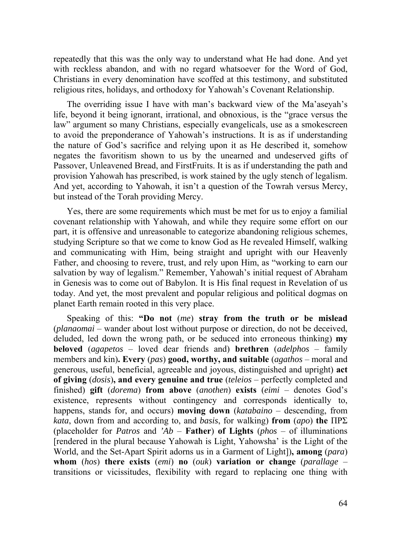repeatedly that this was the only way to understand what He had done. And yet with reckless abandon, and with no regard whatsoever for the Word of God, Christians in every denomination have scoffed at this testimony, and substituted religious rites, holidays, and orthodoxy for Yahowah's Covenant Relationship.

The overriding issue I have with man's backward view of the Ma'aseyah's life, beyond it being ignorant, irrational, and obnoxious, is the "grace versus the law" argument so many Christians, especially evangelicals, use as a smokescreen to avoid the preponderance of Yahowah's instructions. It is as if understanding the nature of God's sacrifice and relying upon it as He described it, somehow negates the favoritism shown to us by the unearned and undeserved gifts of Passover, Unleavened Bread, and FirstFruits. It is as if understanding the path and provision Yahowah has prescribed, is work stained by the ugly stench of legalism. And yet, according to Yahowah, it isn't a question of the Towrah versus Mercy, but instead of the Torah providing Mercy.

Yes, there are some requirements which must be met for us to enjoy a familial covenant relationship with Yahowah, and while they require some effort on our part, it is offensive and unreasonable to categorize abandoning religious schemes, studying Scripture so that we come to know God as He revealed Himself, walking and communicating with Him, being straight and upright with our Heavenly Father, and choosing to revere, trust, and rely upon Him, as "working to earn our salvation by way of legalism." Remember, Yahowah's initial request of Abraham in Genesis was to come out of Babylon. It is His final request in Revelation of us today. And yet, the most prevalent and popular religious and political dogmas on planet Earth remain rooted in this very place.

Speaking of this: **"Do not** (*me*) **stray from the truth or be mislead** (*planaomai* – wander about lost without purpose or direction, do not be deceived, deluded, led down the wrong path, or be seduced into erroneous thinking) **my beloved** (*agapetos* – loved dear friends and) **brethren** (*adelphos* – family members and kin)**. Every** (*pas*) **good, worthy, and suitable** (*agathos* – moral and generous, useful, beneficial, agreeable and joyous, distinguished and upright) **act of giving** (*dosis*)**, and every genuine and true** (*teleios* – perfectly completed and finished) **gift** (*dorema*) **from above** (*anothen*) **exists** (*eimi* – denotes God's existence, represents without contingency and corresponds identically to, happens, stands for, and occurs) **moving down** (*katabaino* – descending, from *kata*, down from and according to, and *basis*, for walking) **from** (*apo*) **the** ΠΡΣ (placeholder for *Patros* and *'Ab* – **Father**) **of Lights** (*phos* – of illuminations [rendered in the plural because Yahowah is Light, Yahowsha' is the Light of the World, and the Set-Apart Spirit adorns us in a Garment of Light])**, among** (*para*) **whom** (*hos*) **there exists** (*emi*) **no** (*ouk*) **variation or change** (*parallage* – transitions or vicissitudes, flexibility with regard to replacing one thing with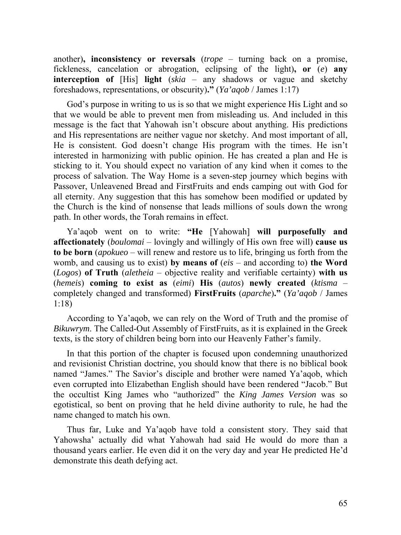another)**, inconsistency or reversals** (*trope* – turning back on a promise, fickleness, cancelation or abrogation, eclipsing of the light)**, or** (*e*) **any interception of** [His] **light** (*skia* – any shadows or vague and sketchy foreshadows, representations, or obscurity)**."** (*Ya'aqob* / James 1:17)

God's purpose in writing to us is so that we might experience His Light and so that we would be able to prevent men from misleading us. And included in this message is the fact that Yahowah isn't obscure about anything. His predictions and His representations are neither vague nor sketchy. And most important of all, He is consistent. God doesn't change His program with the times. He isn't interested in harmonizing with public opinion. He has created a plan and He is sticking to it. You should expect no variation of any kind when it comes to the process of salvation. The Way Home is a seven-step journey which begins with Passover, Unleavened Bread and FirstFruits and ends camping out with God for all eternity. Any suggestion that this has somehow been modified or updated by the Church is the kind of nonsense that leads millions of souls down the wrong path. In other words, the Torah remains in effect.

Ya'aqob went on to write: **"He** [Yahowah] **will purposefully and affectionately** (*boulomai* – lovingly and willingly of His own free will) **cause us to be born** (*apokueo* – will renew and restore us to life, bringing us forth from the womb, and causing us to exist) **by means of** (*eis* – and according to) **the Word** (*Logos*) **of Truth** (*aletheia* – objective reality and verifiable certainty) **with us**  (*hemeis*) **coming to exist as** (*eimi*) **His** (*autos*) **newly created** (*ktisma* – completely changed and transformed) **FirstFruits** (*aparche*)**."** (*Ya'aqob* / James 1:18)

According to Ya'aqob, we can rely on the Word of Truth and the promise of *Bikuwrym*. The Called-Out Assembly of FirstFruits, as it is explained in the Greek texts, is the story of children being born into our Heavenly Father's family.

In that this portion of the chapter is focused upon condemning unauthorized and revisionist Christian doctrine, you should know that there is no biblical book named "James." The Savior's disciple and brother were named Ya'aqob, which even corrupted into Elizabethan English should have been rendered "Jacob." But the occultist King James who "authorized" the *King James Version* was so egotistical, so bent on proving that he held divine authority to rule, he had the name changed to match his own.

Thus far, Luke and Ya'aqob have told a consistent story. They said that Yahowsha' actually did what Yahowah had said He would do more than a thousand years earlier. He even did it on the very day and year He predicted He'd demonstrate this death defying act.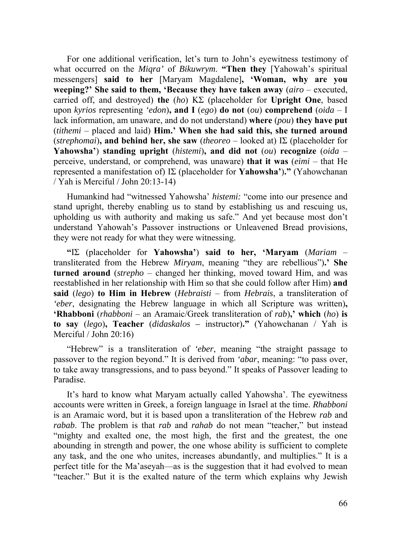For one additional verification, let's turn to John's eyewitness testimony of what occurred on the *Miqra'* of *Bikuwrym*. **"Then they** [Yahowah's spiritual messengers] **said to her** [Maryam Magdalene]**, 'Woman, why are you weeping?' She said to them, 'Because they have taken away** (*airo* – executed, carried off, and destroyed) **the** (*ho*) ΚΣ (placeholder for **Upright One**, based upon *kyrios* representing *'edon*)**, and I** (*ego*) **do not** (*ou*) **comprehend** (*oida* – I lack information, am unaware, and do not understand) **where** (*pou*) **they have put**  (*tithemi* – placed and laid) **Him.' When she had said this, she turned around**  (*strephomai*)**, and behind her, she saw** (*theoreo* – looked at) ΙΣ (placeholder for **Yahowsha'**) **standing upright** (*histemi*)**, and did not** (*ou*) **recognize** (*oida* – perceive, understand, or comprehend, was unaware) **that it was** (*eimi* – that He represented a manifestation of) ΙΣ (placeholder for **Yahowsha'**)**."** (Yahowchanan / Yah is Merciful / John 20:13-14)

Humankind had "witnessed Yahowsha' *histemi:* "come into our presence and stand upright, thereby enabling us to stand by establishing us and rescuing us, upholding us with authority and making us safe." And yet because most don't understand Yahowah's Passover instructions or Unleavened Bread provisions, they were not ready for what they were witnessing.

**"**ΙΣ (placeholder for **Yahowsha'**) **said to her, 'Maryam** (*Mariam* – transliterated from the Hebrew *Miryam*, meaning "they are rebellious")**.' She turned around** (*strepho* – changed her thinking, moved toward Him, and was reestablished in her relationship with Him so that she could follow after Him) **and said** (*lego*) **to Him in Hebrew** (*Hebraisti* – from *Hebrais*, a transliteration of *'eber*, designating the Hebrew language in which all Scripture was written)**, 'Rhabboni** (*rhabboni* – an Aramaic/Greek transliteration of *rab*)**,' which** (*ho*) **is to say** (*lego*)**, Teacher** (*didaskalos –* instructor)**."** (Yahowchanan / Yah is Merciful / John 20:16)

"Hebrew" is a transliteration of *'eber*, meaning "the straight passage to passover to the region beyond." It is derived from *'abar*, meaning: "to pass over, to take away transgressions, and to pass beyond." It speaks of Passover leading to Paradise.

It's hard to know what Maryam actually called Yahowsha'. The eyewitness accounts were written in Greek, a foreign language in Israel at the time. *Rhabboni* is an Aramaic word, but it is based upon a transliteration of the Hebrew *rab* and *rabab*. The problem is that *rab* and *rahab* do not mean "teacher," but instead "mighty and exalted one, the most high, the first and the greatest, the one abounding in strength and power, the one whose ability is sufficient to complete any task, and the one who unites, increases abundantly, and multiplies." It is a perfect title for the Ma'aseyah—as is the suggestion that it had evolved to mean "teacher." But it is the exalted nature of the term which explains why Jewish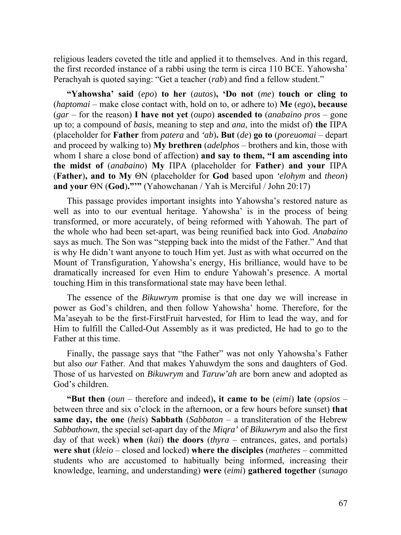religious leaders coveted the title and applied it to themselves. And in this regard, the first recorded instance of a rabbi using the term is circa 110 BCE. Yahowsha' Perachyah is quoted saying: "Get a teacher (*rab*) and find a fellow student."

**"Yahowsha' said** (*epo*) **to her** (*autos*)**, 'Do not** (*me*) **touch or cling to** (*haptomai* – make close contact with, hold on to, or adhere to) **Me** (*ego*)**, because**  (*gar* – for the reason) **I have not yet** (*oupo*) **ascended to** (*anabaino pros* – gone up to; a compound of *basis*, meaning to step and *ana*, into the midst of) **the** ΠΡΑ (placeholder for **Father** from *patera* and *'ab*)**. But** (*de*) **go to** (*poreuomai* – depart and proceed by walking to) **My brethren** (*adelphos* – brothers and kin, those with whom I share a close bond of affection) **and say to them, "I am ascending into the midst of** (*anabaino*) **My** ΠΡΑ (placeholder for **Father**) **and your** ΠΡΑ (**Father**)**, and to My** ΘΝ (placeholder for **God** based upon *'elohym* and *theon*) **and your** ΘΝ (**God**)**."'"** (Yahowchanan / Yah is Merciful / John 20:17)

This passage provides important insights into Yahowsha's restored nature as well as into to our eventual heritage. Yahowsha' is in the process of being transformed, or more accurately, of being reformed with Yahowah. The part of the whole who had been set-apart, was being reunified back into God. *Anabaino*  says as much. The Son was "stepping back into the midst of the Father." And that is why He didn't want anyone to touch Him yet. Just as with what occurred on the Mount of Transfiguration, Yahowsha's energy, His brilliance, would have to be dramatically increased for even Him to endure Yahowah's presence. A mortal touching Him in this transformational state may have been lethal.

The essence of the *Bikuwrym* promise is that one day we will increase in power as God's children, and then follow Yahowsha' home. Therefore, for the Ma'aseyah to be the first-FirstFruit harvested, for Him to lead the way, and for Him to fulfill the Called-Out Assembly as it was predicted, He had to go to the Father at this time.

Finally, the passage says that "the Father" was not only Yahowsha's Father but also *our* Father. And that makes Yahuwdym the sons and daughters of God. Those of us harvested on *Bikuwrym* and *Taruw'ah* are born anew and adopted as God's children.

**"But then** (*oun* – therefore and indeed)**, it came to be** (*eimi*) **late** (*opsios* – between three and six o'clock in the afternoon, or a few hours before sunset) **that same day, the one** (*heis*) **Sabbath** (*Sabbaton* – a transliteration of the Hebrew *Sabbathown*, the special set-apart day of the *Miqra'* of *Bikuwrym* and also the first day of that week) **when** (*kai*) **the doors** (*thyra* – entrances, gates, and portals) **were shut** (*kleio* – closed and locked) **where the disciples** (*mathetes* – committed students who are accustomed to habitually being informed, increasing their knowledge, learning, and understanding) **were** (*eimi*) **gathered together** (*sunago*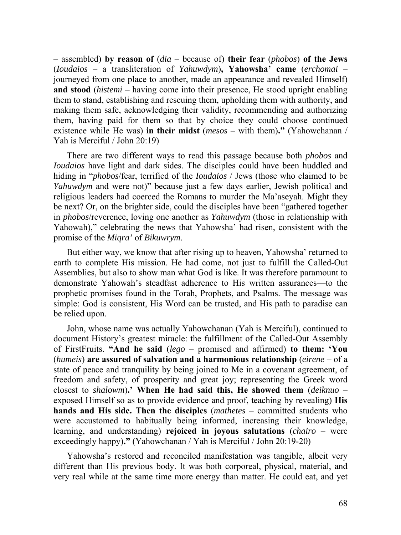– assembled) **by reason of** (*dia* – because of) **their fear** (*phobos*) **of the Jews** (*Ioudaios* – a transliteration of *Yahuwdym*)**, Yahowsha' came** (*erchomai* – journeyed from one place to another, made an appearance and revealed Himself) **and stood** (*histemi* – having come into their presence, He stood upright enabling them to stand, establishing and rescuing them, upholding them with authority, and making them safe, acknowledging their validity, recommending and authorizing them, having paid for them so that by choice they could choose continued existence while He was) **in their midst** (*mesos* – with them)**."** (Yahowchanan / Yah is Merciful / John 20:19)

There are two different ways to read this passage because both *phobos* and *Ioudaios* have light and dark sides. The disciples could have been huddled and hiding in "*phobos*/fear, terrified of the *Ioudaios* / Jews (those who claimed to be *Yahuwdym* and were not)" because just a few days earlier, Jewish political and religious leaders had coerced the Romans to murder the Ma'aseyah. Might they be next? Or, on the brighter side, could the disciples have been "gathered together in *phobos*/reverence, loving one another as *Yahuwdym* (those in relationship with Yahowah)," celebrating the news that Yahowsha' had risen, consistent with the promise of the *Miqra'* of *Bikuwrym*.

But either way, we know that after rising up to heaven, Yahowsha' returned to earth to complete His mission. He had come, not just to fulfill the Called-Out Assemblies, but also to show man what God is like. It was therefore paramount to demonstrate Yahowah's steadfast adherence to His written assurances—to the prophetic promises found in the Torah, Prophets, and Psalms. The message was simple: God is consistent, His Word can be trusted, and His path to paradise can be relied upon.

John, whose name was actually Yahowchanan (Yah is Merciful), continued to document History's greatest miracle: the fulfillment of the Called-Out Assembly of FirstFruits. **"And he said** (*lego* – promised and affirmed) **to them: 'You**  (*humeis*) **are assured of salvation and a harmonious relationship** (*eirene* – of a state of peace and tranquility by being joined to Me in a covenant agreement, of freedom and safety, of prosperity and great joy; representing the Greek word closest to *shalowm*)**.' When He had said this, He showed them** (*deiknuo* – exposed Himself so as to provide evidence and proof, teaching by revealing) **His hands and His side. Then the disciples** (*mathetes* – committed students who were accustomed to habitually being informed, increasing their knowledge, learning, and understanding) **rejoiced in joyous salutations** (*chairo* – were exceedingly happy)**."** (Yahowchanan / Yah is Merciful / John 20:19-20)

Yahowsha's restored and reconciled manifestation was tangible, albeit very different than His previous body. It was both corporeal, physical, material, and very real while at the same time more energy than matter. He could eat, and yet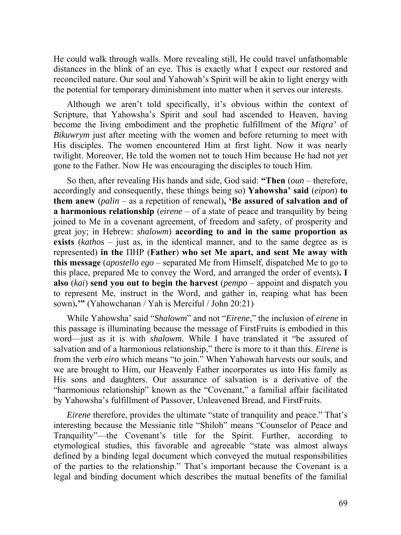He could walk through walls. More revealing still, He could travel unfathomable distances in the blink of an eye. This is exactly what I expect our restored and reconciled nature. Our soul and Yahowah's Spirit will be akin to light energy with the potential for temporary diminishment into matter when it serves our interests.

Although we aren't told specifically, it's obvious within the context of Scripture, that Yahowsha's Spirit and soul had ascended to Heaven, having become the living embodiment and the prophetic fulfillment of the *Miqra'* of *Bikuwrym* just after meeting with the women and before returning to meet with His disciples. The women encountered Him at first light. Now it was nearly twilight. Moreover, He told the women not to touch Him because He had not *yet* gone to the Father. Now He was encouraging the disciples to touch Him.

So then, after revealing His hands and side, God said: **"Then** (*oun* – therefore, accordingly and consequently, these things being so) **Yahowsha' said** (*eipon*) **to them anew** (*palin* – as a repetition of renewal)**, 'Be assured of salvation and of a harmonious relationship** (*eirene* – of a state of peace and tranquility by being joined to Me in a covenant agreement, of freedom and safety, of prosperity and great joy; in Hebrew: *shalowm*) **according to and in the same proportion as exists** (*kathos* – just as, in the identical manner, and to the same degree as is represented) **in the** ΠΗΡ (**Father**) **who set Me apart, and sent Me away with this message** (*apostello ego* – separated Me from Himself, dispatched Me to go to this place, prepared Me to convey the Word, and arranged the order of events)**. I also** (*kai*) **send you out to begin the harvest** (*pempo* – appoint and dispatch you to represent Me, instruct in the Word, and gather in, reaping what has been sown)**.'"** (Yahowchanan / Yah is Merciful / John 20:21)

While Yahowsha' said "*Shalowm*" and not "*Eirene*," the inclusion of *eirene* in this passage is illuminating because the message of FirstFruits is embodied in this word—just as it is with *shalowm.* While I have translated it "be assured of salvation and of a harmonious relationship," there is more to it than this. *Eirene* is from the verb *eiro* which means "to join." When Yahowah harvests our souls, and we are brought to Him, our Heavenly Father incorporates us into His family as His sons and daughters. Our assurance of salvation is a derivative of the "harmonious relationship" known as the "Covenant," a familial affair facilitated by Yahowsha's fulfillment of Passover, Unleavened Bread, and FirstFruits.

*Eirene* therefore, provides the ultimate "state of tranquility and peace." That's interesting because the Messianic title "Shiloh" means "Counselor of Peace and Tranquility"—the Covenant's title for the Spirit. Further, according to etymological studies, this favorable and agreeable "state was almost always defined by a binding legal document which conveyed the mutual responsibilities of the parties to the relationship." That's important because the Covenant is a legal and binding document which describes the mutual benefits of the familial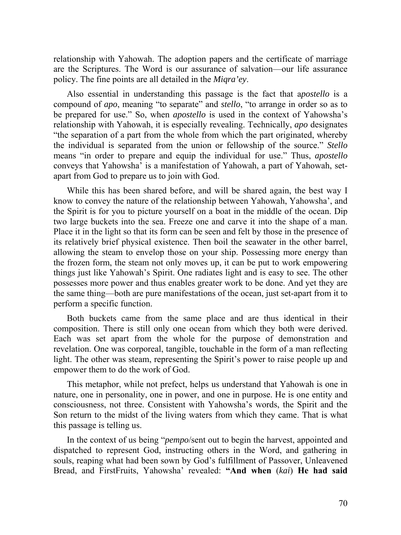relationship with Yahowah. The adoption papers and the certificate of marriage are the Scriptures. The Word is our assurance of salvation—our life assurance policy. The fine points are all detailed in the *Miqra'ey*.

Also essential in understanding this passage is the fact that a*postello* is a compound of *apo*, meaning "to separate" and *stello*, "to arrange in order so as to be prepared for use." So, when *apostello* is used in the context of Yahowsha's relationship with Yahowah, it is especially revealing. Technically, *apo* designates "the separation of a part from the whole from which the part originated, whereby the individual is separated from the union or fellowship of the source." *Stello* means "in order to prepare and equip the individual for use." Thus, *apostello* conveys that Yahowsha' is a manifestation of Yahowah, a part of Yahowah, setapart from God to prepare us to join with God.

While this has been shared before, and will be shared again, the best way I know to convey the nature of the relationship between Yahowah, Yahowsha', and the Spirit is for you to picture yourself on a boat in the middle of the ocean. Dip two large buckets into the sea. Freeze one and carve it into the shape of a man. Place it in the light so that its form can be seen and felt by those in the presence of its relatively brief physical existence. Then boil the seawater in the other barrel, allowing the steam to envelop those on your ship. Possessing more energy than the frozen form, the steam not only moves up, it can be put to work empowering things just like Yahowah's Spirit. One radiates light and is easy to see. The other possesses more power and thus enables greater work to be done. And yet they are the same thing—both are pure manifestations of the ocean, just set-apart from it to perform a specific function.

Both buckets came from the same place and are thus identical in their composition. There is still only one ocean from which they both were derived. Each was set apart from the whole for the purpose of demonstration and revelation. One was corporeal, tangible, touchable in the form of a man reflecting light. The other was steam, representing the Spirit's power to raise people up and empower them to do the work of God.

This metaphor, while not prefect, helps us understand that Yahowah is one in nature, one in personality, one in power, and one in purpose. He is one entity and consciousness, not three. Consistent with Yahowsha's words, the Spirit and the Son return to the midst of the living waters from which they came. That is what this passage is telling us.

In the context of us being "*pempo*/sent out to begin the harvest, appointed and dispatched to represent God, instructing others in the Word, and gathering in souls, reaping what had been sown by God's fulfillment of Passover, Unleavened Bread, and FirstFruits, Yahowsha' revealed: **"And when** (*kai*) **He had said**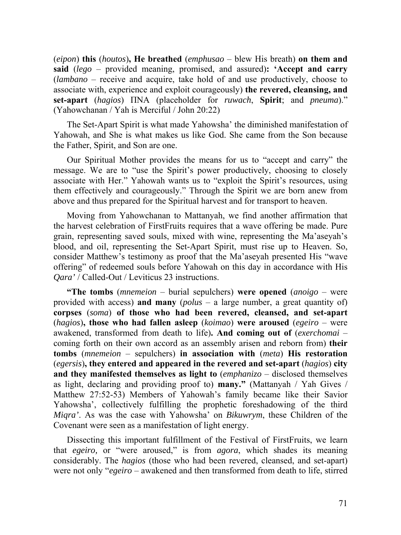(*eipon*) **this** (*houtos*)**, He breathed** (*emphusao* – blew His breath) **on them and said** (*lego* – provided meaning, promised, and assured)**: 'Accept and carry**  (*lambano* – receive and acquire, take hold of and use productively, choose to associate with, experience and exploit courageously) **the revered, cleansing, and set-apart** (*hagios*) ΠΝΑ (placeholder for *ruwach*, **Spirit**; and *pneuma*)." (Yahowchanan / Yah is Merciful / John 20:22)

The Set-Apart Spirit is what made Yahowsha' the diminished manifestation of Yahowah, and She is what makes us like God. She came from the Son because the Father, Spirit, and Son are one.

Our Spiritual Mother provides the means for us to "accept and carry" the message. We are to "use the Spirit's power productively, choosing to closely associate with Her." Yahowah wants us to "exploit the Spirit's resources, using them effectively and courageously." Through the Spirit we are born anew from above and thus prepared for the Spiritual harvest and for transport to heaven.

Moving from Yahowchanan to Mattanyah, we find another affirmation that the harvest celebration of FirstFruits requires that a wave offering be made. Pure grain, representing saved souls, mixed with wine, representing the Ma'aseyah's blood, and oil, representing the Set-Apart Spirit, must rise up to Heaven. So, consider Matthew's testimony as proof that the Ma'aseyah presented His "wave offering" of redeemed souls before Yahowah on this day in accordance with His *Qara'* / Called-Out / Leviticus 23 instructions.

**"The tombs** (*mnemeion* – burial sepulchers) **were opened** (*anoigo* – were provided with access) **and many** (*polus* – a large number, a great quantity of) **corpses** (*soma*) **of those who had been revered, cleansed, and set-apart** (*hagios*)**, those who had fallen asleep** (*koimao*) **were aroused** (*egeiro* – were awakened, transformed from death to life)**. And coming out of** (*exerchomai* – coming forth on their own accord as an assembly arisen and reborn from) **their tombs** (*mnemeion* – sepulchers) **in association with** (*meta*) **His restoration**  (*egersis*)**, they entered and appeared in the revered and set-apart** (*hagios*) **city and they manifested themselves as light to** (*emphanizo* – disclosed themselves as light, declaring and providing proof to) **many."** (Mattanyah / Yah Gives / Matthew 27:52-53) Members of Yahowah's family became like their Savior Yahowsha', collectively fulfilling the prophetic foreshadowing of the third *Miqra'*. As was the case with Yahowsha' on *Bikuwrym*, these Children of the Covenant were seen as a manifestation of light energy.

Dissecting this important fulfillment of the Festival of FirstFruits, we learn that *egeiro,* or "were aroused," is from *agora*, which shades its meaning considerably. The *hagios* (those who had been revered, cleansed, and set-apart) were not only "*egeiro* – awakened and then transformed from death to life, stirred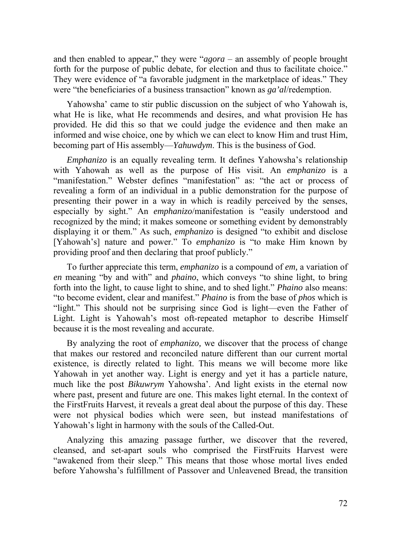and then enabled to appear," they were "*agora* – an assembly of people brought forth for the purpose of public debate, for election and thus to facilitate choice." They were evidence of "a favorable judgment in the marketplace of ideas." They were "the beneficiaries of a business transaction" known as *ga'al*/redemption.

Yahowsha' came to stir public discussion on the subject of who Yahowah is, what He is like, what He recommends and desires, and what provision He has provided. He did this so that we could judge the evidence and then make an informed and wise choice, one by which we can elect to know Him and trust Him, becoming part of His assembly—*Yahuwdym*. This is the business of God.

*Emphanizo* is an equally revealing term. It defines Yahowsha's relationship with Yahowah as well as the purpose of His visit. An *emphanizo* is a "manifestation." Webster defines "manifestation" as: "the act or process of revealing a form of an individual in a public demonstration for the purpose of presenting their power in a way in which is readily perceived by the senses, especially by sight." An *emphanizo*/manifestation is "easily understood and recognized by the mind; it makes someone or something evident by demonstrably displaying it or them." As such, *emphanizo* is designed "to exhibit and disclose [Yahowah's] nature and power." To *emphanizo* is "to make Him known by providing proof and then declaring that proof publicly."

To further appreciate this term, *emphanizo* is a compound of *em,* a variation of *en* meaning "by and with" and *phaino*, which conveys "to shine light, to bring forth into the light, to cause light to shine, and to shed light." *Phaino* also means: "to become evident, clear and manifest." *Phaino* is from the base of *phos* which is "light." This should not be surprising since God is light—even the Father of Light. Light is Yahowah's most oft-repeated metaphor to describe Himself because it is the most revealing and accurate.

By analyzing the root of *emphanizo,* we discover that the process of change that makes our restored and reconciled nature different than our current mortal existence, is directly related to light. This means we will become more like Yahowah in yet another way. Light is energy and yet it has a particle nature, much like the post *Bikuwrym* Yahowsha'. And light exists in the eternal now where past, present and future are one. This makes light eternal. In the context of the FirstFruits Harvest, it reveals a great deal about the purpose of this day. These were not physical bodies which were seen, but instead manifestations of Yahowah's light in harmony with the souls of the Called-Out.

Analyzing this amazing passage further, we discover that the revered, cleansed, and set-apart souls who comprised the FirstFruits Harvest were "awakened from their sleep." This means that those whose mortal lives ended before Yahowsha's fulfillment of Passover and Unleavened Bread, the transition